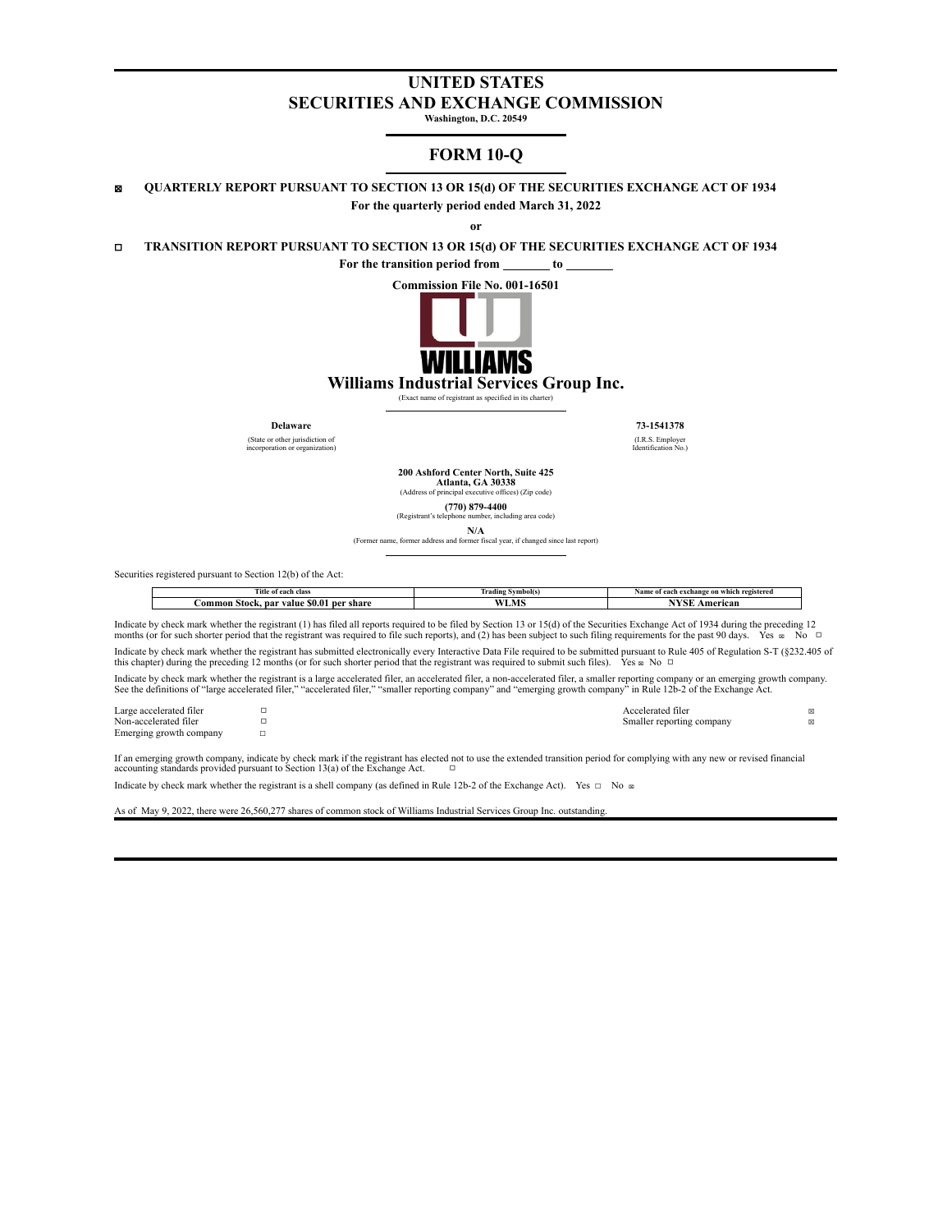# **UNITED STATES SECURITIES AND EXCHANGE COMMISSION**

**Washington, D.C. 20549**

# **FORM 10-Q**

☒ **QUARTERLY REPORT PURSUANT TO SECTION 13 OR 15(d) OF THE SECURITIES EXCHANGE ACT OF 1934 For the quarterly period ended March 31, 2022**

**or**

☐ **TRANSITION REPORT PURSUANT TO SECTION 13 OR 15(d) OF THE SECURITIES EXCHANGE ACT OF 1934**

**For the transition period from to**



**Williams Industrial Services Group Inc.**

(Exact name of registrant as specified in its charter)

(State or other jurisdiction of incorporation or organization)

**Delaware 73-1541378** (I.R.S. Employer Identification No.)

**200 Ashford Center North, Suite 425 Atlanta, GA 30338** (Address of principal

**(770) 879-4400** her, including area code)

**N/A** (Former name, former address and former fiscal year, if changed since last report)

Securities registered pursuant to Section 12(b) of the Act:

| cann.<br>ïtle<br>of each class                                 | vmbol(:<br>Trading | ·h registerec<br>f each exchange on which<br>Name<br>0t |
|----------------------------------------------------------------|--------------------|---------------------------------------------------------|
| share<br>nar<br>ner<br>∶om<br>Stock<br>79 IU C<br>S0.0<br>ımon | LIVI               | <b>A 200 30 40 50 50</b><br><b>Americar</b>             |

Indicate by check mark whether the registrant (1) has filed all reports required to be filed by Section 13 or 15(d) of the Securities Exchange Act of 1934 during the preceding 12 months (or for such shorter period that the registrant was required to file such reports), and (2) has been subject to such filing requirements for the past 90 days. Yes  $\infty$  No □

Indicate by check mark whether the registrant has submitted electronically every Interactive Data File required to be submitted pursuant to Rule 405 of Regulation S-T (§232.405 of this chapter) during the preceding 12 mon

D<br>Non-accelerated filerated filerated filerated filerated filerated filerated filerated filerated filerated filerated filerated filerated filerated filerated filerated filerated filerated filerated filerated filerated fil

Indicate by check mark whether the registrant is a large accelerated filer, an accelerated filer, a non-accelerated filer, a smaller reporting company or an emerging growth company. See the definitions of "large accelerated filer," "accelerated filer," "smaller reporting company" and "emerging growth company" in Rule 12b-2 of the Exchange Act.

Large accelerated filer □<br>
Non-accelerated filer □<br> **Non-accelerated filer** □ Emerging growth company

If an emerging growth company, indicate by check mark if the registrant has elected not to use the extended transition period for complying with any new or revised financial accounting standards provided pursuant to Secti

Indicate by check mark whether the registrant is a shell company (as defined in Rule 12b-2 of the Exchange Act). Yes  $\Box$  No  $\infty$ 

As of May 9, 2022, there were 26,560,277 shares of common stock of Williams Industrial Services Group Inc. outstanding.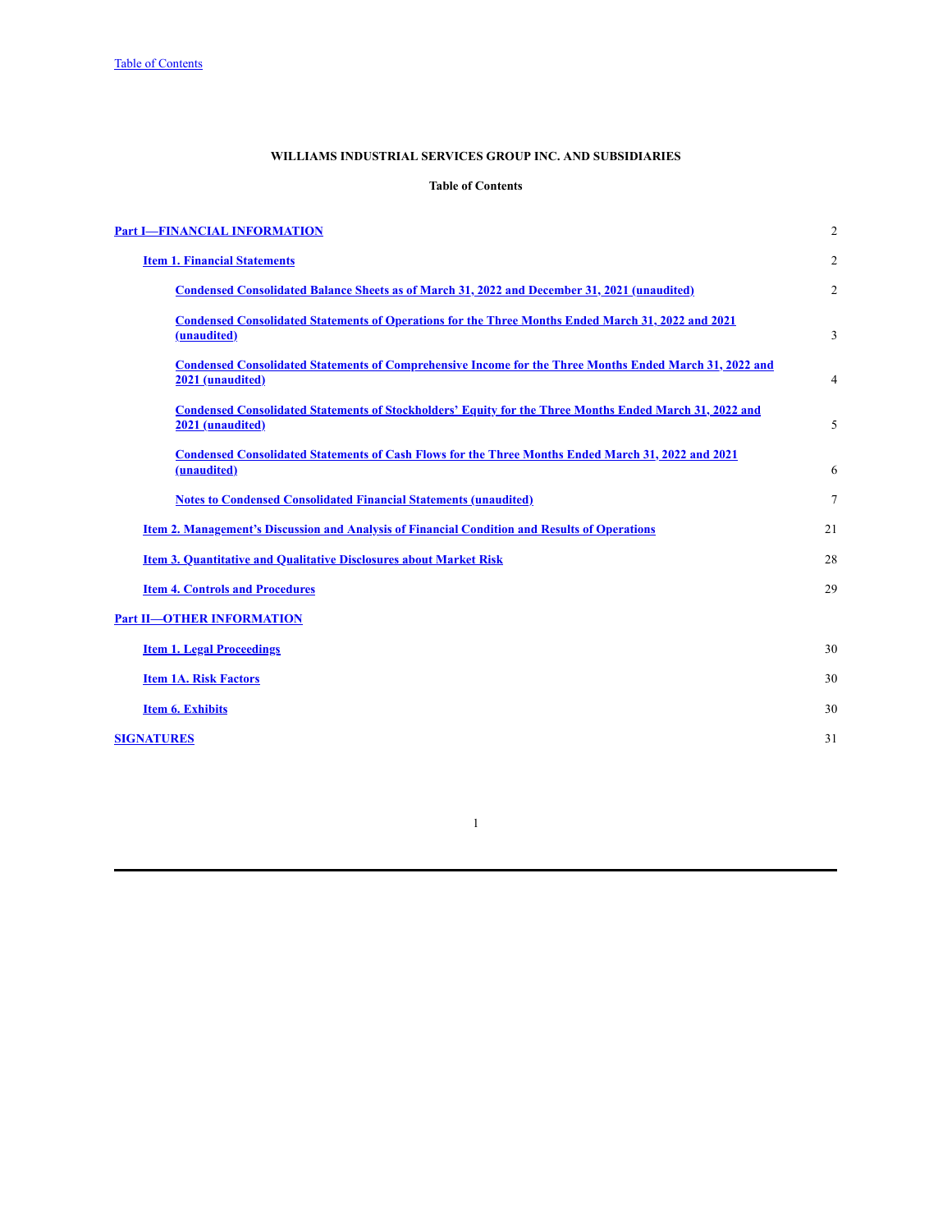# **WILLIAMS INDUSTRIAL SERVICES GROUP INC. AND SUBSIDIARIES**

# **Table of Contents**

<span id="page-1-0"></span>

| <b>Part I-FINANCIAL INFORMATION</b>                                                                                                | $\mathfrak{2}$ |
|------------------------------------------------------------------------------------------------------------------------------------|----------------|
| <b>Item 1. Financial Statements</b>                                                                                                | $\mathfrak{2}$ |
| Condensed Consolidated Balance Sheets as of March 31, 2022 and December 31, 2021 (unaudited)                                       | 2              |
| Condensed Consolidated Statements of Operations for the Three Months Ended March 31, 2022 and 2021<br>(unaudited)                  | 3              |
| <b>Condensed Consolidated Statements of Comprehensive Income for the Three Months Ended March 31, 2022 and</b><br>2021 (unaudited) | 4              |
| <b>Condensed Consolidated Statements of Stockholders' Equity for the Three Months Ended March 31, 2022 and</b><br>2021 (unaudited) | 5              |
| <b>Condensed Consolidated Statements of Cash Flows for the Three Months Ended March 31, 2022 and 2021</b><br>(unaudited)           | 6              |
| <b>Notes to Condensed Consolidated Financial Statements (unaudited)</b>                                                            | 7              |
| <u>Item 2. Management's Discussion and Analysis of Financial Condition and Results of Operations</u>                               | 21             |
| <b>Item 3. Quantitative and Qualitative Disclosures about Market Risk</b>                                                          | 28             |
| <b>Item 4. Controls and Procedures</b>                                                                                             | 29             |
| <b>Part II-OTHER INFORMATION</b>                                                                                                   |                |
| <b>Item 1. Legal Proceedings</b>                                                                                                   | 30             |
| <b>Item 1A. Risk Factors</b>                                                                                                       | 30             |
| <b>Item 6. Exhibits</b>                                                                                                            | 30             |
| <b>SIGNATURES</b>                                                                                                                  | 31             |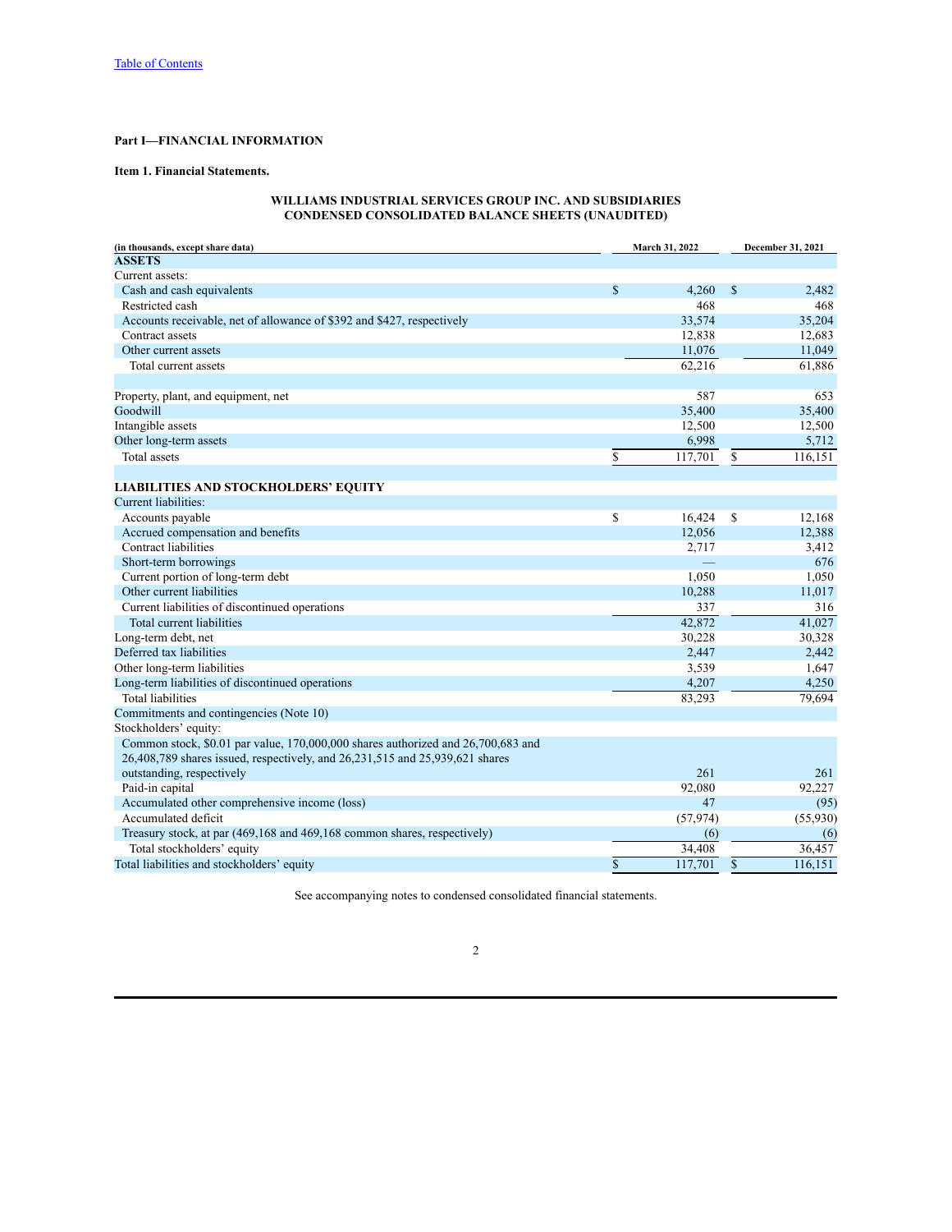# <span id="page-2-0"></span>**Part I—FINANCIAL INFORMATION**

# <span id="page-2-1"></span>**Item 1. Financial Statements.**

# **WILLIAMS INDUSTRIAL SERVICES GROUP INC. AND SUBSIDIARIES CONDENSED CONSOLIDATED BALANCE SHEETS (UNAUDITED)**

<span id="page-2-2"></span>

| (in thousands, except share data)                                                | March 31, 2022 |           |               | December 31, 2021 |  |
|----------------------------------------------------------------------------------|----------------|-----------|---------------|-------------------|--|
| <b>ASSETS</b>                                                                    |                |           |               |                   |  |
| Current assets:                                                                  |                |           |               |                   |  |
| Cash and cash equivalents                                                        | $\mathbf S$    | 4,260     | <sup>\$</sup> | 2,482             |  |
| Restricted cash                                                                  |                | 468       |               | 468               |  |
| Accounts receivable, net of allowance of \$392 and \$427, respectively           |                | 33,574    |               | 35,204            |  |
| Contract assets                                                                  |                | 12,838    |               | 12,683            |  |
| Other current assets                                                             |                | 11,076    |               | 11,049            |  |
| Total current assets                                                             |                | 62,216    |               | 61,886            |  |
|                                                                                  |                |           |               |                   |  |
| Property, plant, and equipment, net                                              |                | 587       |               | 653               |  |
| Goodwill                                                                         |                | 35,400    |               | 35,400            |  |
| Intangible assets                                                                |                | 12,500    |               | 12,500            |  |
| Other long-term assets                                                           |                | 6,998     |               | 5,712             |  |
| Total assets                                                                     | \$             | 117,701   | \$            | 116,151           |  |
| <b>LIABILITIES AND STOCKHOLDERS' EQUITY</b>                                      |                |           |               |                   |  |
| Current liabilities:                                                             |                |           |               |                   |  |
| Accounts payable                                                                 | \$             | 16,424    | \$            | 12,168            |  |
| Accrued compensation and benefits                                                |                | 12,056    |               | 12,388            |  |
| Contract liabilities                                                             |                | 2,717     |               | 3,412             |  |
| Short-term borrowings                                                            |                |           |               | 676               |  |
|                                                                                  |                | 1,050     |               |                   |  |
| Current portion of long-term debt                                                |                |           |               | 1,050             |  |
| Other current liabilities                                                        |                | 10,288    |               | 11,017            |  |
| Current liabilities of discontinued operations                                   |                | 337       |               | 316               |  |
| Total current liabilities                                                        |                | 42,872    |               | 41,027            |  |
| Long-term debt, net                                                              |                | 30,228    |               | 30,328            |  |
| Deferred tax liabilities                                                         |                | 2,447     |               | 2,442             |  |
| Other long-term liabilities                                                      |                | 3,539     |               | 1,647             |  |
| Long-term liabilities of discontinued operations                                 |                | 4,207     |               | 4,250             |  |
| <b>Total liabilities</b>                                                         |                | 83,293    |               | 79,694            |  |
| Commitments and contingencies (Note 10)                                          |                |           |               |                   |  |
| Stockholders' equity:                                                            |                |           |               |                   |  |
| Common stock, \$0.01 par value, 170,000,000 shares authorized and 26,700,683 and |                |           |               |                   |  |
| 26,408,789 shares issued, respectively, and 26,231,515 and 25,939,621 shares     |                |           |               |                   |  |
| outstanding, respectively                                                        |                | 261       |               | 261               |  |
| Paid-in capital                                                                  |                | 92,080    |               | 92,227            |  |
| Accumulated other comprehensive income (loss)                                    |                | 47        |               | (95)              |  |
| Accumulated deficit                                                              |                | (57, 974) |               | (55,930)          |  |
| Treasury stock, at par (469,168 and 469,168 common shares, respectively)         |                | (6)       |               | (6)               |  |
| Total stockholders' equity                                                       |                | 34,408    |               | 36,457            |  |
| Total liabilities and stockholders' equity                                       | $\mathcal{S}$  | 117,701   | \$            | 116,151           |  |

See accompanying notes to condensed consolidated financial statements.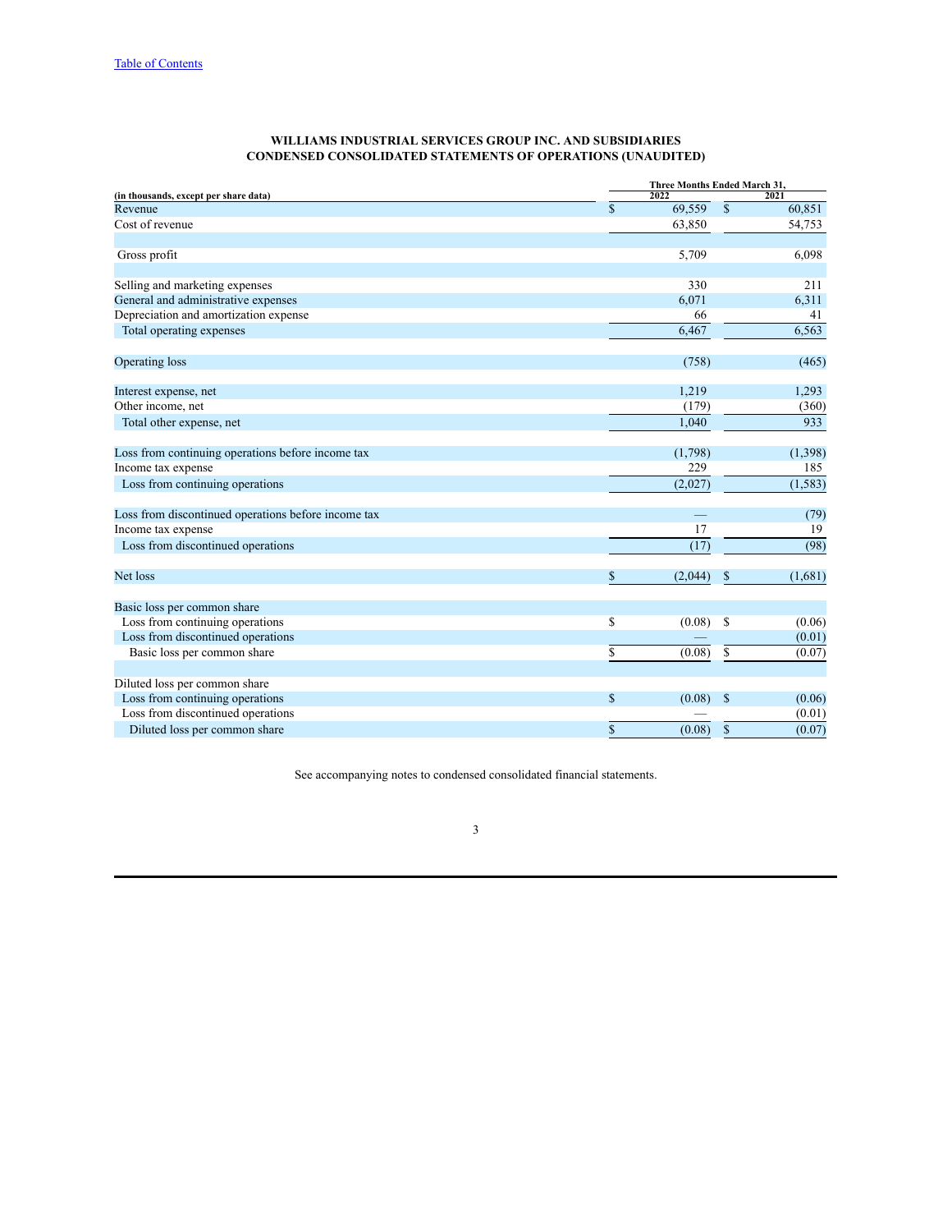| WILLIAMS INDUSTRIAL SERVICES GROUP INC. AND SUBSIDIARIES           |  |
|--------------------------------------------------------------------|--|
| <b>CONDENSED CONSOLIDATED STATEMENTS OF OPERATIONS (UNAUDITED)</b> |  |

<span id="page-3-0"></span>

|                                                     | Three Months Ended March 31, |              |          |  |  |  |
|-----------------------------------------------------|------------------------------|--------------|----------|--|--|--|
| (in thousands, except per share data)               | 2022                         |              | 2021     |  |  |  |
| Revenue                                             | \$<br>69,559                 | $\mathbb{S}$ | 60,851   |  |  |  |
| Cost of revenue                                     | 63,850                       |              | 54,753   |  |  |  |
| Gross profit                                        | 5,709                        |              | 6,098    |  |  |  |
| Selling and marketing expenses                      | 330                          |              | 211      |  |  |  |
| General and administrative expenses                 | 6,071                        |              | 6,311    |  |  |  |
| Depreciation and amortization expense               | 66                           |              | 41       |  |  |  |
| Total operating expenses                            | 6,467                        |              | 6,563    |  |  |  |
| Operating loss                                      | (758)                        |              | (465)    |  |  |  |
| Interest expense, net                               | 1,219                        |              | 1,293    |  |  |  |
| Other income, net                                   | (179)                        |              | (360)    |  |  |  |
| Total other expense, net                            | 1,040                        |              | 933      |  |  |  |
| Loss from continuing operations before income tax   | (1,798)                      |              | (1,398)  |  |  |  |
| Income tax expense                                  | 229                          |              | 185      |  |  |  |
| Loss from continuing operations                     | (2,027)                      |              | (1, 583) |  |  |  |
| Loss from discontinued operations before income tax |                              |              | (79)     |  |  |  |
| Income tax expense                                  | 17                           |              | 19       |  |  |  |
| Loss from discontinued operations                   | (17)                         |              | (98)     |  |  |  |
| Net loss                                            | \$<br>(2,044)                | \$           | (1,681)  |  |  |  |
| Basic loss per common share                         |                              |              |          |  |  |  |
| Loss from continuing operations                     | \$<br>(0.08)                 | \$           | (0.06)   |  |  |  |
| Loss from discontinued operations                   |                              |              | (0.01)   |  |  |  |
| Basic loss per common share                         | \$<br>(0.08)                 | \$           | (0.07)   |  |  |  |
| Diluted loss per common share                       |                              |              |          |  |  |  |
| Loss from continuing operations                     | \$<br>(0.08)                 | \$           | (0.06)   |  |  |  |
| Loss from discontinued operations                   |                              |              | (0.01)   |  |  |  |
| Diluted loss per common share                       | \$<br>(0.08)                 | $\mathbf S$  | (0.07)   |  |  |  |

See accompanying notes to condensed consolidated financial statements.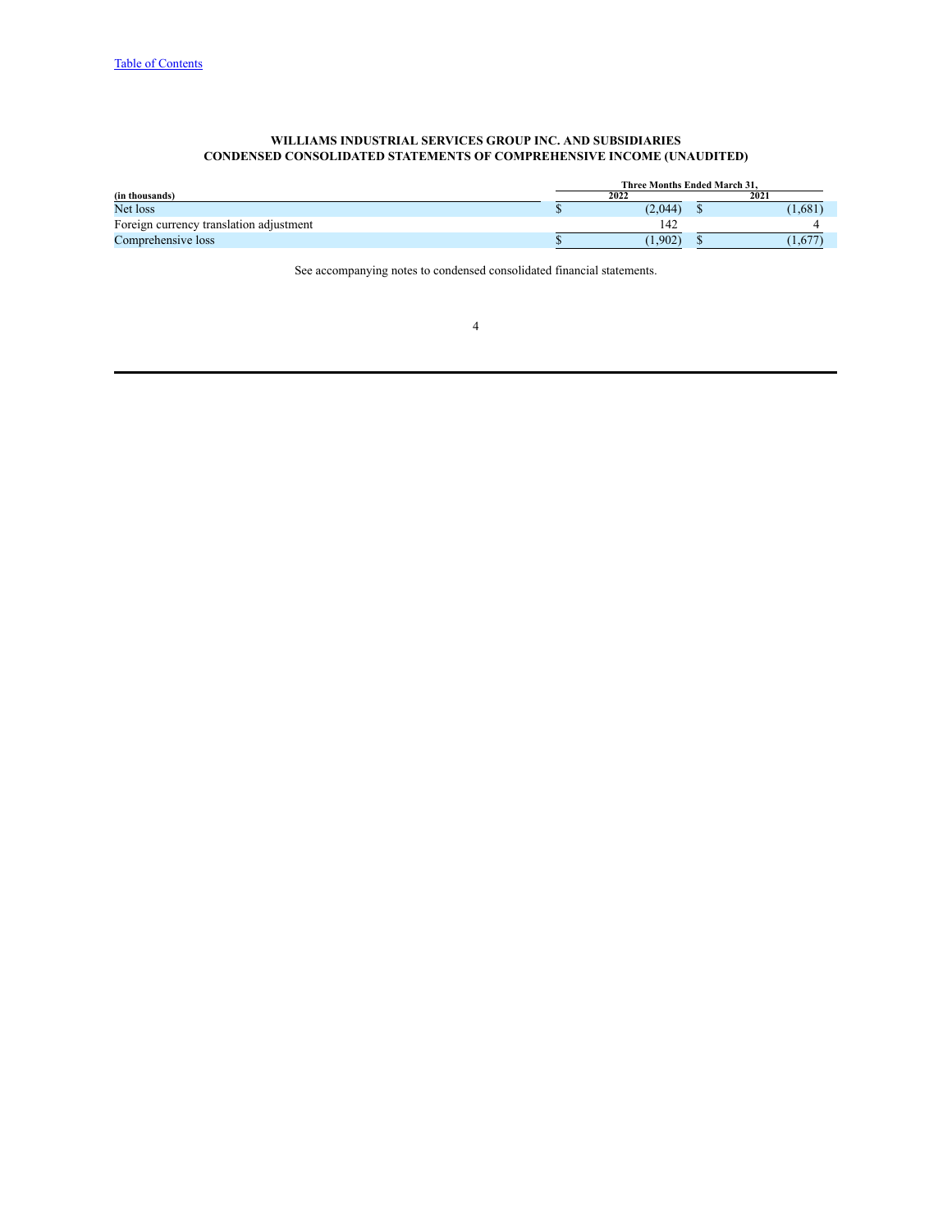#### **WILLIAMS INDUSTRIAL SERVICES GROUP INC. AND SUBSIDIARIES CONDENSED CONSOLIDATED STATEMENTS OF COMPREHENSIVE INCOME (UNAUDITED)**

<span id="page-4-0"></span>

|                                         | Three Months Ended March 31. |         |  |            |  |  |
|-----------------------------------------|------------------------------|---------|--|------------|--|--|
| (in thousands)                          |                              | 2022    |  | 2021       |  |  |
| Net loss                                |                              | (2,044) |  | (1,681)    |  |  |
| Foreign currency translation adjustment |                              | 142     |  |            |  |  |
| Comprehensive loss                      |                              | (1.902) |  | $1,67^{-}$ |  |  |

See accompanying notes to condensed consolidated financial statements.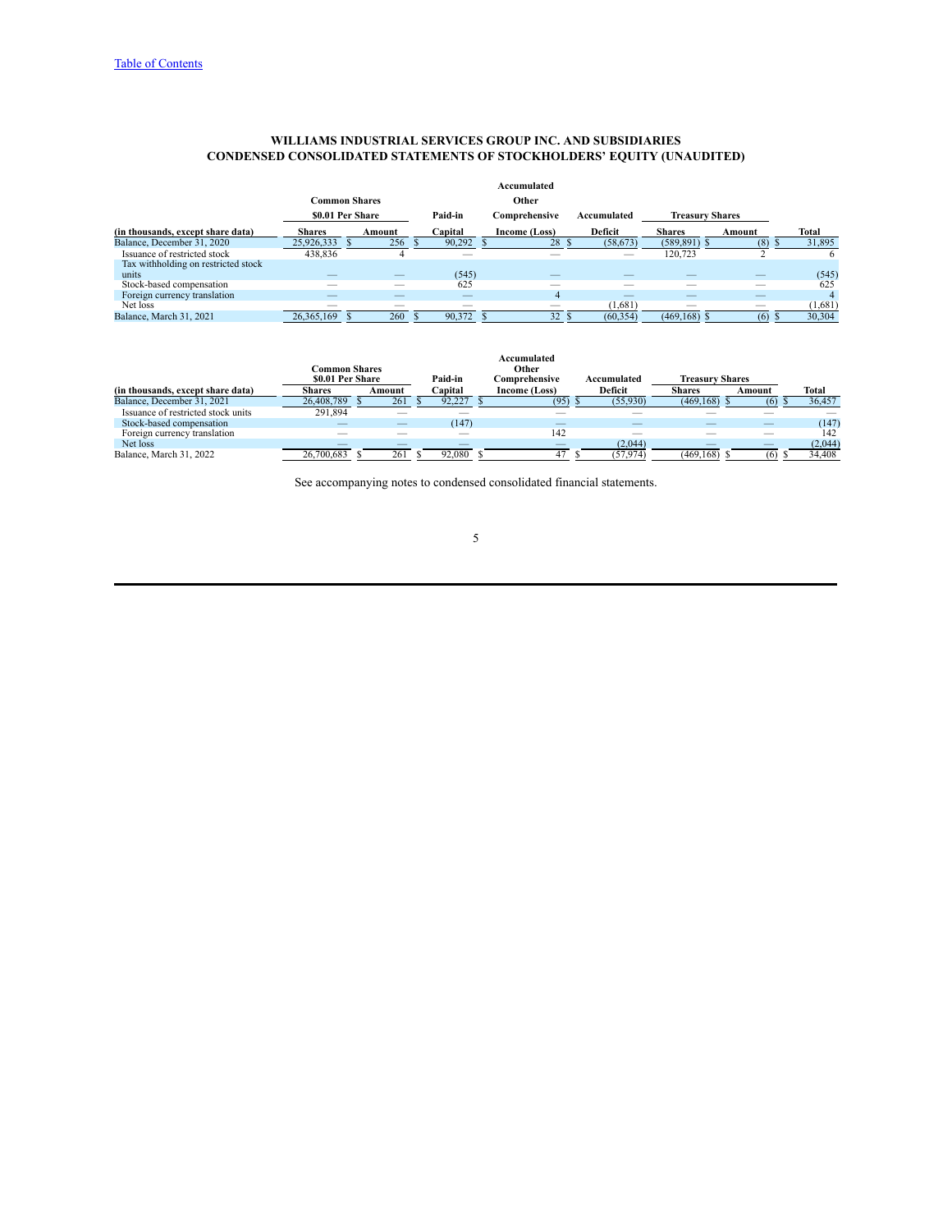#### **WILLIAMS INDUSTRIAL SERVICES GROUP INC. AND SUBSIDIARIES CONDENSED CONSOLIDATED STATEMENTS OF STOCKHOLDERS' EQUITY (UNAUDITED)**

<span id="page-5-0"></span>

|                                     |                          |                      |         |                          | Accumulated              |             |                          |        |         |
|-------------------------------------|--------------------------|----------------------|---------|--------------------------|--------------------------|-------------|--------------------------|--------|---------|
|                                     |                          | <b>Common Shares</b> |         |                          | Other                    |             |                          |        |         |
|                                     |                          | \$0.01 Per Share     | Paid-in |                          | Comprehensive            | Accumulated | <b>Treasurv Shares</b>   |        |         |
| (in thousands, except share data)   | <b>Shares</b>            | Amount               | Capital |                          | Income (Loss)            | Deficit     | <b>Shares</b>            | Amount | Total   |
| Balance, December 31, 2020          | 25,926,333               | 256                  |         | 90,292                   | 28                       | (58, 673)   | (589, 891)               | (8)    | 31,895  |
| Issuance of restricted stock        | 438,836                  |                      |         | --                       |                          |             | 120,723                  |        | 6       |
| Tax withholding on restricted stock |                          |                      |         |                          |                          |             |                          |        |         |
| units                               | _                        |                      |         | (545)                    | __                       |             |                          | _      | (545)   |
| Stock-based compensation            | __                       | _                    |         | 625                      | __                       |             |                          | _      | 625     |
| Foreign currency translation        |                          |                      |         | _                        | 4                        |             |                          |        | 4       |
| Net loss                            | $\overline{\phantom{a}}$ | _                    |         | $\overline{\phantom{a}}$ | $\overline{\phantom{a}}$ | (1,681)     | $\overline{\phantom{a}}$ | _      | (1,681) |
| Balance, March 31, 2021             | 26, 365, 169             | 260                  |         | 90,372                   | 32                       | (60, 354)   | (469, 168)               | (6)    | 30,304  |

|                                    |                      |        |         | Accumulated   |             |                        |        |         |
|------------------------------------|----------------------|--------|---------|---------------|-------------|------------------------|--------|---------|
|                                    | <b>Common Shares</b> |        |         | Other         |             |                        |        |         |
|                                    | \$0.01 Per Share     |        | Paid-in | Comprehensive | Accumulated | <b>Treasury Shares</b> |        |         |
| (in thousands, except share data)  | Shares               | Amount | Capital | Income (Loss) | Deficit     | <b>Shares</b>          | Amount | Total   |
| Balance, December 31, 2021         | 26.408.789           | 261    | 92.227  | (95)          | (55,930)    | (469, 168)             | (6)    | 36,457  |
| Issuance of restricted stock units | 291,894              |        |         |               |             |                        |        |         |
| Stock-based compensation           |                      |        | (147)   |               |             |                        |        | (147)   |
| Foreign currency translation       |                      |        |         | 142           |             |                        |        | 142     |
| Net loss                           |                      |        |         |               | (2,044)     |                        |        | (2,044) |
| Balance, March 31, 2022            | 26,700,683           | 261    | 92.080  | 47            | (57, 974)   | (469, 168)             | (6)    | 34,408  |

See accompanying notes to condensed consolidated financial statements.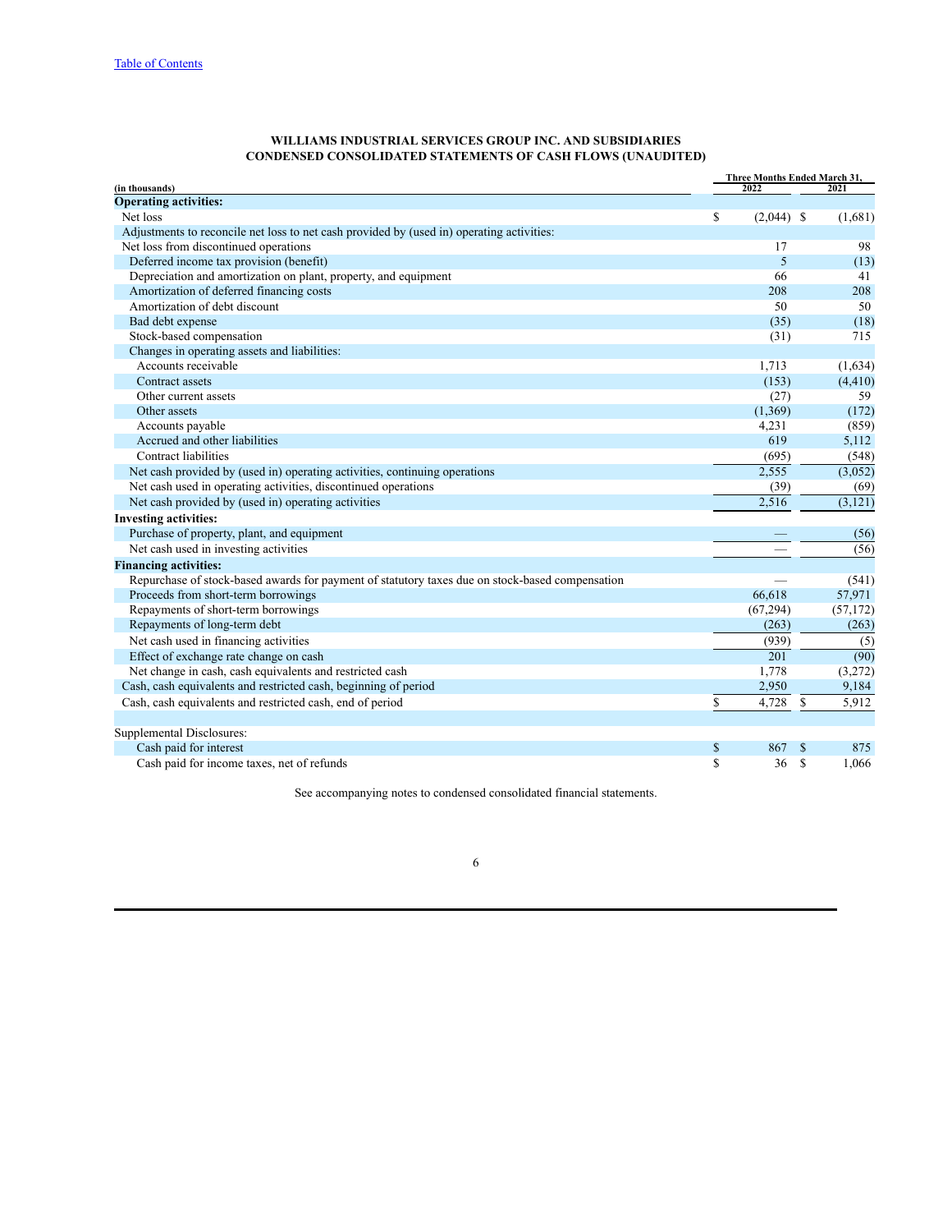#### **WILLIAMS INDUSTRIAL SERVICES GROUP INC. AND SUBSIDIARIES CONDENSED CONSOLIDATED STATEMENTS OF CASH FLOWS (UNAUDITED)**

<span id="page-6-0"></span>

|                                                                                                 | Three Months Ended March 31, |              |               |           |  |  |  |  |
|-------------------------------------------------------------------------------------------------|------------------------------|--------------|---------------|-----------|--|--|--|--|
| (in thousands)                                                                                  |                              | 2022         | 2021          |           |  |  |  |  |
| <b>Operating activities:</b>                                                                    |                              |              |               |           |  |  |  |  |
| Net loss                                                                                        | \$                           | $(2,044)$ \$ |               | (1,681)   |  |  |  |  |
| Adjustments to reconcile net loss to net cash provided by (used in) operating activities:       |                              |              |               |           |  |  |  |  |
| Net loss from discontinued operations                                                           |                              | 17           |               | 98        |  |  |  |  |
| Deferred income tax provision (benefit)                                                         |                              | 5            |               | (13)      |  |  |  |  |
| Depreciation and amortization on plant, property, and equipment                                 |                              | 66           |               | 41        |  |  |  |  |
| Amortization of deferred financing costs                                                        |                              | 208          |               | 208       |  |  |  |  |
| Amortization of debt discount                                                                   |                              | 50           |               | 50        |  |  |  |  |
| Bad debt expense                                                                                |                              | (35)         |               | (18)      |  |  |  |  |
| Stock-based compensation                                                                        |                              | (31)         |               | 715       |  |  |  |  |
| Changes in operating assets and liabilities:                                                    |                              |              |               |           |  |  |  |  |
| Accounts receivable                                                                             |                              | 1,713        |               | (1,634)   |  |  |  |  |
| Contract assets                                                                                 |                              | (153)        |               | (4, 410)  |  |  |  |  |
| Other current assets                                                                            |                              | (27)         |               | 59        |  |  |  |  |
| Other assets                                                                                    |                              | (1,369)      |               | (172)     |  |  |  |  |
| Accounts payable                                                                                |                              | 4,231        |               | (859)     |  |  |  |  |
| Accrued and other liabilities                                                                   |                              | 619          |               | 5,112     |  |  |  |  |
| Contract liabilities                                                                            |                              | (695)        |               | (548)     |  |  |  |  |
| Net cash provided by (used in) operating activities, continuing operations                      |                              | 2,555        |               | (3,052)   |  |  |  |  |
| Net cash used in operating activities, discontinued operations                                  |                              | (39)         |               | (69)      |  |  |  |  |
| Net cash provided by (used in) operating activities                                             |                              | 2,516        |               | (3, 121)  |  |  |  |  |
| <b>Investing activities:</b>                                                                    |                              |              |               |           |  |  |  |  |
| Purchase of property, plant, and equipment                                                      |                              |              |               | (56)      |  |  |  |  |
| Net cash used in investing activities                                                           |                              |              |               | (56)      |  |  |  |  |
| <b>Financing activities:</b>                                                                    |                              |              |               |           |  |  |  |  |
| Repurchase of stock-based awards for payment of statutory taxes due on stock-based compensation |                              |              |               | (541)     |  |  |  |  |
| Proceeds from short-term borrowings                                                             |                              | 66.618       |               | 57,971    |  |  |  |  |
| Repayments of short-term borrowings                                                             |                              | (67, 294)    |               | (57, 172) |  |  |  |  |
| Repayments of long-term debt                                                                    |                              | (263)        |               | (263)     |  |  |  |  |
| Net cash used in financing activities                                                           |                              | (939)        |               | (5)       |  |  |  |  |
| Effect of exchange rate change on cash                                                          |                              | 201          |               | (90)      |  |  |  |  |
| Net change in cash, cash equivalents and restricted cash                                        |                              | 1,778        |               | (3,272)   |  |  |  |  |
| Cash, cash equivalents and restricted cash, beginning of period                                 |                              | 2,950        |               | 9,184     |  |  |  |  |
| Cash, cash equivalents and restricted cash, end of period                                       | \$                           | 4,728        | \$            | 5,912     |  |  |  |  |
|                                                                                                 |                              |              |               |           |  |  |  |  |
| Supplemental Disclosures:                                                                       |                              |              |               |           |  |  |  |  |
| Cash paid for interest                                                                          | \$                           | 867          | <sup>\$</sup> | 875       |  |  |  |  |
| Cash paid for income taxes, net of refunds                                                      | \$                           | 36           | \$            | 1,066     |  |  |  |  |

See accompanying notes to condensed consolidated financial statements.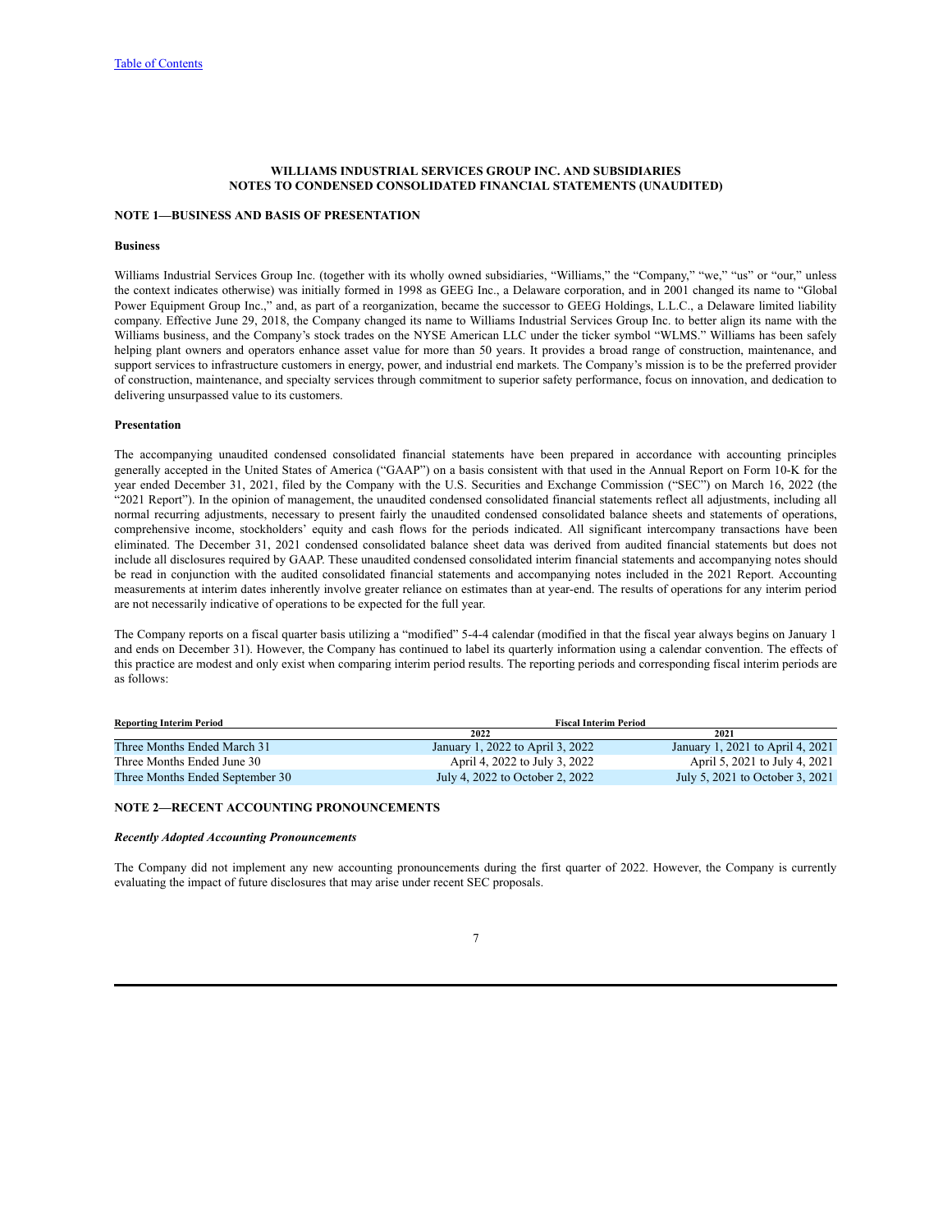## **WILLIAMS INDUSTRIAL SERVICES GROUP INC. AND SUBSIDIARIES NOTES TO CONDENSED CONSOLIDATED FINANCIAL STATEMENTS (UNAUDITED)**

# <span id="page-7-0"></span>**NOTE 1—BUSINESS AND BASIS OF PRESENTATION**

#### **Business**

Williams Industrial Services Group Inc. (together with its wholly owned subsidiaries, "Williams," the "Company," "we," "us" or "our," unless the context indicates otherwise) was initially formed in 1998 as GEEG Inc., a Delaware corporation, and in 2001 changed its name to "Global Power Equipment Group Inc.," and, as part of a reorganization, became the successor to GEEG Holdings, L.L.C., a Delaware limited liability company. Effective June 29, 2018, the Company changed its name to Williams Industrial Services Group Inc. to better align its name with the Williams business, and the Company's stock trades on the NYSE American LLC under the ticker symbol "WLMS." Williams has been safely helping plant owners and operators enhance asset value for more than 50 years. It provides a broad range of construction, maintenance, and support services to infrastructure customers in energy, power, and industrial end markets. The Company's mission is to be the preferred provider of construction, maintenance, and specialty services through commitment to superior safety performance, focus on innovation, and dedication to delivering unsurpassed value to its customers.

#### **Presentation**

The accompanying unaudited condensed consolidated financial statements have been prepared in accordance with accounting principles generally accepted in the United States of America ("GAAP") on a basis consistent with that used in the Annual Report on Form 10-K for the year ended December 31, 2021, filed by the Company with the U.S. Securities and Exchange Commission ("SEC") on March 16, 2022 (the "2021 Report"). In the opinion of management, the unaudited condensed consolidated financial statements reflect all adjustments, including all normal recurring adjustments, necessary to present fairly the unaudited condensed consolidated balance sheets and statements of operations, comprehensive income, stockholders' equity and cash flows for the periods indicated. All significant intercompany transactions have been eliminated. The December 31, 2021 condensed consolidated balance sheet data was derived from audited financial statements but does not include all disclosures required by GAAP. These unaudited condensed consolidated interim financial statements and accompanying notes should be read in conjunction with the audited consolidated financial statements and accompanying notes included in the 2021 Report. Accounting measurements at interim dates inherently involve greater reliance on estimates than at year-end. The results of operations for any interim period are not necessarily indicative of operations to be expected for the full year.

The Company reports on a fiscal quarter basis utilizing a "modified" 5-4-4 calendar (modified in that the fiscal year always begins on January 1 and ends on December 31). However, the Company has continued to label its quarterly information using a calendar convention. The effects of this practice are modest and only exist when comparing interim period results. The reporting periods and corresponding fiscal interim periods are as follows:

| <b>Reporting Interim Period</b> | <b>Fiscal Interim Period</b>     |                                  |  |  |  |  |  |
|---------------------------------|----------------------------------|----------------------------------|--|--|--|--|--|
|                                 | 2022                             | 2021                             |  |  |  |  |  |
| Three Months Ended March 31     | January 1, 2022 to April 3, 2022 | January 1, 2021 to April 4, 2021 |  |  |  |  |  |
| Three Months Ended June 30      | April 4, 2022 to July 3, 2022    | April 5, 2021 to July 4, 2021    |  |  |  |  |  |
| Three Months Ended September 30 | July 4, 2022 to October 2, 2022  | July 5, 2021 to October 3, 2021  |  |  |  |  |  |

#### **NOTE 2—RECENT ACCOUNTING PRONOUNCEMENTS**

#### *Recently Adopted Accounting Pronouncements*

The Company did not implement any new accounting pronouncements during the first quarter of 2022. However, the Company is currently evaluating the impact of future disclosures that may arise under recent SEC proposals.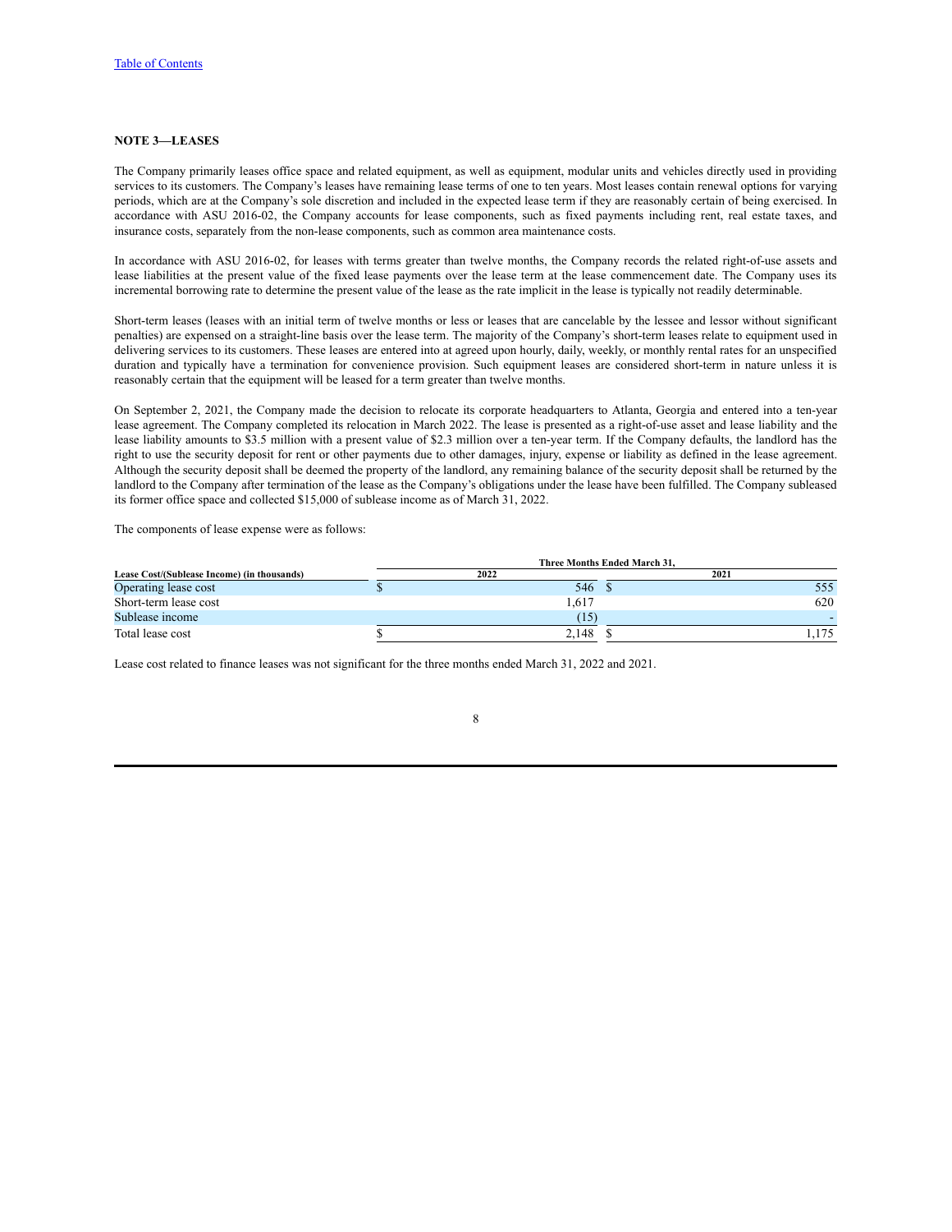### **NOTE 3—LEASES**

The Company primarily leases office space and related equipment, as well as equipment, modular units and vehicles directly used in providing services to its customers. The Company's leases have remaining lease terms of one to ten years. Most leases contain renewal options for varying periods, which are at the Company's sole discretion and included in the expected lease term if they are reasonably certain of being exercised. In accordance with ASU 2016-02, the Company accounts for lease components, such as fixed payments including rent, real estate taxes, and insurance costs, separately from the non-lease components, such as common area maintenance costs.

In accordance with ASU 2016-02, for leases with terms greater than twelve months, the Company records the related right-of-use assets and lease liabilities at the present value of the fixed lease payments over the lease term at the lease commencement date. The Company uses its incremental borrowing rate to determine the present value of the lease as the rate implicit in the lease is typically not readily determinable.

Short-term leases (leases with an initial term of twelve months or less or leases that are cancelable by the lessee and lessor without significant penalties) are expensed on a straight-line basis over the lease term. The majority of the Company's short-term leases relate to equipment used in delivering services to its customers. These leases are entered into at agreed upon hourly, daily, weekly, or monthly rental rates for an unspecified duration and typically have a termination for convenience provision. Such equipment leases are considered short-term in nature unless it is reasonably certain that the equipment will be leased for a term greater than twelve months.

On September 2, 2021, the Company made the decision to relocate its corporate headquarters to Atlanta, Georgia and entered into a ten-year lease agreement. The Company completed its relocation in March 2022. The lease is presented as a right-of-use asset and lease liability and the lease liability amounts to \$3.5 million with a present value of \$2.3 million over a ten-year term. If the Company defaults, the landlord has the right to use the security deposit for rent or other payments due to other damages, injury, expense or liability as defined in the lease agreement. Although the security deposit shall be deemed the property of the landlord, any remaining balance of the security deposit shall be returned by the landlord to the Company after termination of the lease as the Company's obligations under the lease have been fulfilled. The Company subleased its former office space and collected \$15,000 of sublease income as of March 31, 2022.

The components of lease expense were as follows:

|                                             |       | <b>Three Months Ended March 31.</b> |     |
|---------------------------------------------|-------|-------------------------------------|-----|
| Lease Cost/(Sublease Income) (in thousands) | 2022  | 2021                                |     |
| Operating lease cost                        | 546   |                                     | 555 |
| Short-term lease cost                       | .617  |                                     | 620 |
| Sublease income                             | (15)  |                                     |     |
| Total lease cost                            | 2.148 |                                     |     |

Lease cost related to finance leases was not significant for the three months ended March 31, 2022 and 2021.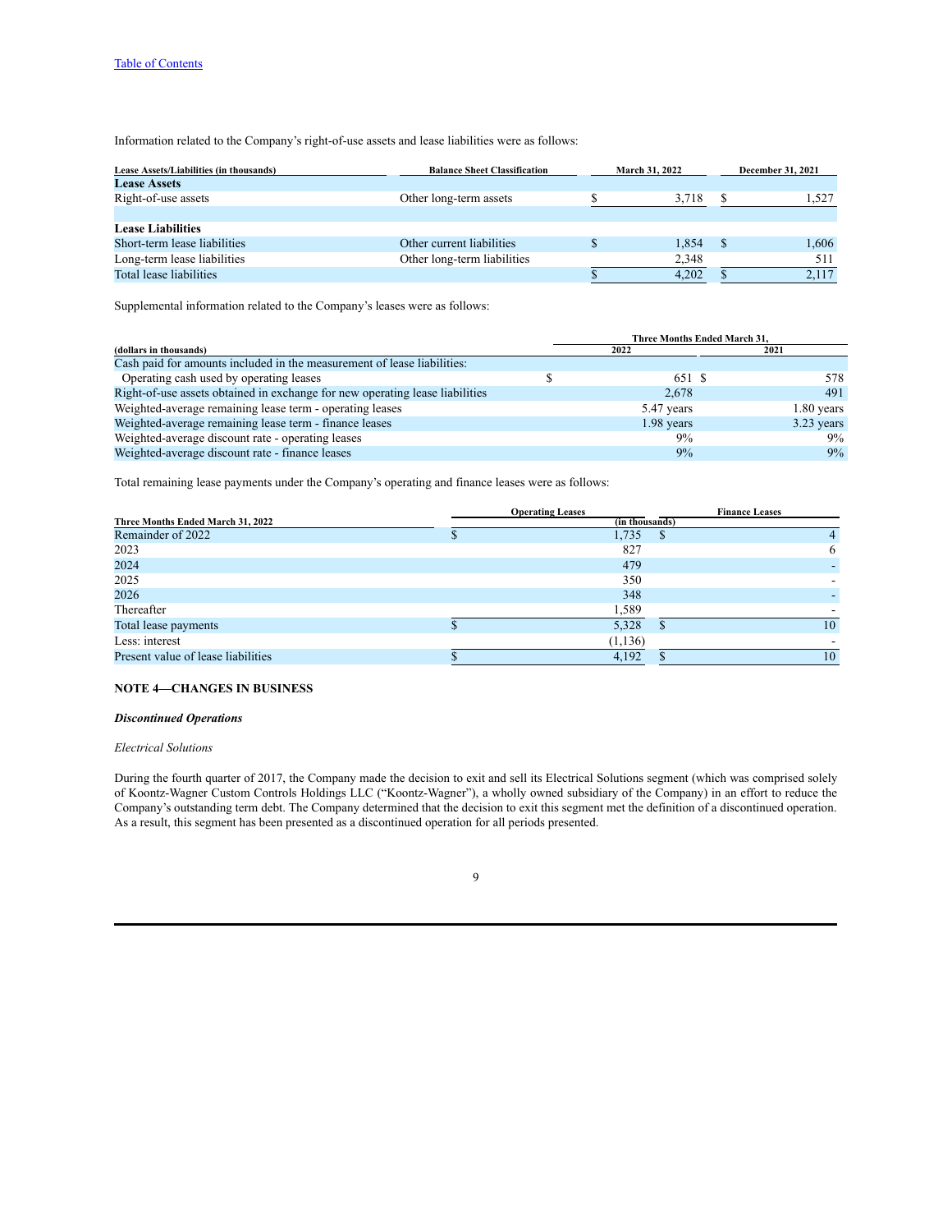Information related to the Company's right-of-use assets and lease liabilities were as follows:

| Lease Assets/Liabilities (in thousands) | <b>Balance Sheet Classification</b> | <b>March 31, 2022</b> |       | <b>December 31, 2021</b> |
|-----------------------------------------|-------------------------------------|-----------------------|-------|--------------------------|
| <b>Lease Assets</b>                     |                                     |                       |       |                          |
| Right-of-use assets                     | Other long-term assets              |                       | 3,718 | 1,527                    |
|                                         |                                     |                       |       |                          |
| <b>Lease Liabilities</b>                |                                     |                       |       |                          |
| Short-term lease liabilities            | Other current liabilities           |                       | 1.854 | 1,606                    |
| Long-term lease liabilities             | Other long-term liabilities         |                       | 2,348 | 511                      |
| Total lease liabilities                 |                                     |                       | 4.202 | 2,117                    |

Supplemental information related to the Company's leases were as follows:

|                                                                              | <b>Three Months Ended March 31.</b> |              |
|------------------------------------------------------------------------------|-------------------------------------|--------------|
| (dollars in thousands)                                                       | 2022                                | 2021         |
| Cash paid for amounts included in the measurement of lease liabilities:      |                                     |              |
| Operating cash used by operating leases                                      | 651 S                               | 578          |
| Right-of-use assets obtained in exchange for new operating lease liabilities | 2.678                               | 491          |
| Weighted-average remaining lease term - operating leases                     | 5.47 years                          | 1.80 years   |
| Weighted-average remaining lease term - finance leases                       | 1.98 years                          | $3.23$ years |
| Weighted-average discount rate - operating leases                            | 9%                                  | 9%           |
| Weighted-average discount rate - finance leases                              | 9%                                  | 9%           |

Total remaining lease payments under the Company's operating and finance leases were as follows:

|                                    | <b>Operating Leases</b> | <b>Finance Leases</b> |
|------------------------------------|-------------------------|-----------------------|
| Three Months Ended March 31, 2022  | (in thousands)          |                       |
| Remainder of 2022                  | 1,735<br>$\mathbf{D}$   |                       |
| 2023                               | 827                     | 6                     |
| 2024                               | 479                     |                       |
| 2025                               | 350                     |                       |
| 2026                               | 348                     |                       |
| Thereafter                         | 1,589                   |                       |
| Total lease payments               | 5,328                   | 10                    |
| Less: interest                     | (1, 136)                |                       |
| Present value of lease liabilities | 4,192                   | 10                    |
|                                    |                         |                       |

## **NOTE 4—CHANGES IN BUSINESS**

#### *Discontinued Operations*

## *Electrical Solutions*

During the fourth quarter of 2017, the Company made the decision to exit and sell its Electrical Solutions segment (which was comprised solely of Koontz-Wagner Custom Controls Holdings LLC ("Koontz-Wagner"), a wholly owned subsidiary of the Company) in an effort to reduce the Company's outstanding term debt. The Company determined that the decision to exit this segment met the definition of a discontinued operation. As a result, this segment has been presented as a discontinued operation for all periods presented.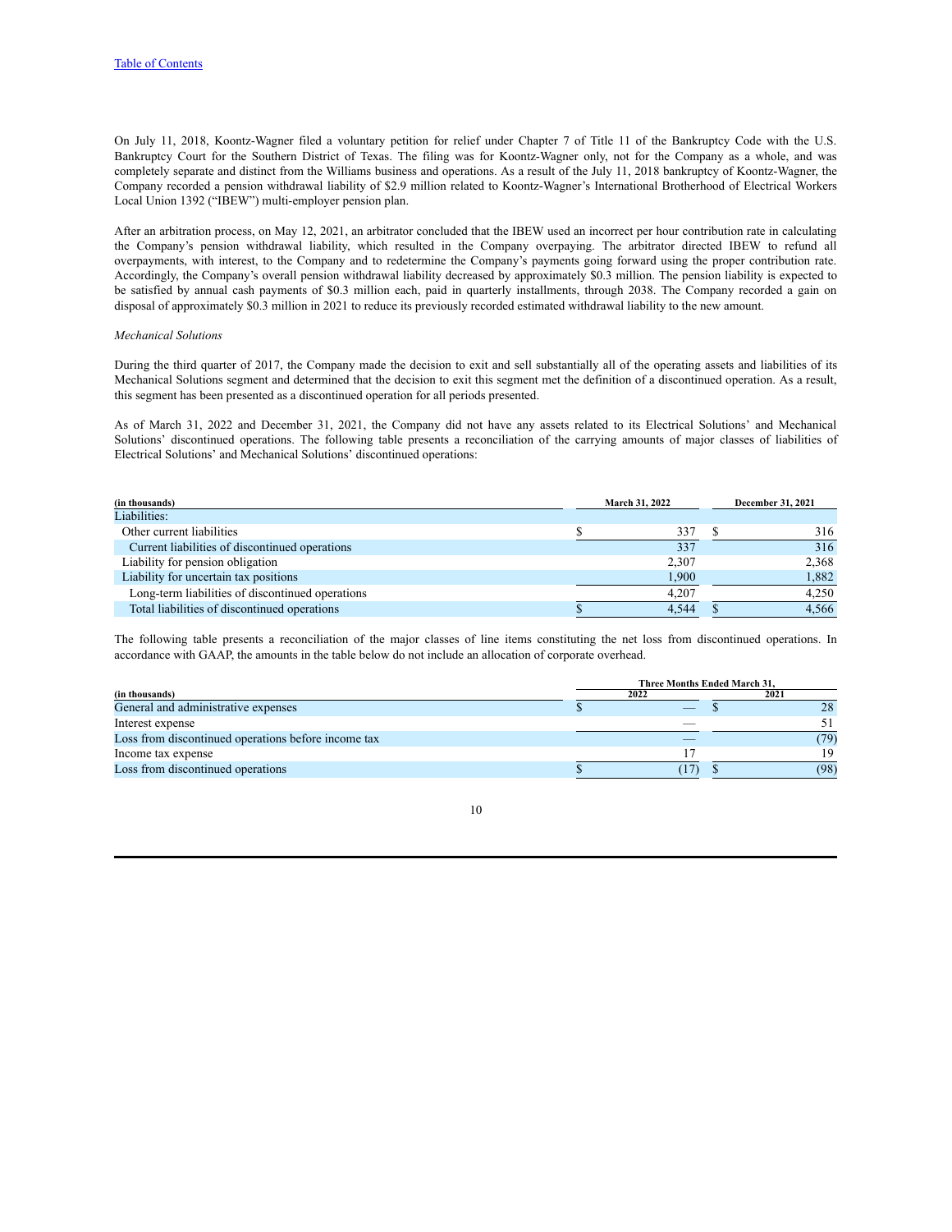On July 11, 2018, Koontz-Wagner filed a voluntary petition for relief under Chapter 7 of Title 11 of the Bankruptcy Code with the U.S. Bankruptcy Court for the Southern District of Texas. The filing was for Koontz-Wagner only, not for the Company as a whole, and was completely separate and distinct from the Williams business and operations. As a result of the July 11, 2018 bankruptcy of Koontz-Wagner, the Company recorded a pension withdrawal liability of \$2.9 million related to Koontz-Wagner's International Brotherhood of Electrical Workers Local Union 1392 ("IBEW") multi-employer pension plan.

After an arbitration process, on May 12, 2021, an arbitrator concluded that the IBEW used an incorrect per hour contribution rate in calculating the Company's pension withdrawal liability, which resulted in the Company overpaying. The arbitrator directed IBEW to refund all overpayments, with interest, to the Company and to redetermine the Company's payments going forward using the proper contribution rate. Accordingly, the Company's overall pension withdrawal liability decreased by approximately \$0.3 million. The pension liability is expected to be satisfied by annual cash payments of \$0.3 million each, paid in quarterly installments, through 2038. The Company recorded a gain on disposal of approximately \$0.3 million in 2021 to reduce its previously recorded estimated withdrawal liability to the new amount.

## *Mechanical Solutions*

During the third quarter of 2017, the Company made the decision to exit and sell substantially all of the operating assets and liabilities of its Mechanical Solutions segment and determined that the decision to exit this segment met the definition of a discontinued operation. As a result, this segment has been presented as a discontinued operation for all periods presented.

As of March 31, 2022 and December 31, 2021, the Company did not have any assets related to its Electrical Solutions' and Mechanical Solutions' discontinued operations. The following table presents a reconciliation of the carrying amounts of major classes of liabilities of Electrical Solutions' and Mechanical Solutions' discontinued operations:

| (in thousands)                                   | March 31, 2022 |       |  | December 31, 2021 |
|--------------------------------------------------|----------------|-------|--|-------------------|
| Liabilities:                                     |                |       |  |                   |
| Other current liabilities                        |                | 337   |  | 316               |
| Current liabilities of discontinued operations   |                | 337   |  | 316               |
| Liability for pension obligation                 |                | 2.307 |  | 2,368             |
| Liability for uncertain tax positions            |                | 1.900 |  | 1,882             |
| Long-term liabilities of discontinued operations |                | 4.207 |  | 4,250             |
| Total liabilities of discontinued operations     |                | 4,544 |  | 4,566             |

The following table presents a reconciliation of the major classes of line items constituting the net loss from discontinued operations. In accordance with GAAP, the amounts in the table below do not include an allocation of corporate overhead.

|                                                     | Three Months Ended March 31. |      |  |  |  |  |  |
|-----------------------------------------------------|------------------------------|------|--|--|--|--|--|
| (in thousands)                                      | 2022                         | 2021 |  |  |  |  |  |
| General and administrative expenses                 |                              | 28   |  |  |  |  |  |
| Interest expense                                    |                              |      |  |  |  |  |  |
| Loss from discontinued operations before income tax |                              | (79) |  |  |  |  |  |
| Income tax expense                                  |                              | ١q   |  |  |  |  |  |
| Loss from discontinued operations                   |                              | (98) |  |  |  |  |  |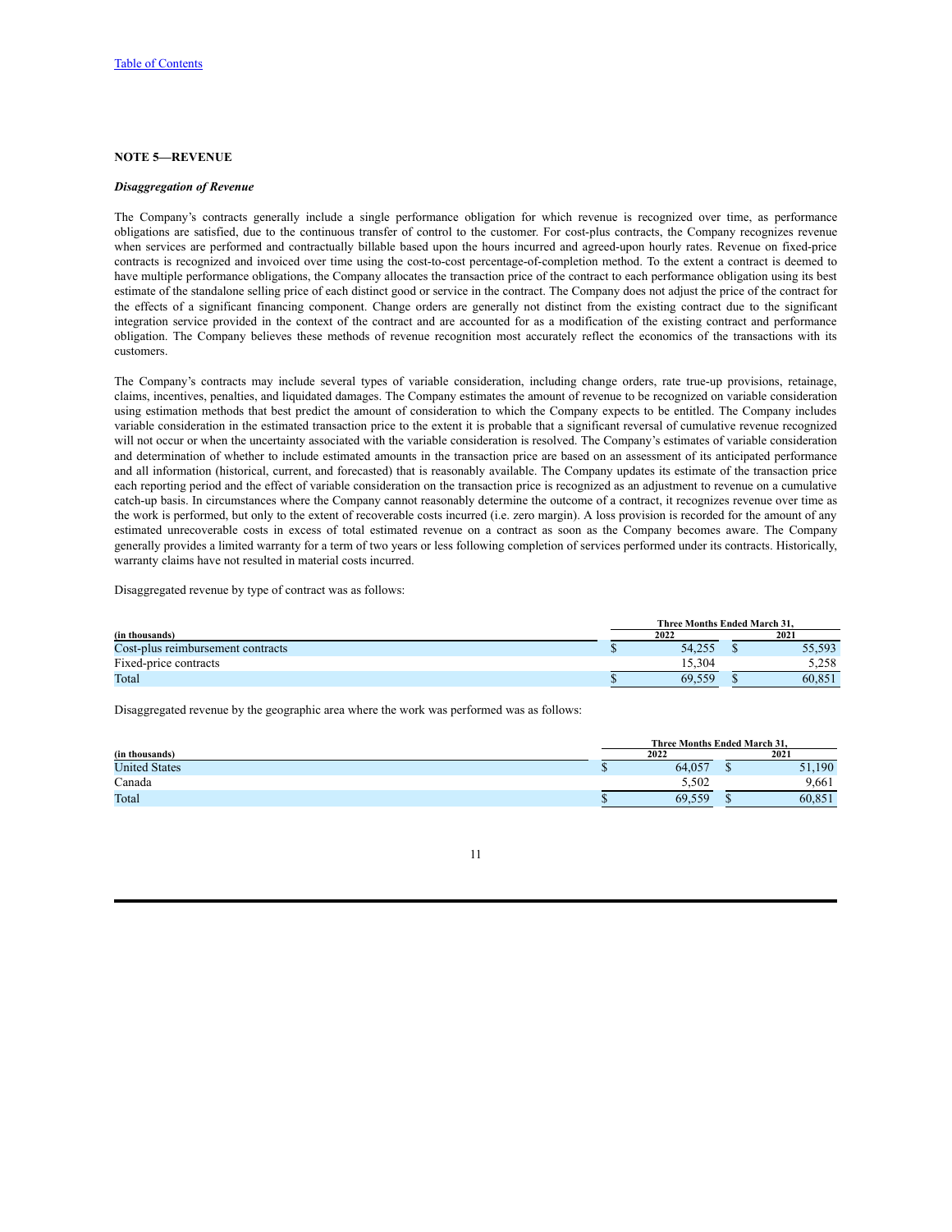#### **NOTE 5—REVENUE**

#### *Disaggregation of Revenue*

The Company's contracts generally include a single performance obligation for which revenue is recognized over time, as performance obligations are satisfied, due to the continuous transfer of control to the customer. For cost-plus contracts, the Company recognizes revenue when services are performed and contractually billable based upon the hours incurred and agreed-upon hourly rates. Revenue on fixed-price contracts is recognized and invoiced over time using the cost-to-cost percentage-of-completion method. To the extent a contract is deemed to have multiple performance obligations, the Company allocates the transaction price of the contract to each performance obligation using its best estimate of the standalone selling price of each distinct good or service in the contract. The Company does not adjust the price of the contract for the effects of a significant financing component. Change orders are generally not distinct from the existing contract due to the significant integration service provided in the context of the contract and are accounted for as a modification of the existing contract and performance obligation. The Company believes these methods of revenue recognition most accurately reflect the economics of the transactions with its customers.

The Company's contracts may include several types of variable consideration, including change orders, rate true-up provisions, retainage, claims, incentives, penalties, and liquidated damages. The Company estimates the amount of revenue to be recognized on variable consideration using estimation methods that best predict the amount of consideration to which the Company expects to be entitled. The Company includes variable consideration in the estimated transaction price to the extent it is probable that a significant reversal of cumulative revenue recognized will not occur or when the uncertainty associated with the variable consideration is resolved. The Company's estimates of variable consideration and determination of whether to include estimated amounts in the transaction price are based on an assessment of its anticipated performance and all information (historical, current, and forecasted) that is reasonably available. The Company updates its estimate of the transaction price each reporting period and the effect of variable consideration on the transaction price is recognized as an adjustment to revenue on a cumulative catch-up basis. In circumstances where the Company cannot reasonably determine the outcome of a contract, it recognizes revenue over time as the work is performed, but only to the extent of recoverable costs incurred (i.e. zero margin). A loss provision is recorded for the amount of any estimated unrecoverable costs in excess of total estimated revenue on a contract as soon as the Company becomes aware. The Company generally provides a limited warranty for a term of two years or less following completion of services performed under its contracts. Historically, warranty claims have not resulted in material costs incurred.

Disaggregated revenue by type of contract was as follows:

|                                   | <b>Three Months Ended March 31.</b> |        |  |        |
|-----------------------------------|-------------------------------------|--------|--|--------|
| (in thousands)                    |                                     | 2022   |  | 2021   |
| Cost-plus reimbursement contracts |                                     | 54.255 |  | 55,593 |
| Fixed-price contracts             |                                     | 5.304  |  | 5,258  |
| Total                             |                                     | 69.559 |  | 60.851 |

Disaggregated revenue by the geographic area where the work was performed was as follows:

|                      | Three Months Ended March 31. |  |        |  |
|----------------------|------------------------------|--|--------|--|
| (in thousands)       | 2022                         |  | 2021   |  |
| <b>United States</b> | 64,057                       |  | 51,190 |  |
| Canada               | 5.502                        |  | 9.661  |  |
| Total                | 69,559                       |  | 60,851 |  |

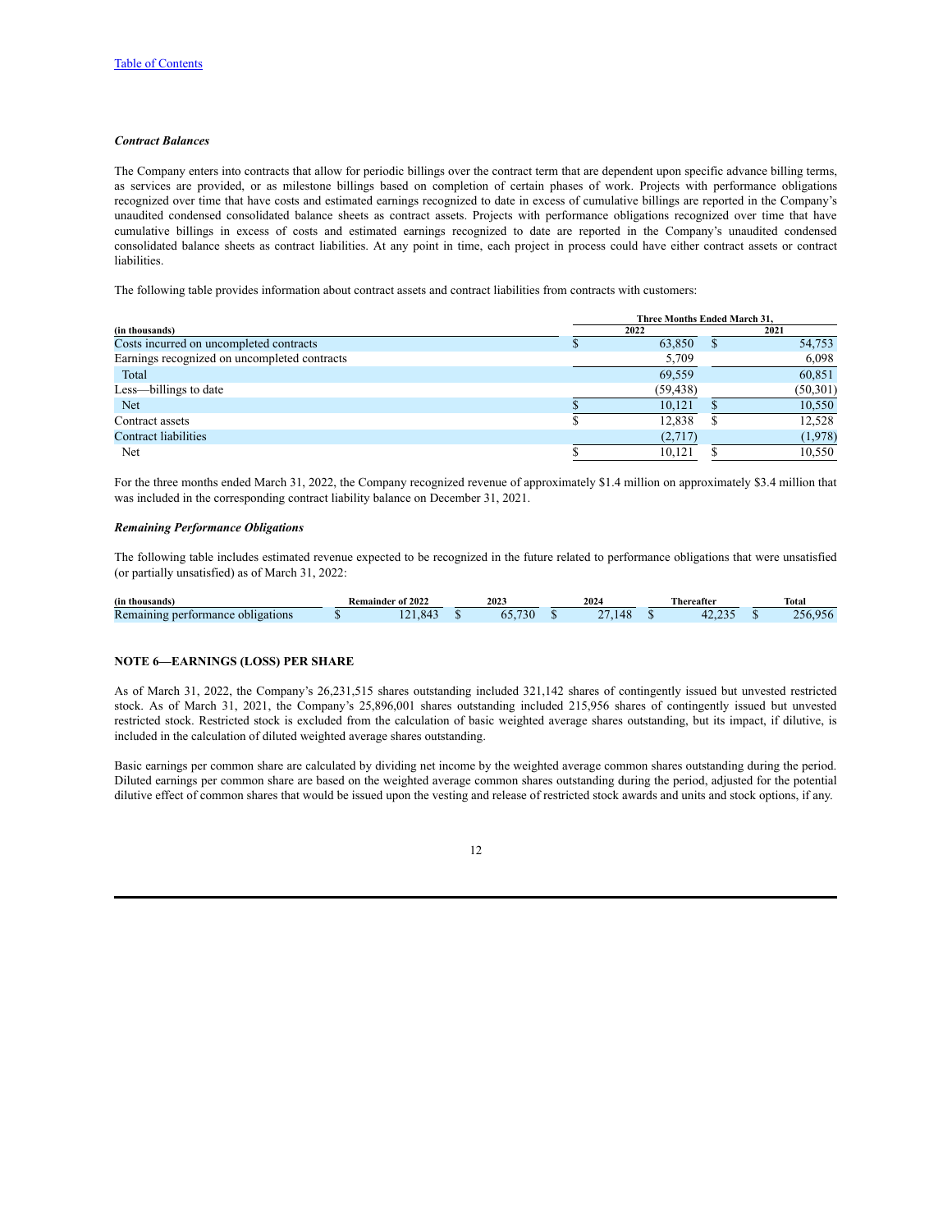### *Contract Balances*

The Company enters into contracts that allow for periodic billings over the contract term that are dependent upon specific advance billing terms, as services are provided, or as milestone billings based on completion of certain phases of work. Projects with performance obligations recognized over time that have costs and estimated earnings recognized to date in excess of cumulative billings are reported in the Company's unaudited condensed consolidated balance sheets as contract assets. Projects with performance obligations recognized over time that have cumulative billings in excess of costs and estimated earnings recognized to date are reported in the Company's unaudited condensed consolidated balance sheets as contract liabilities. At any point in time, each project in process could have either contract assets or contract liabilities.

The following table provides information about contract assets and contract liabilities from contracts with customers:

|                                              | Three Months Ended March 31. |           |  |           |  |  |  |  |
|----------------------------------------------|------------------------------|-----------|--|-----------|--|--|--|--|
| (in thousands)                               |                              | 2022      |  | 2021      |  |  |  |  |
| Costs incurred on uncompleted contracts      |                              | 63,850    |  | 54,753    |  |  |  |  |
| Earnings recognized on uncompleted contracts |                              | 5,709     |  | 6,098     |  |  |  |  |
| Total                                        |                              | 69,559    |  | 60,851    |  |  |  |  |
| Less—billings to date                        |                              | (59, 438) |  | (50, 301) |  |  |  |  |
| Net                                          |                              | 10,121    |  | 10,550    |  |  |  |  |
| Contract assets                              |                              | 12,838    |  | 12,528    |  |  |  |  |
| Contract liabilities                         |                              | (2,717)   |  | (1,978)   |  |  |  |  |
| Net                                          |                              | 10.121    |  | 10,550    |  |  |  |  |

For the three months ended March 31, 2022, the Company recognized revenue of approximately \$1.4 million on approximately \$3.4 million that was included in the corresponding contract liability balance on December 31, 2021.

## *Remaining Performance Obligations*

The following table includes estimated revenue expected to be recognized in the future related to performance obligations that were unsatisfied (or partially unsatisfied) as of March 31, 2022:

| (in thousands)                       | <b>Remainder of 2022</b> | 2023      | 2024 | <b>Thereafter</b> | <b>Total</b> |
|--------------------------------------|--------------------------|-----------|------|-------------------|--------------|
| Remaining performance<br>obligations | 84                       | .5U<br>O3 | . .  |                   | 956<br>356   |

## **NOTE 6—EARNINGS (LOSS) PER SHARE**

As of March 31, 2022, the Company's 26,231,515 shares outstanding included 321,142 shares of contingently issued but unvested restricted stock. As of March 31, 2021, the Company's 25,896,001 shares outstanding included 215,956 shares of contingently issued but unvested restricted stock. Restricted stock is excluded from the calculation of basic weighted average shares outstanding, but its impact, if dilutive, is included in the calculation of diluted weighted average shares outstanding.

Basic earnings per common share are calculated by dividing net income by the weighted average common shares outstanding during the period. Diluted earnings per common share are based on the weighted average common shares outstanding during the period, adjusted for the potential dilutive effect of common shares that would be issued upon the vesting and release of restricted stock awards and units and stock options, if any.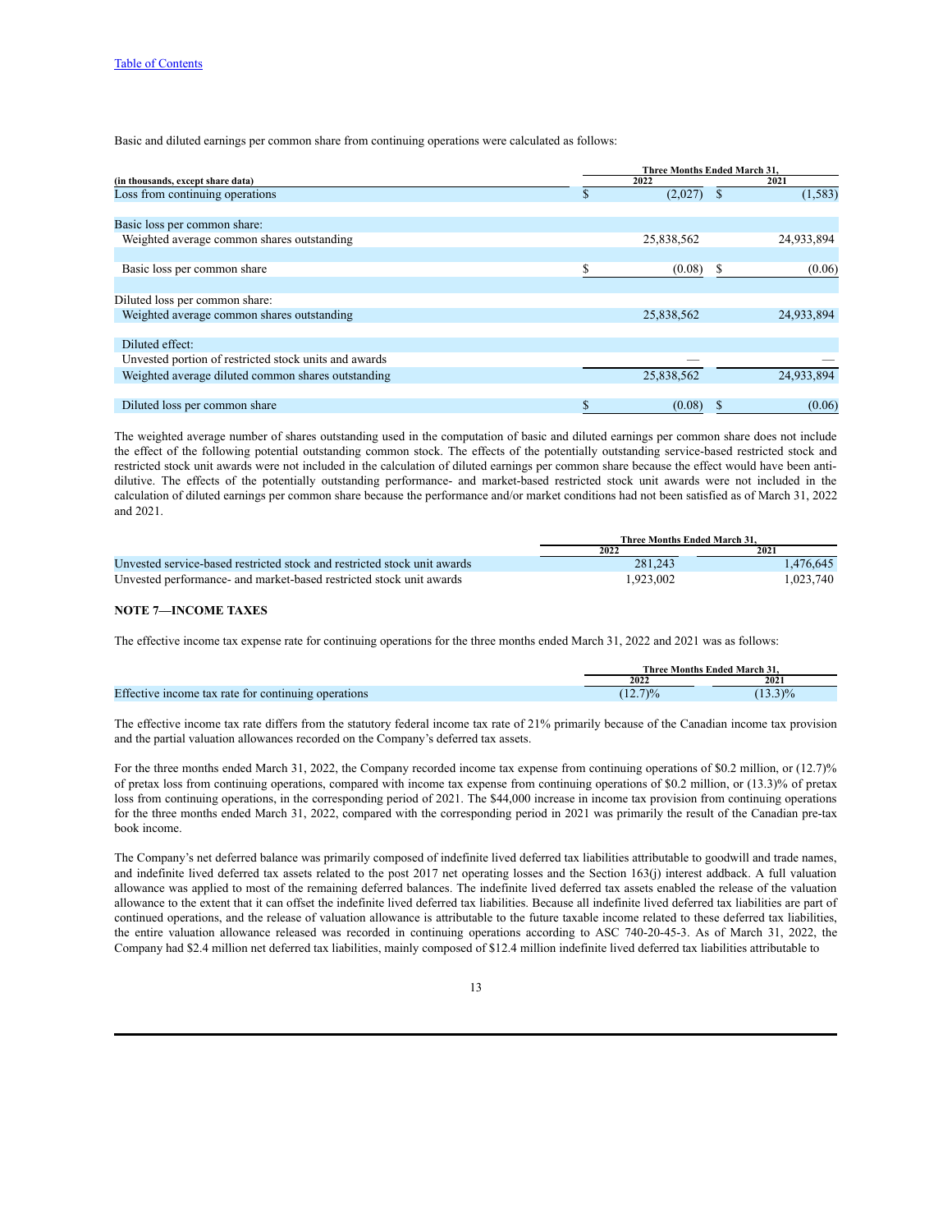Basic and diluted earnings per common share from continuing operations were calculated as follows:

|                                                       |    |            | <b>Three Months Ended March 31.</b> |            |  |
|-------------------------------------------------------|----|------------|-------------------------------------|------------|--|
| (in thousands, except share data)                     |    | 2022       |                                     | 2021       |  |
| Loss from continuing operations                       | ъ  | (2,027)    |                                     | (1, 583)   |  |
|                                                       |    |            |                                     |            |  |
| Basic loss per common share:                          |    |            |                                     |            |  |
| Weighted average common shares outstanding            |    | 25,838,562 |                                     | 24,933,894 |  |
|                                                       |    |            |                                     |            |  |
| Basic loss per common share                           |    | (0.08)     | S                                   | (0.06)     |  |
|                                                       |    |            |                                     |            |  |
| Diluted loss per common share:                        |    |            |                                     |            |  |
| Weighted average common shares outstanding            |    | 25,838,562 |                                     | 24,933,894 |  |
|                                                       |    |            |                                     |            |  |
| Diluted effect:                                       |    |            |                                     |            |  |
| Unvested portion of restricted stock units and awards |    |            |                                     |            |  |
| Weighted average diluted common shares outstanding    |    | 25,838,562 |                                     | 24,933,894 |  |
|                                                       |    |            |                                     |            |  |
| Diluted loss per common share                         | \$ | (0.08)     | ъ                                   | (0.06)     |  |

The weighted average number of shares outstanding used in the computation of basic and diluted earnings per common share does not include the effect of the following potential outstanding common stock. The effects of the potentially outstanding service-based restricted stock and restricted stock unit awards were not included in the calculation of diluted earnings per common share because the effect would have been antidilutive. The effects of the potentially outstanding performance- and market-based restricted stock unit awards were not included in the calculation of diluted earnings per common share because the performance and/or market conditions had not been satisfied as of March 31, 2022 and 2021.

|                                                                          | <b>Three Months Ended March 31.</b> |           |
|--------------------------------------------------------------------------|-------------------------------------|-----------|
|                                                                          | 2022                                | 2021      |
| Unvested service-based restricted stock and restricted stock unit awards | 281.243                             | 1.476.645 |
| Unvested performance- and market-based restricted stock unit awards      | 1.923.002                           | 1.023.740 |

### **NOTE 7—INCOME TAXES**

The effective income tax expense rate for continuing operations for the three months ended March 31, 2022 and 2021 was as follows:

|                                                     |          | <b>Three Months Ended March 31.</b> |
|-----------------------------------------------------|----------|-------------------------------------|
|                                                     | 2022     | 2021                                |
| Effective income tax rate for continuing operations | $12.7\%$ | $13.3\frac{9}{6}$                   |

The effective income tax rate differs from the statutory federal income tax rate of 21% primarily because of the Canadian income tax provision and the partial valuation allowances recorded on the Company's deferred tax assets.

For the three months ended March 31, 2022, the Company recorded income tax expense from continuing operations of \$0.2 million, or (12.7)% of pretax loss from continuing operations, compared with income tax expense from continuing operations of \$0.2 million, or (13.3)% of pretax loss from continuing operations, in the corresponding period of 2021. The \$44,000 increase in income tax provision from continuing operations for the three months ended March 31, 2022, compared with the corresponding period in 2021 was primarily the result of the Canadian pre-tax book income.

The Company's net deferred balance was primarily composed of indefinite lived deferred tax liabilities attributable to goodwill and trade names, and indefinite lived deferred tax assets related to the post 2017 net operating losses and the Section 163(j) interest addback. A full valuation allowance was applied to most of the remaining deferred balances. The indefinite lived deferred tax assets enabled the release of the valuation allowance to the extent that it can offset the indefinite lived deferred tax liabilities. Because all indefinite lived deferred tax liabilities are part of continued operations, and the release of valuation allowance is attributable to the future taxable income related to these deferred tax liabilities, the entire valuation allowance released was recorded in continuing operations according to ASC 740-20-45-3. As of March 31, 2022, the Company had \$2.4 million net deferred tax liabilities, mainly composed of \$12.4 million indefinite lived deferred tax liabilities attributable to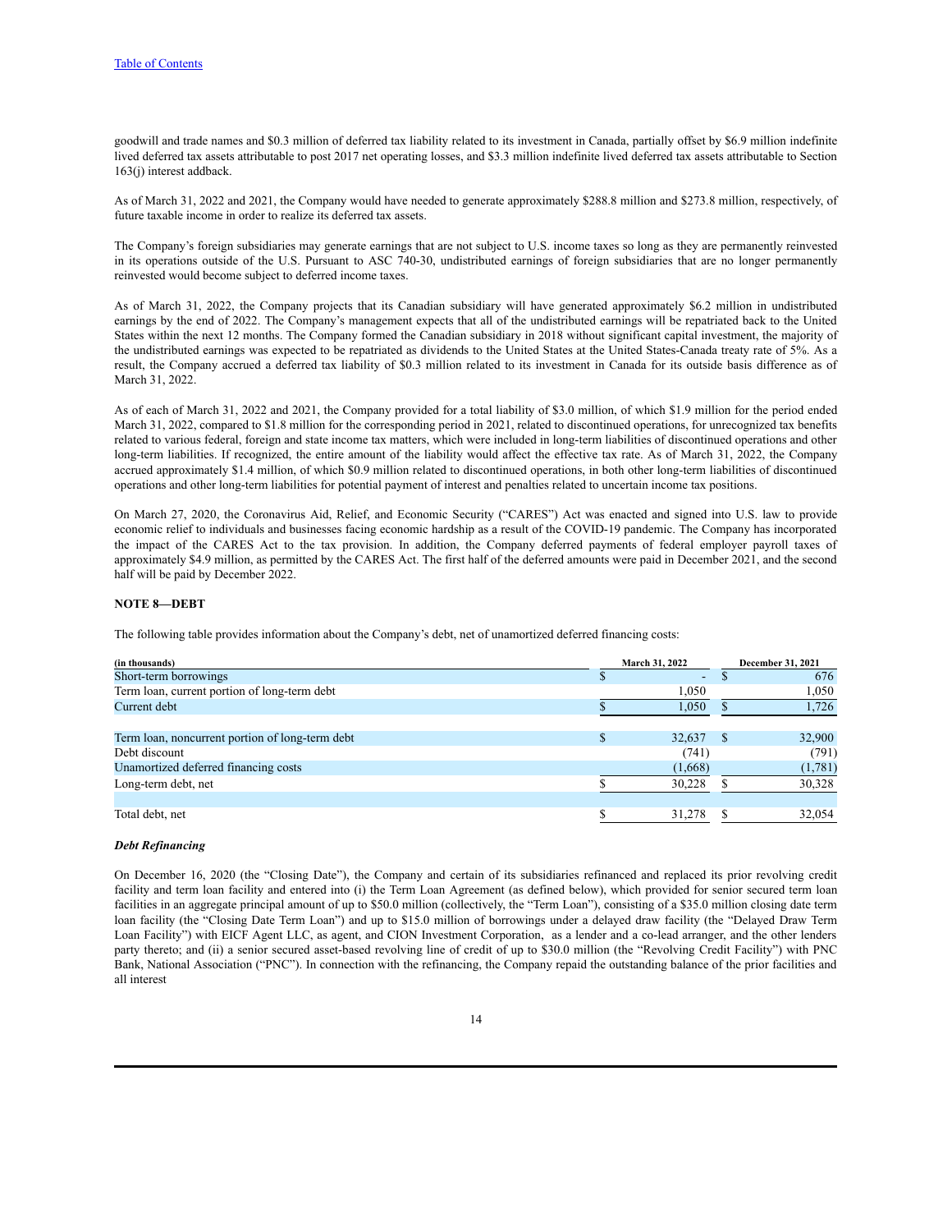goodwill and trade names and \$0.3 million of deferred tax liability related to its investment in Canada, partially offset by \$6.9 million indefinite lived deferred tax assets attributable to post 2017 net operating losses, and \$3.3 million indefinite lived deferred tax assets attributable to Section 163(j) interest addback.

As of March 31, 2022 and 2021, the Company would have needed to generate approximately \$288.8 million and \$273.8 million, respectively, of future taxable income in order to realize its deferred tax assets.

The Company's foreign subsidiaries may generate earnings that are not subject to U.S. income taxes so long as they are permanently reinvested in its operations outside of the U.S. Pursuant to ASC 740-30, undistributed earnings of foreign subsidiaries that are no longer permanently reinvested would become subject to deferred income taxes.

As of March 31, 2022, the Company projects that its Canadian subsidiary will have generated approximately \$6.2 million in undistributed earnings by the end of 2022. The Company's management expects that all of the undistributed earnings will be repatriated back to the United States within the next 12 months. The Company formed the Canadian subsidiary in 2018 without significant capital investment, the majority of the undistributed earnings was expected to be repatriated as dividends to the United States at the United States-Canada treaty rate of 5%. As a result, the Company accrued a deferred tax liability of \$0.3 million related to its investment in Canada for its outside basis difference as of March 31, 2022.

As of each of March 31, 2022 and 2021, the Company provided for a total liability of \$3.0 million, of which \$1.9 million for the period ended March 31, 2022, compared to \$1.8 million for the corresponding period in 2021, related to discontinued operations, for unrecognized tax benefits related to various federal, foreign and state income tax matters, which were included in long-term liabilities of discontinued operations and other long-term liabilities. If recognized, the entire amount of the liability would affect the effective tax rate. As of March 31, 2022, the Company accrued approximately \$1.4 million, of which \$0.9 million related to discontinued operations, in both other long-term liabilities of discontinued operations and other long-term liabilities for potential payment of interest and penalties related to uncertain income tax positions.

On March 27, 2020, the Coronavirus Aid, Relief, and Economic Security ("CARES") Act was enacted and signed into U.S. law to provide economic relief to individuals and businesses facing economic hardship as a result of the COVID-19 pandemic. The Company has incorporated the impact of the CARES Act to the tax provision. In addition, the Company deferred payments of federal employer payroll taxes of approximately \$4.9 million, as permitted by the CARES Act. The first half of the deferred amounts were paid in December 2021, and the second half will be paid by December 2022.

#### **NOTE 8—DEBT**

The following table provides information about the Company's debt, net of unamortized deferred financing costs:

| (in thousands)                                  | <b>March 31, 2022</b> | <b>December 31, 2021</b> |
|-------------------------------------------------|-----------------------|--------------------------|
| Short-term borrowings                           | $\sim$                | 676                      |
| Term loan, current portion of long-term debt    | 1.050                 | 1,050                    |
| Current debt                                    | 1,050                 | 1,726                    |
| Term loan, noncurrent portion of long-term debt | \$<br>32,637          | 32,900                   |
| Debt discount                                   | (741)                 | (791)                    |
| Unamortized deferred financing costs            | (1,668)               | (1,781)                  |
| Long-term debt, net                             | 30.228                | 30,328                   |
| Total debt, net                                 | 31,278                | 32,054                   |

## *Debt Refinancing*

On December 16, 2020 (the "Closing Date"), the Company and certain of its subsidiaries refinanced and replaced its prior revolving credit facility and term loan facility and entered into (i) the Term Loan Agreement (as defined below), which provided for senior secured term loan facilities in an aggregate principal amount of up to \$50.0 million (collectively, the "Term Loan"), consisting of a \$35.0 million closing date term loan facility (the "Closing Date Term Loan") and up to \$15.0 million of borrowings under a delayed draw facility (the "Delayed Draw Term Loan Facility") with EICF Agent LLC, as agent, and CION Investment Corporation, as a lender and a co-lead arranger, and the other lenders party thereto; and (ii) a senior secured asset-based revolving line of credit of up to \$30.0 million (the "Revolving Credit Facility") with PNC Bank, National Association ("PNC"). In connection with the refinancing, the Company repaid the outstanding balance of the prior facilities and all interest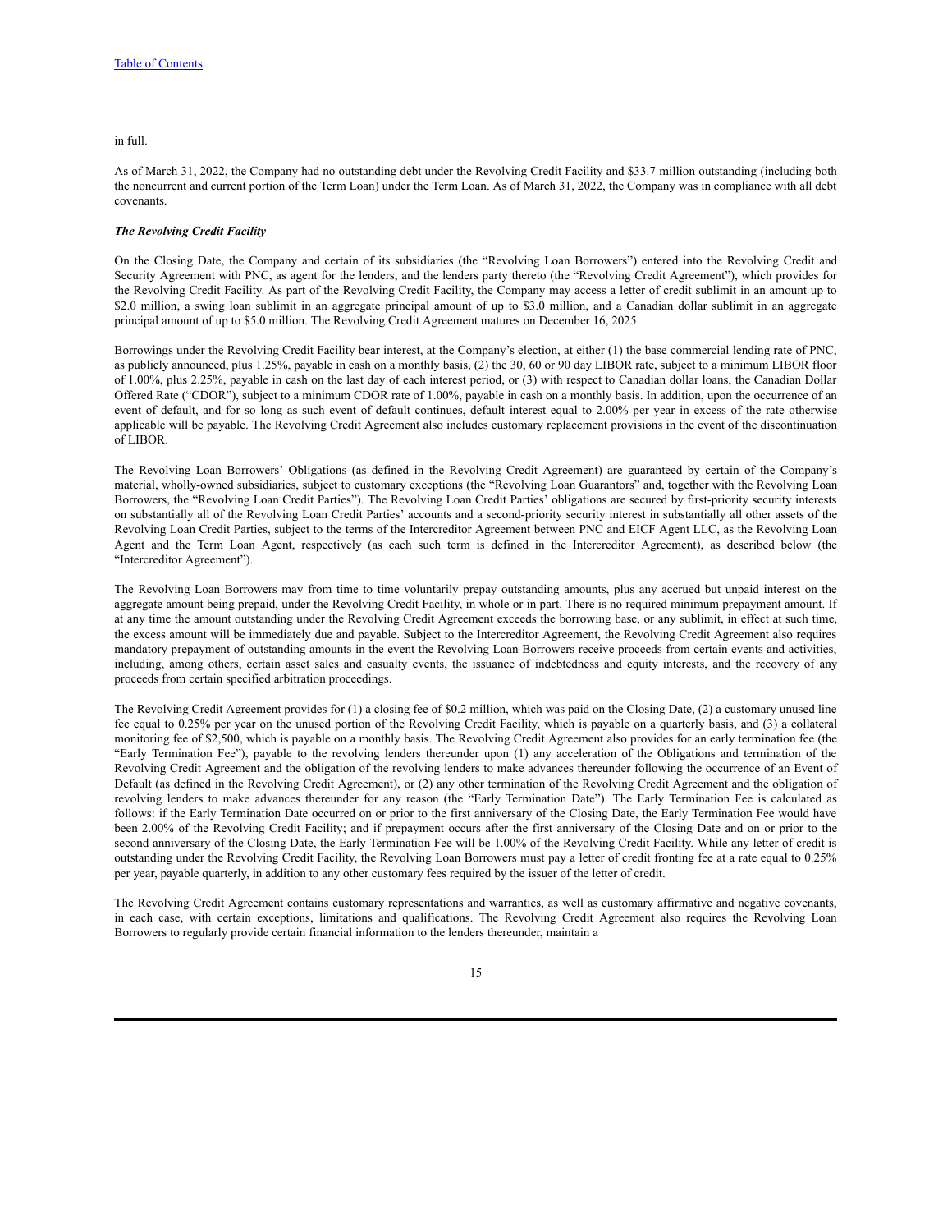#### in full.

As of March 31, 2022, the Company had no outstanding debt under the Revolving Credit Facility and \$33.7 million outstanding (including both the noncurrent and current portion of the Term Loan) under the Term Loan. As of March 31, 2022, the Company was in compliance with all debt covenants.

#### *The Revolving Credit Facility*

On the Closing Date, the Company and certain of its subsidiaries (the "Revolving Loan Borrowers") entered into the Revolving Credit and Security Agreement with PNC, as agent for the lenders, and the lenders party thereto (the "Revolving Credit Agreement"), which provides for the Revolving Credit Facility. As part of the Revolving Credit Facility, the Company may access a letter of credit sublimit in an amount up to \$2.0 million, a swing loan sublimit in an aggregate principal amount of up to \$3.0 million, and a Canadian dollar sublimit in an aggregate principal amount of up to \$5.0 million. The Revolving Credit Agreement matures on December 16, 2025.

Borrowings under the Revolving Credit Facility bear interest, at the Company's election, at either (1) the base commercial lending rate of PNC, as publicly announced, plus 1.25%, payable in cash on a monthly basis, (2) the 30, 60 or 90 day LIBOR rate, subject to a minimum LIBOR floor of 1.00%, plus 2.25%, payable in cash on the last day of each interest period, or (3) with respect to Canadian dollar loans, the Canadian Dollar Offered Rate ("CDOR"), subject to a minimum CDOR rate of 1.00%, payable in cash on a monthly basis. In addition, upon the occurrence of an event of default, and for so long as such event of default continues, default interest equal to 2.00% per year in excess of the rate otherwise applicable will be payable. The Revolving Credit Agreement also includes customary replacement provisions in the event of the discontinuation of LIBOR.

The Revolving Loan Borrowers' Obligations (as defined in the Revolving Credit Agreement) are guaranteed by certain of the Company's material, wholly-owned subsidiaries, subject to customary exceptions (the "Revolving Loan Guarantors" and, together with the Revolving Loan Borrowers, the "Revolving Loan Credit Parties"). The Revolving Loan Credit Parties' obligations are secured by first-priority security interests on substantially all of the Revolving Loan Credit Parties' accounts and a second-priority security interest in substantially all other assets of the Revolving Loan Credit Parties, subject to the terms of the Intercreditor Agreement between PNC and EICF Agent LLC, as the Revolving Loan Agent and the Term Loan Agent, respectively (as each such term is defined in the Intercreditor Agreement), as described below (the "Intercreditor Agreement").

The Revolving Loan Borrowers may from time to time voluntarily prepay outstanding amounts, plus any accrued but unpaid interest on the aggregate amount being prepaid, under the Revolving Credit Facility, in whole or in part. There is no required minimum prepayment amount. If at any time the amount outstanding under the Revolving Credit Agreement exceeds the borrowing base, or any sublimit, in effect at such time, the excess amount will be immediately due and payable. Subject to the Intercreditor Agreement, the Revolving Credit Agreement also requires mandatory prepayment of outstanding amounts in the event the Revolving Loan Borrowers receive proceeds from certain events and activities, including, among others, certain asset sales and casualty events, the issuance of indebtedness and equity interests, and the recovery of any proceeds from certain specified arbitration proceedings.

The Revolving Credit Agreement provides for (1) a closing fee of \$0.2 million, which was paid on the Closing Date, (2) a customary unused line fee equal to 0.25% per year on the unused portion of the Revolving Credit Facility, which is payable on a quarterly basis, and (3) a collateral monitoring fee of \$2,500, which is payable on a monthly basis. The Revolving Credit Agreement also provides for an early termination fee (the "Early Termination Fee"), payable to the revolving lenders thereunder upon (1) any acceleration of the Obligations and termination of the Revolving Credit Agreement and the obligation of the revolving lenders to make advances thereunder following the occurrence of an Event of Default (as defined in the Revolving Credit Agreement), or (2) any other termination of the Revolving Credit Agreement and the obligation of revolving lenders to make advances thereunder for any reason (the "Early Termination Date"). The Early Termination Fee is calculated as follows: if the Early Termination Date occurred on or prior to the first anniversary of the Closing Date, the Early Termination Fee would have been 2.00% of the Revolving Credit Facility; and if prepayment occurs after the first anniversary of the Closing Date and on or prior to the second anniversary of the Closing Date, the Early Termination Fee will be 1.00% of the Revolving Credit Facility. While any letter of credit is outstanding under the Revolving Credit Facility, the Revolving Loan Borrowers must pay a letter of credit fronting fee at a rate equal to 0.25% per year, payable quarterly, in addition to any other customary fees required by the issuer of the letter of credit.

The Revolving Credit Agreement contains customary representations and warranties, as well as customary affirmative and negative covenants, in each case, with certain exceptions, limitations and qualifications. The Revolving Credit Agreement also requires the Revolving Loan Borrowers to regularly provide certain financial information to the lenders thereunder, maintain a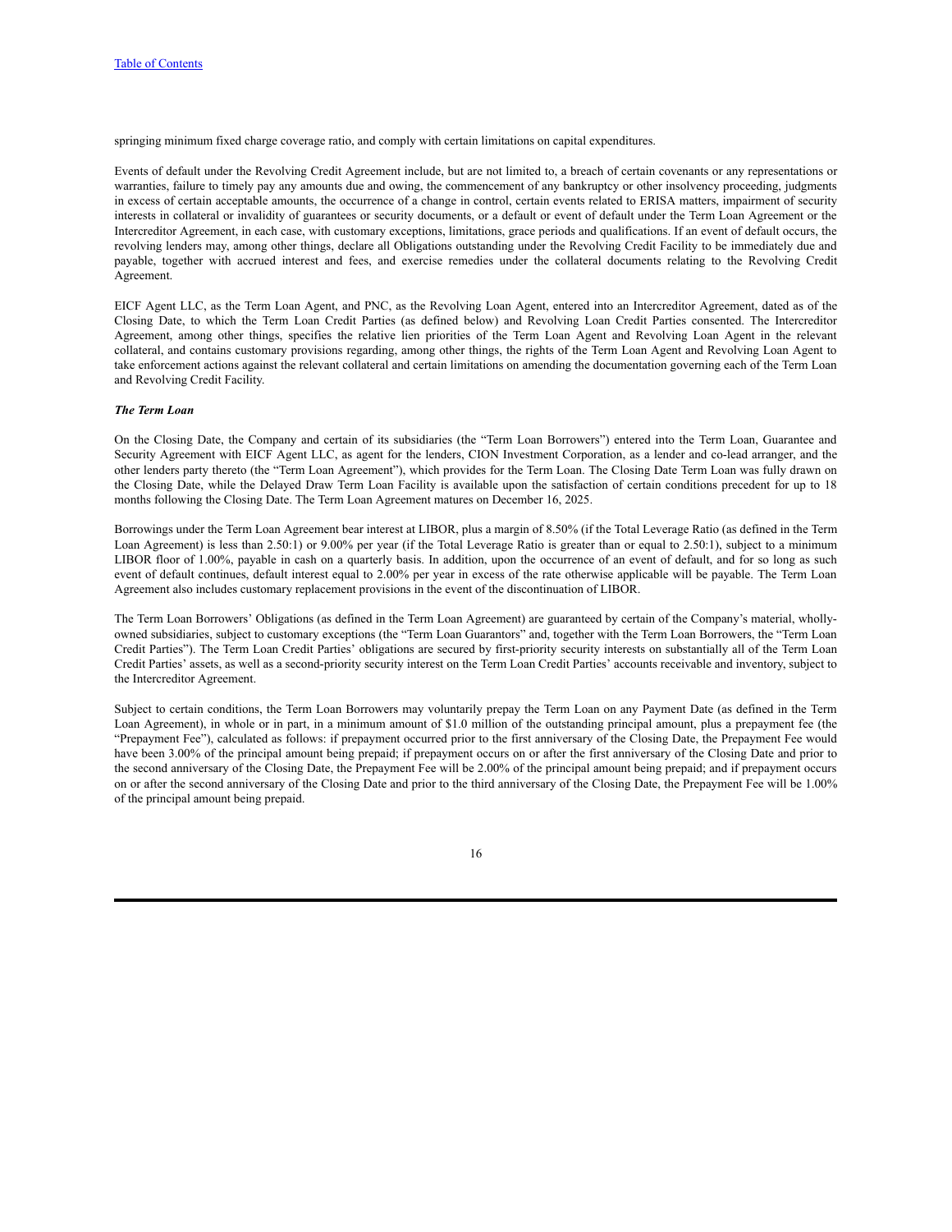springing minimum fixed charge coverage ratio, and comply with certain limitations on capital expenditures.

Events of default under the Revolving Credit Agreement include, but are not limited to, a breach of certain covenants or any representations or warranties, failure to timely pay any amounts due and owing, the commencement of any bankruptcy or other insolvency proceeding, judgments in excess of certain acceptable amounts, the occurrence of a change in control, certain events related to ERISA matters, impairment of security interests in collateral or invalidity of guarantees or security documents, or a default or event of default under the Term Loan Agreement or the Intercreditor Agreement, in each case, with customary exceptions, limitations, grace periods and qualifications. If an event of default occurs, the revolving lenders may, among other things, declare all Obligations outstanding under the Revolving Credit Facility to be immediately due and payable, together with accrued interest and fees, and exercise remedies under the collateral documents relating to the Revolving Credit Agreement.

EICF Agent LLC, as the Term Loan Agent, and PNC, as the Revolving Loan Agent, entered into an Intercreditor Agreement, dated as of the Closing Date, to which the Term Loan Credit Parties (as defined below) and Revolving Loan Credit Parties consented. The Intercreditor Agreement, among other things, specifies the relative lien priorities of the Term Loan Agent and Revolving Loan Agent in the relevant collateral, and contains customary provisions regarding, among other things, the rights of the Term Loan Agent and Revolving Loan Agent to take enforcement actions against the relevant collateral and certain limitations on amending the documentation governing each of the Term Loan and Revolving Credit Facility.

#### *The Term Loan*

On the Closing Date, the Company and certain of its subsidiaries (the "Term Loan Borrowers") entered into the Term Loan, Guarantee and Security Agreement with EICF Agent LLC, as agent for the lenders, CION Investment Corporation, as a lender and co-lead arranger, and the other lenders party thereto (the "Term Loan Agreement"), which provides for the Term Loan. The Closing Date Term Loan was fully drawn on the Closing Date, while the Delayed Draw Term Loan Facility is available upon the satisfaction of certain conditions precedent for up to 18 months following the Closing Date. The Term Loan Agreement matures on December 16, 2025.

Borrowings under the Term Loan Agreement bear interest at LIBOR, plus a margin of 8.50% (if the Total Leverage Ratio (as defined in the Term Loan Agreement) is less than 2.50:1) or 9.00% per year (if the Total Leverage Ratio is greater than or equal to 2.50:1), subject to a minimum LIBOR floor of 1.00%, payable in cash on a quarterly basis. In addition, upon the occurrence of an event of default, and for so long as such event of default continues, default interest equal to 2.00% per year in excess of the rate otherwise applicable will be payable. The Term Loan Agreement also includes customary replacement provisions in the event of the discontinuation of LIBOR.

The Term Loan Borrowers' Obligations (as defined in the Term Loan Agreement) are guaranteed by certain of the Company's material, whollyowned subsidiaries, subject to customary exceptions (the "Term Loan Guarantors" and, together with the Term Loan Borrowers, the "Term Loan Credit Parties"). The Term Loan Credit Parties' obligations are secured by first-priority security interests on substantially all of the Term Loan Credit Parties' assets, as well as a second-priority security interest on the Term Loan Credit Parties' accounts receivable and inventory, subject to the Intercreditor Agreement.

Subject to certain conditions, the Term Loan Borrowers may voluntarily prepay the Term Loan on any Payment Date (as defined in the Term Loan Agreement), in whole or in part, in a minimum amount of \$1.0 million of the outstanding principal amount, plus a prepayment fee (the "Prepayment Fee"), calculated as follows: if prepayment occurred prior to the first anniversary of the Closing Date, the Prepayment Fee would have been 3.00% of the principal amount being prepaid; if prepayment occurs on or after the first anniversary of the Closing Date and prior to the second anniversary of the Closing Date, the Prepayment Fee will be 2.00% of the principal amount being prepaid; and if prepayment occurs on or after the second anniversary of the Closing Date and prior to the third anniversary of the Closing Date, the Prepayment Fee will be 1.00% of the principal amount being prepaid.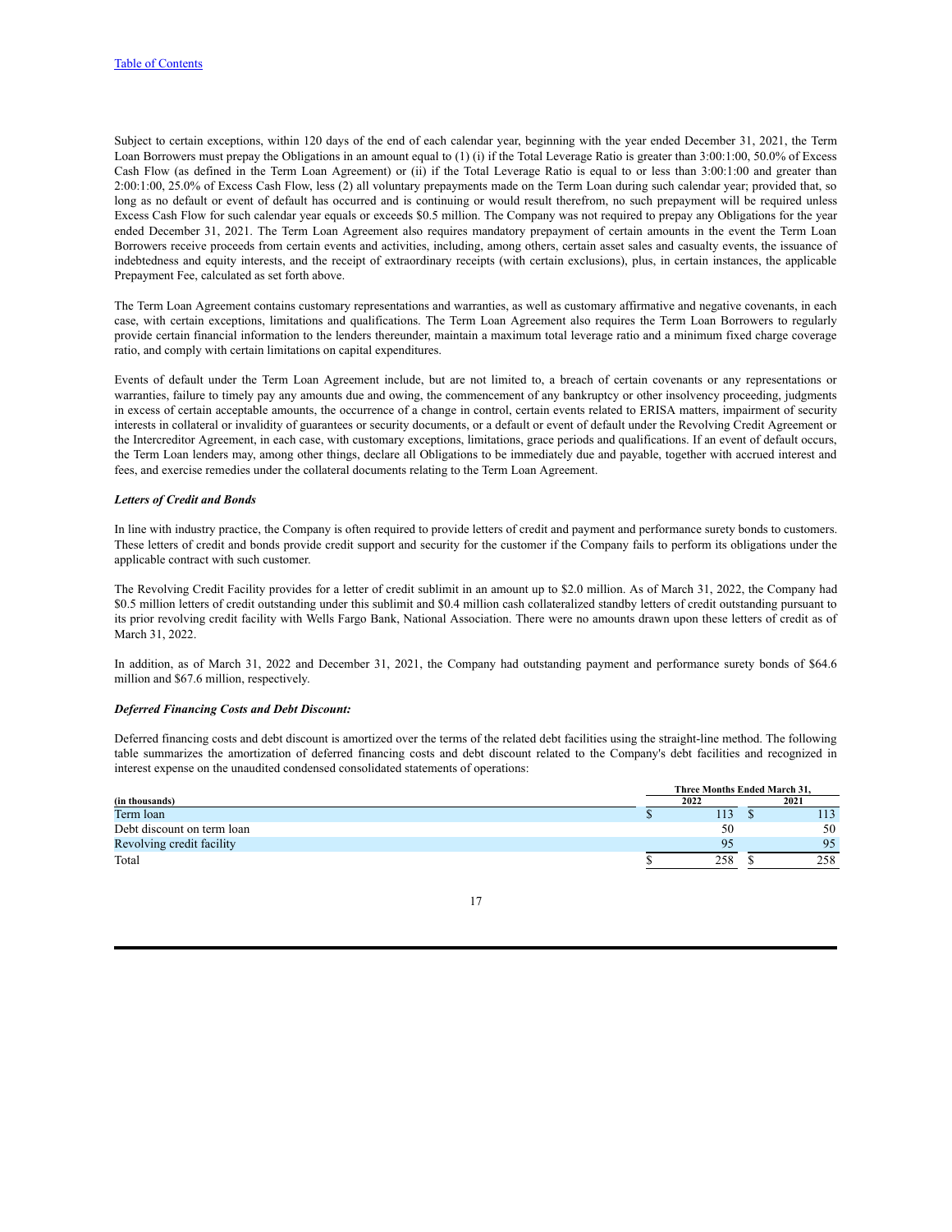Subject to certain exceptions, within 120 days of the end of each calendar year, beginning with the year ended December 31, 2021, the Term Loan Borrowers must prepay the Obligations in an amount equal to (1) (i) if the Total Leverage Ratio is greater than 3:00:1:00, 50.0% of Excess Cash Flow (as defined in the Term Loan Agreement) or (ii) if the Total Leverage Ratio is equal to or less than 3:00:1:00 and greater than 2:00:1:00, 25.0% of Excess Cash Flow, less (2) all voluntary prepayments made on the Term Loan during such calendar year; provided that, so long as no default or event of default has occurred and is continuing or would result therefrom, no such prepayment will be required unless Excess Cash Flow for such calendar year equals or exceeds \$0.5 million. The Company was not required to prepay any Obligations for the year ended December 31, 2021. The Term Loan Agreement also requires mandatory prepayment of certain amounts in the event the Term Loan Borrowers receive proceeds from certain events and activities, including, among others, certain asset sales and casualty events, the issuance of indebtedness and equity interests, and the receipt of extraordinary receipts (with certain exclusions), plus, in certain instances, the applicable Prepayment Fee, calculated as set forth above.

The Term Loan Agreement contains customary representations and warranties, as well as customary affirmative and negative covenants, in each case, with certain exceptions, limitations and qualifications. The Term Loan Agreement also requires the Term Loan Borrowers to regularly provide certain financial information to the lenders thereunder, maintain a maximum total leverage ratio and a minimum fixed charge coverage ratio, and comply with certain limitations on capital expenditures.

Events of default under the Term Loan Agreement include, but are not limited to, a breach of certain covenants or any representations or warranties, failure to timely pay any amounts due and owing, the commencement of any bankruptcy or other insolvency proceeding, judgments in excess of certain acceptable amounts, the occurrence of a change in control, certain events related to ERISA matters, impairment of security interests in collateral or invalidity of guarantees or security documents, or a default or event of default under the Revolving Credit Agreement or the Intercreditor Agreement, in each case, with customary exceptions, limitations, grace periods and qualifications. If an event of default occurs, the Term Loan lenders may, among other things, declare all Obligations to be immediately due and payable, together with accrued interest and fees, and exercise remedies under the collateral documents relating to the Term Loan Agreement.

#### *Letters of Credit and Bonds*

In line with industry practice, the Company is often required to provide letters of credit and payment and performance surety bonds to customers. These letters of credit and bonds provide credit support and security for the customer if the Company fails to perform its obligations under the applicable contract with such customer.

The Revolving Credit Facility provides for a letter of credit sublimit in an amount up to \$2.0 million. As of March 31, 2022, the Company had \$0.5 million letters of credit outstanding under this sublimit and \$0.4 million cash collateralized standby letters of credit outstanding pursuant to its prior revolving credit facility with Wells Fargo Bank, National Association. There were no amounts drawn upon these letters of credit as of March 31, 2022.

In addition, as of March 31, 2022 and December 31, 2021, the Company had outstanding payment and performance surety bonds of \$64.6 million and \$67.6 million, respectively.

## *Deferred Financing Costs and Debt Discount:*

Deferred financing costs and debt discount is amortized over the terms of the related debt facilities using the straight-line method. The following table summarizes the amortization of deferred financing costs and debt discount related to the Company's debt facilities and recognized in interest expense on the unaudited condensed consolidated statements of operations:

|                            | Three Months Ended March 31. |      |  |      |
|----------------------------|------------------------------|------|--|------|
| (in thousands)             |                              | 2022 |  | 2021 |
| Term loan                  |                              |      |  |      |
| Debt discount on term loan |                              | 50   |  | 50   |
| Revolving credit facility  |                              |      |  | 95   |
| Total                      |                              | 258  |  | 258  |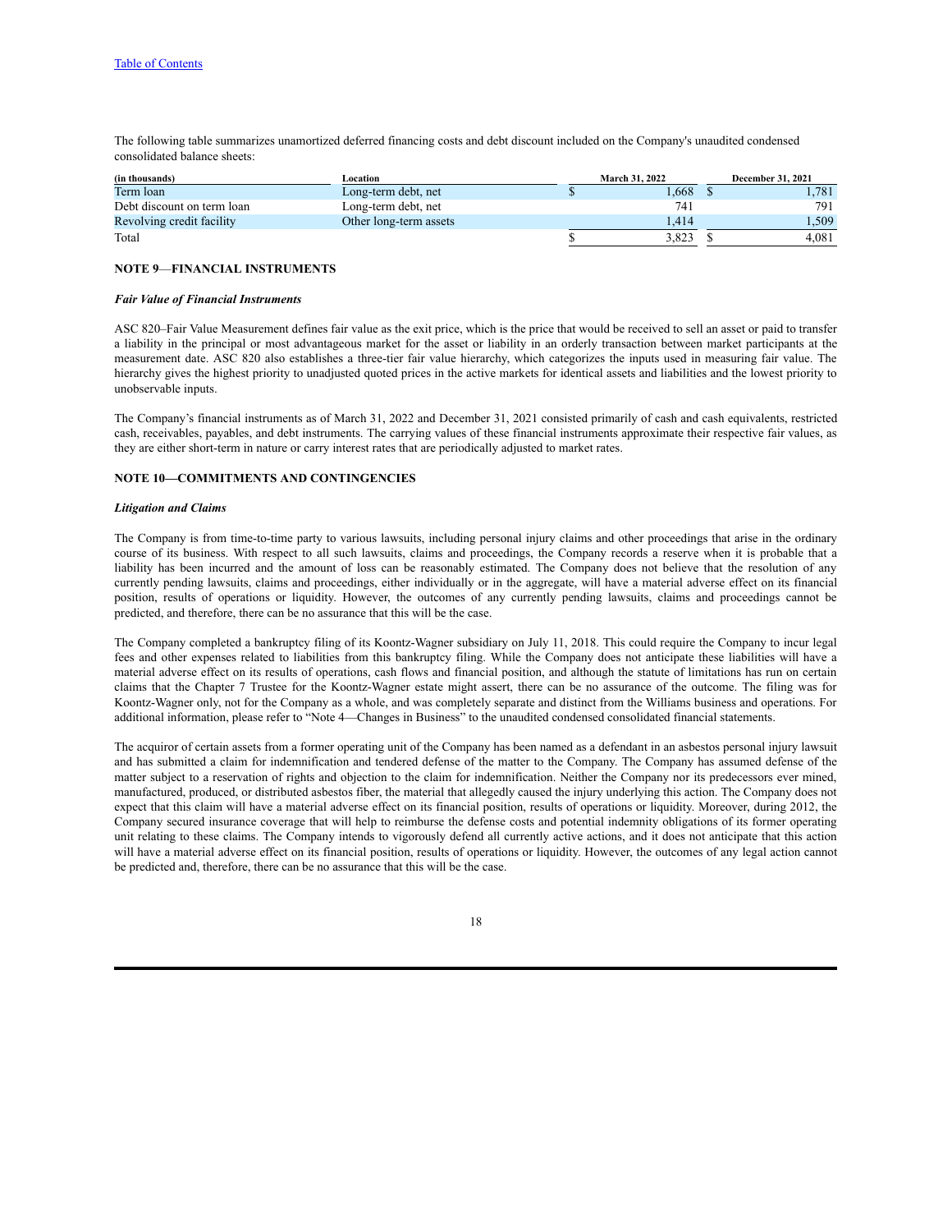The following table summarizes unamortized deferred financing costs and debt discount included on the Company's unaudited condensed consolidated balance sheets:

| (in thousands)             | Location               | <b>March 31, 2022</b> |       |  | <b>December 31, 2021</b> |
|----------------------------|------------------------|-----------------------|-------|--|--------------------------|
| Term loan                  | Long-term debt, net    |                       | .668  |  | l.781                    |
| Debt discount on term loan | Long-term debt, net    |                       | 741   |  | 791                      |
| Revolving credit facility  | Other long-term assets |                       | .414  |  | 1.509                    |
| Total                      |                        |                       | 3.823 |  | 4.081                    |

## **NOTE 9**—**FINANCIAL INSTRUMENTS**

#### *Fair Value of Financial Instruments*

ASC 820–Fair Value Measurement defines fair value as the exit price, which is the price that would be received to sell an asset or paid to transfer a liability in the principal or most advantageous market for the asset or liability in an orderly transaction between market participants at the measurement date. ASC 820 also establishes a three-tier fair value hierarchy, which categorizes the inputs used in measuring fair value. The hierarchy gives the highest priority to unadjusted quoted prices in the active markets for identical assets and liabilities and the lowest priority to unobservable inputs.

The Company's financial instruments as of March 31, 2022 and December 31, 2021 consisted primarily of cash and cash equivalents, restricted cash, receivables, payables, and debt instruments. The carrying values of these financial instruments approximate their respective fair values, as they are either short-term in nature or carry interest rates that are periodically adjusted to market rates.

## **NOTE 10—COMMITMENTS AND CONTINGENCIES**

#### *Litigation and Claims*

The Company is from time-to-time party to various lawsuits, including personal injury claims and other proceedings that arise in the ordinary course of its business. With respect to all such lawsuits, claims and proceedings, the Company records a reserve when it is probable that a liability has been incurred and the amount of loss can be reasonably estimated. The Company does not believe that the resolution of any currently pending lawsuits, claims and proceedings, either individually or in the aggregate, will have a material adverse effect on its financial position, results of operations or liquidity. However, the outcomes of any currently pending lawsuits, claims and proceedings cannot be predicted, and therefore, there can be no assurance that this will be the case.

The Company completed a bankruptcy filing of its Koontz-Wagner subsidiary on July 11, 2018. This could require the Company to incur legal fees and other expenses related to liabilities from this bankruptcy filing. While the Company does not anticipate these liabilities will have a material adverse effect on its results of operations, cash flows and financial position, and although the statute of limitations has run on certain claims that the Chapter 7 Trustee for the Koontz-Wagner estate might assert, there can be no assurance of the outcome. The filing was for Koontz-Wagner only, not for the Company as a whole, and was completely separate and distinct from the Williams business and operations. For additional information, please refer to "Note 4—Changes in Business" to the unaudited condensed consolidated financial statements.

The acquiror of certain assets from a former operating unit of the Company has been named as a defendant in an asbestos personal injury lawsuit and has submitted a claim for indemnification and tendered defense of the matter to the Company. The Company has assumed defense of the matter subject to a reservation of rights and objection to the claim for indemnification. Neither the Company nor its predecessors ever mined, manufactured, produced, or distributed asbestos fiber, the material that allegedly caused the injury underlying this action. The Company does not expect that this claim will have a material adverse effect on its financial position, results of operations or liquidity. Moreover, during 2012, the Company secured insurance coverage that will help to reimburse the defense costs and potential indemnity obligations of its former operating unit relating to these claims. The Company intends to vigorously defend all currently active actions, and it does not anticipate that this action will have a material adverse effect on its financial position, results of operations or liquidity. However, the outcomes of any legal action cannot be predicted and, therefore, there can be no assurance that this will be the case.

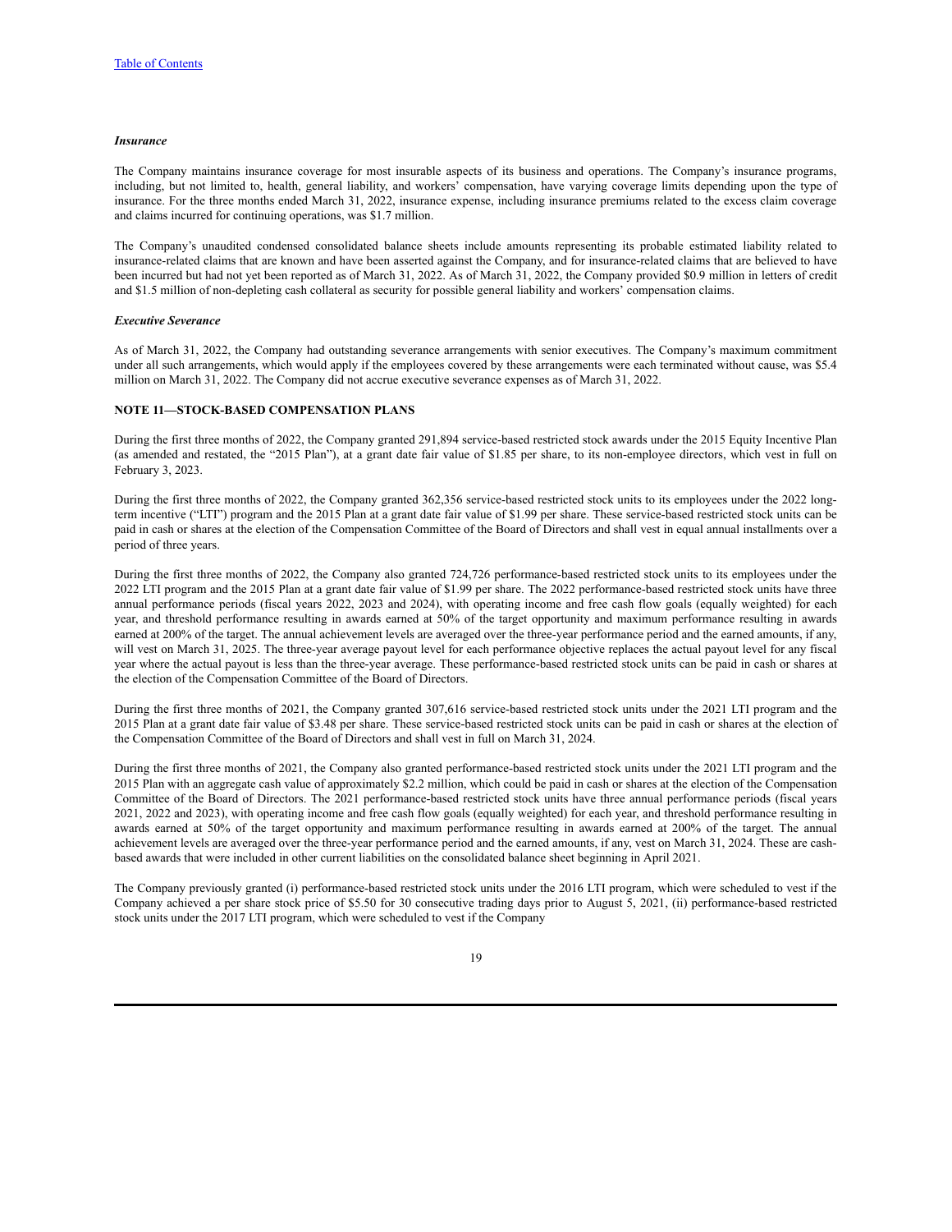#### *Insurance*

The Company maintains insurance coverage for most insurable aspects of its business and operations. The Company's insurance programs, including, but not limited to, health, general liability, and workers' compensation, have varying coverage limits depending upon the type of insurance. For the three months ended March 31, 2022, insurance expense, including insurance premiums related to the excess claim coverage and claims incurred for continuing operations, was \$1.7 million.

The Company's unaudited condensed consolidated balance sheets include amounts representing its probable estimated liability related to insurance-related claims that are known and have been asserted against the Company, and for insurance-related claims that are believed to have been incurred but had not yet been reported as of March 31, 2022. As of March 31, 2022, the Company provided \$0.9 million in letters of credit and \$1.5 million of non-depleting cash collateral as security for possible general liability and workers' compensation claims.

#### *Executive Severance*

As of March 31, 2022, the Company had outstanding severance arrangements with senior executives. The Company's maximum commitment under all such arrangements, which would apply if the employees covered by these arrangements were each terminated without cause, was \$5.4 million on March 31, 2022. The Company did not accrue executive severance expenses as of March 31, 2022.

#### **NOTE 11—STOCK-BASED COMPENSATION PLANS**

During the first three months of 2022, the Company granted 291,894 service-based restricted stock awards under the 2015 Equity Incentive Plan (as amended and restated, the "2015 Plan"), at a grant date fair value of \$1.85 per share, to its non-employee directors, which vest in full on February 3, 2023.

During the first three months of 2022, the Company granted 362,356 service-based restricted stock units to its employees under the 2022 longterm incentive ("LTI") program and the 2015 Plan at a grant date fair value of \$1.99 per share. These service-based restricted stock units can be paid in cash or shares at the election of the Compensation Committee of the Board of Directors and shall vest in equal annual installments over a period of three years.

During the first three months of 2022, the Company also granted 724,726 performance-based restricted stock units to its employees under the 2022 LTI program and the 2015 Plan at a grant date fair value of \$1.99 per share. The 2022 performance-based restricted stock units have three annual performance periods (fiscal years 2022, 2023 and 2024), with operating income and free cash flow goals (equally weighted) for each year, and threshold performance resulting in awards earned at 50% of the target opportunity and maximum performance resulting in awards earned at 200% of the target. The annual achievement levels are averaged over the three-year performance period and the earned amounts, if any, will vest on March 31, 2025. The three-year average payout level for each performance objective replaces the actual payout level for any fiscal year where the actual payout is less than the three-year average. These performance-based restricted stock units can be paid in cash or shares at the election of the Compensation Committee of the Board of Directors.

During the first three months of 2021, the Company granted 307,616 service-based restricted stock units under the 2021 LTI program and the 2015 Plan at a grant date fair value of \$3.48 per share. These service-based restricted stock units can be paid in cash or shares at the election of the Compensation Committee of the Board of Directors and shall vest in full on March 31, 2024.

During the first three months of 2021, the Company also granted performance-based restricted stock units under the 2021 LTI program and the 2015 Plan with an aggregate cash value of approximately \$2.2 million, which could be paid in cash or shares at the election of the Compensation Committee of the Board of Directors. The 2021 performance-based restricted stock units have three annual performance periods (fiscal years 2021, 2022 and 2023), with operating income and free cash flow goals (equally weighted) for each year, and threshold performance resulting in awards earned at 50% of the target opportunity and maximum performance resulting in awards earned at 200% of the target. The annual achievement levels are averaged over the three-year performance period and the earned amounts, if any, vest on March 31, 2024. These are cashbased awards that were included in other current liabilities on the consolidated balance sheet beginning in April 2021.

The Company previously granted (i) performance-based restricted stock units under the 2016 LTI program, which were scheduled to vest if the Company achieved a per share stock price of \$5.50 for 30 consecutive trading days prior to August 5, 2021, (ii) performance-based restricted stock units under the 2017 LTI program, which were scheduled to vest if the Company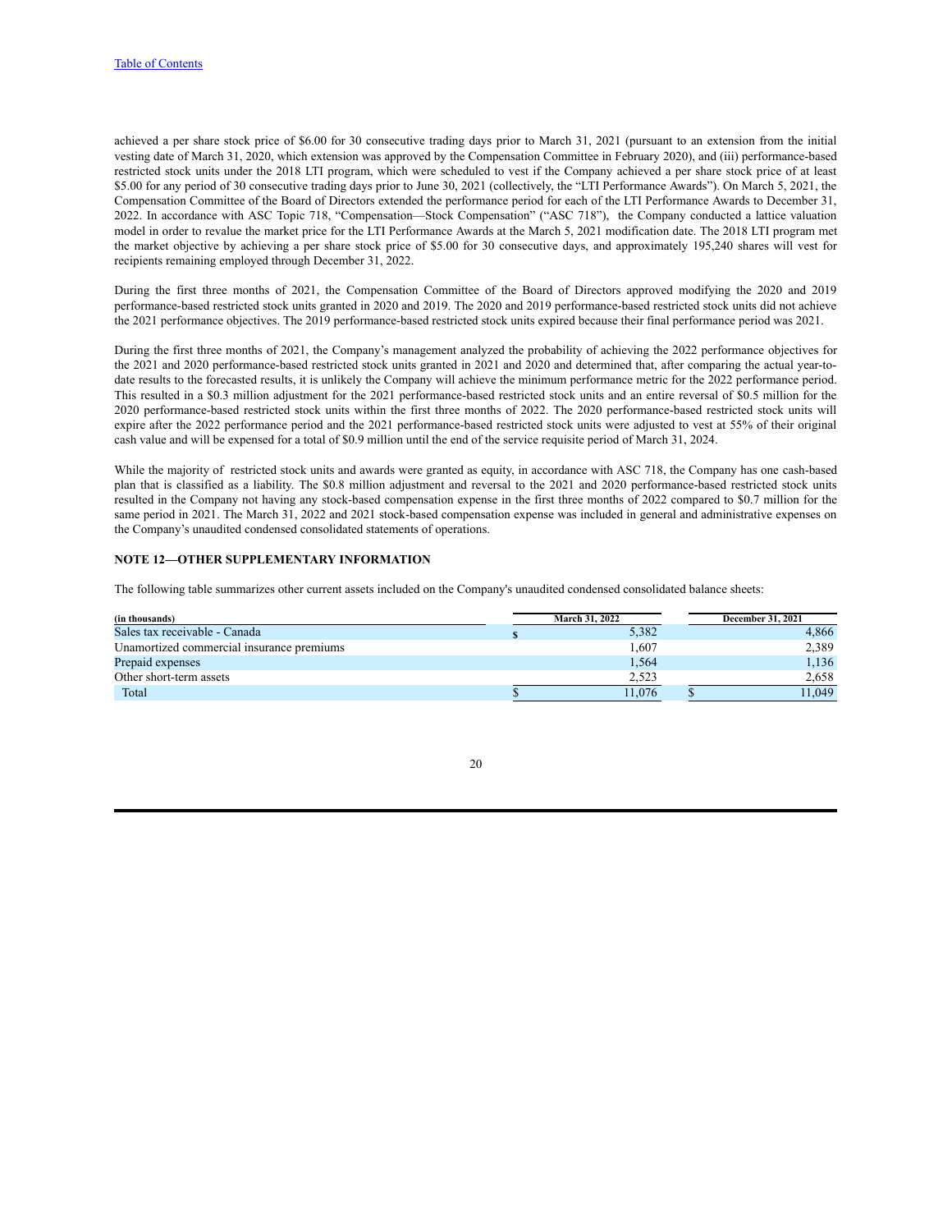achieved a per share stock price of \$6.00 for 30 consecutive trading days prior to March 31, 2021 (pursuant to an extension from the initial vesting date of March 31, 2020, which extension was approved by the Compensation Committee in February 2020), and (iii) performance-based restricted stock units under the 2018 LTI program, which were scheduled to vest if the Company achieved a per share stock price of at least \$5.00 for any period of 30 consecutive trading days prior to June 30, 2021 (collectively, the "LTI Performance Awards"). On March 5, 2021, the Compensation Committee of the Board of Directors extended the performance period for each of the LTI Performance Awards to December 31, 2022. In accordance with ASC Topic 718, "Compensation—Stock Compensation" ("ASC 718"), the Company conducted a lattice valuation model in order to revalue the market price for the LTI Performance Awards at the March 5, 2021 modification date. The 2018 LTI program met the market objective by achieving a per share stock price of \$5.00 for 30 consecutive days, and approximately 195,240 shares will vest for recipients remaining employed through December 31, 2022.

During the first three months of 2021, the Compensation Committee of the Board of Directors approved modifying the 2020 and 2019 performance-based restricted stock units granted in 2020 and 2019. The 2020 and 2019 performance-based restricted stock units did not achieve the 2021 performance objectives. The 2019 performance-based restricted stock units expired because their final performance period was 2021.

During the first three months of 2021, the Company's management analyzed the probability of achieving the 2022 performance objectives for the 2021 and 2020 performance-based restricted stock units granted in 2021 and 2020 and determined that, after comparing the actual year-todate results to the forecasted results, it is unlikely the Company will achieve the minimum performance metric for the 2022 performance period. This resulted in a \$0.3 million adjustment for the 2021 performance-based restricted stock units and an entire reversal of \$0.5 million for the 2020 performance-based restricted stock units within the first three months of 2022. The 2020 performance-based restricted stock units will expire after the 2022 performance period and the 2021 performance-based restricted stock units were adjusted to vest at 55% of their original cash value and will be expensed for a total of \$0.9 million until the end of the service requisite period of March 31, 2024.

While the majority of restricted stock units and awards were granted as equity, in accordance with ASC 718, the Company has one cash-based plan that is classified as a liability. The \$0.8 million adjustment and reversal to the 2021 and 2020 performance-based restricted stock units resulted in the Company not having any stock-based compensation expense in the first three months of 2022 compared to \$0.7 million for the same period in 2021. The March 31, 2022 and 2021 stock-based compensation expense was included in general and administrative expenses on the Company's unaudited condensed consolidated statements of operations.

### **NOTE 12—OTHER SUPPLEMENTARY INFORMATION**

The following table summarizes other current assets included on the Company's unaudited condensed consolidated balance sheets:

| (in thousands)                            | <b>March 31, 2022</b> | <b>December 31, 2021</b> |
|-------------------------------------------|-----------------------|--------------------------|
| Sales tax receivable - Canada             | 5,382                 | 4,866                    |
| Unamortized commercial insurance premiums | 1.607                 | 2,389                    |
| Prepaid expenses                          | 1,564                 | 1,136                    |
| Other short-term assets                   | 2,523                 | 2.658                    |
| Total                                     | 11.076                | 11.049                   |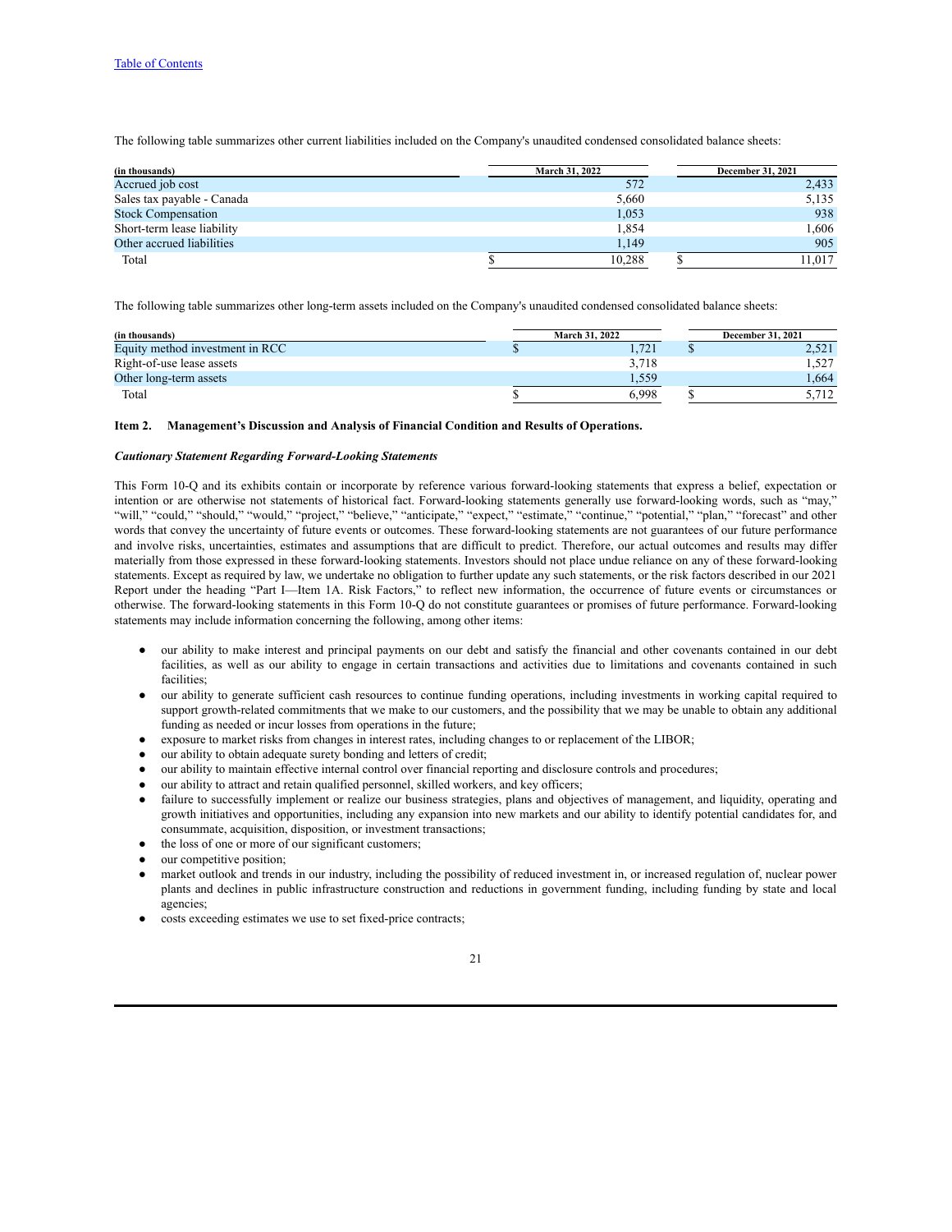The following table summarizes other current liabilities included on the Company's unaudited condensed consolidated balance sheets:

| (in thousands)             | <b>March 31, 2022</b> | <b>December 31, 2021</b> |
|----------------------------|-----------------------|--------------------------|
| Accrued job cost           | 572                   | 2,433                    |
| Sales tax payable - Canada | 5,660                 | 5,135                    |
| <b>Stock Compensation</b>  | 1,053                 | 938                      |
| Short-term lease liability | 1,854                 | 1,606                    |
| Other accrued liabilities  | 1.149                 | 905                      |
| Total                      | 10.288                | 11.017                   |

The following table summarizes other long-term assets included on the Company's unaudited condensed consolidated balance sheets:

| (in thousands)                  | <b>March 31, 2022</b> | <b>December 31, 2021</b> |
|---------------------------------|-----------------------|--------------------------|
| Equity method investment in RCC | .721                  |                          |
| Right-of-use lease assets       | 3.718                 | 1,527                    |
| Other long-term assets          | 1,559                 | 1.664                    |
| Total                           | 6.998                 |                          |

#### <span id="page-21-0"></span>**Item 2. Management's Discussion and Analysis of Financial Condition and Results of Operations.**

### *Cautionary Statement Regarding Forward-Looking Statements*

This Form 10-Q and its exhibits contain or incorporate by reference various forward-looking statements that express a belief, expectation or intention or are otherwise not statements of historical fact. Forward-looking statements generally use forward-looking words, such as "may," "will," "could," "should," "would," "project," "believe," "anticipate," "expect," "estimate," "continue," "potential," "plan," "forecast" and other words that convey the uncertainty of future events or outcomes. These forward-looking statements are not guarantees of our future performance and involve risks, uncertainties, estimates and assumptions that are difficult to predict. Therefore, our actual outcomes and results may differ materially from those expressed in these forward-looking statements. Investors should not place undue reliance on any of these forward-looking statements. Except as required by law, we undertake no obligation to further update any such statements, or the risk factors described in our 2021 Report under the heading "Part I—Item 1A. Risk Factors," to reflect new information, the occurrence of future events or circumstances or otherwise. The forward-looking statements in this Form 10-Q do not constitute guarantees or promises of future performance. Forward-looking statements may include information concerning the following, among other items:

- our ability to make interest and principal payments on our debt and satisfy the financial and other covenants contained in our debt facilities, as well as our ability to engage in certain transactions and activities due to limitations and covenants contained in such facilities;
- our ability to generate sufficient cash resources to continue funding operations, including investments in working capital required to support growth-related commitments that we make to our customers, and the possibility that we may be unable to obtain any additional funding as needed or incur losses from operations in the future;
- exposure to market risks from changes in interest rates, including changes to or replacement of the LIBOR;
- our ability to obtain adequate surety bonding and letters of credit;
- our ability to maintain effective internal control over financial reporting and disclosure controls and procedures;
- our ability to attract and retain qualified personnel, skilled workers, and key officers;
- failure to successfully implement or realize our business strategies, plans and objectives of management, and liquidity, operating and growth initiatives and opportunities, including any expansion into new markets and our ability to identify potential candidates for, and consummate, acquisition, disposition, or investment transactions;
- the loss of one or more of our significant customers;
- our competitive position;
- market outlook and trends in our industry, including the possibility of reduced investment in, or increased regulation of, nuclear power plants and declines in public infrastructure construction and reductions in government funding, including funding by state and local agencies;
- costs exceeding estimates we use to set fixed-price contracts;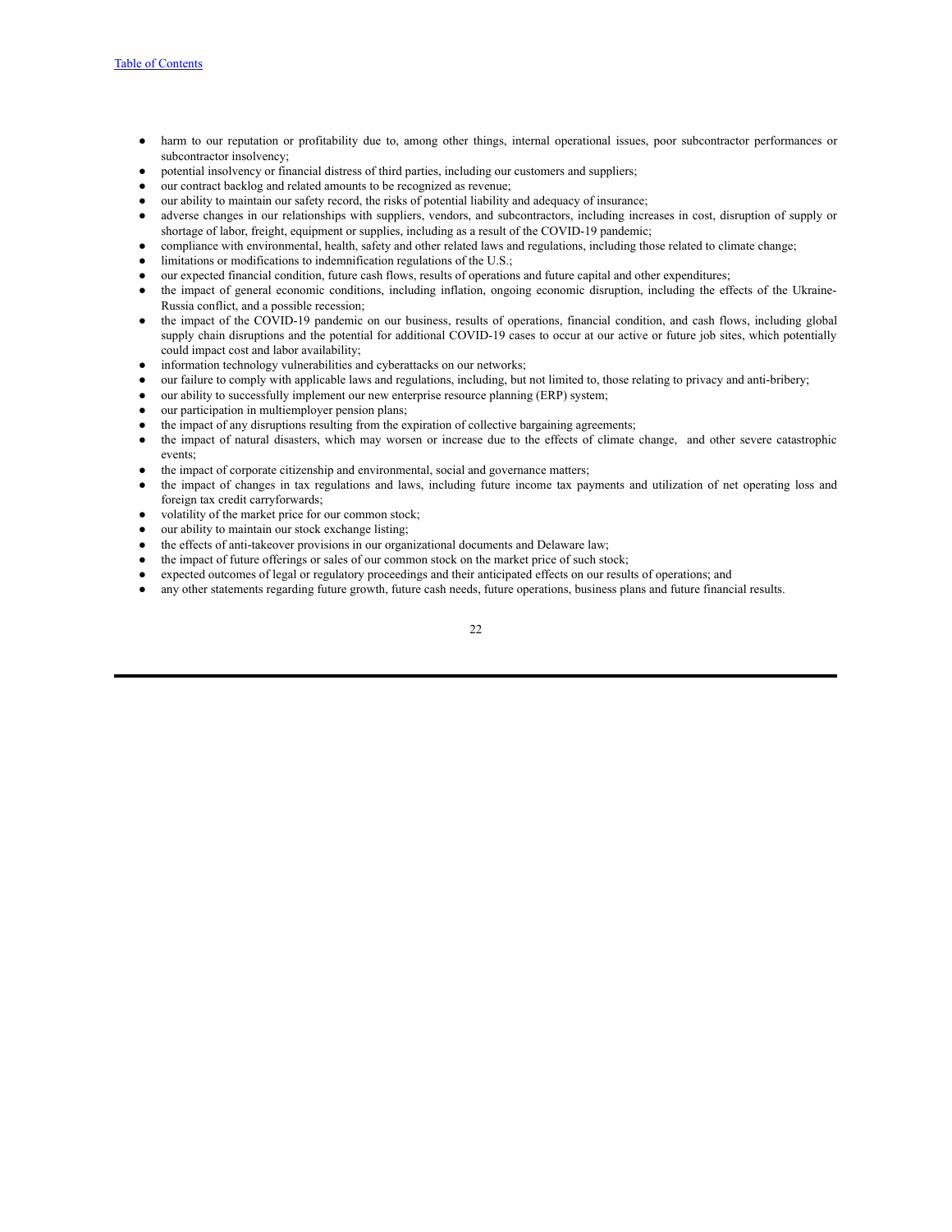- harm to our reputation or profitability due to, among other things, internal operational issues, poor subcontractor performances or subcontractor insolvency;
- potential insolvency or financial distress of third parties, including our customers and suppliers;
- our contract backlog and related amounts to be recognized as revenue;
- our ability to maintain our safety record, the risks of potential liability and adequacy of insurance;
- adverse changes in our relationships with suppliers, vendors, and subcontractors, including increases in cost, disruption of supply or shortage of labor, freight, equipment or supplies, including as a result of the COVID-19 pandemic;
- compliance with environmental, health, safety and other related laws and regulations, including those related to climate change;
- limitations or modifications to indemnification regulations of the U.S.;
- our expected financial condition, future cash flows, results of operations and future capital and other expenditures;
- the impact of general economic conditions, including inflation, ongoing economic disruption, including the effects of the Ukraine-Russia conflict, and a possible recession;
- the impact of the COVID-19 pandemic on our business, results of operations, financial condition, and cash flows, including global supply chain disruptions and the potential for additional COVID-19 cases to occur at our active or future job sites, which potentially could impact cost and labor availability;
- information technology vulnerabilities and cyberattacks on our networks;
- our failure to comply with applicable laws and regulations, including, but not limited to, those relating to privacy and anti-bribery;
- our ability to successfully implement our new enterprise resource planning (ERP) system;
- our participation in multiemployer pension plans;
- the impact of any disruptions resulting from the expiration of collective bargaining agreements;
- the impact of natural disasters, which may worsen or increase due to the effects of climate change, and other severe catastrophic events;
- the impact of corporate citizenship and environmental, social and governance matters;
- the impact of changes in tax regulations and laws, including future income tax payments and utilization of net operating loss and foreign tax credit carryforwards;
- volatility of the market price for our common stock;
- our ability to maintain our stock exchange listing;
- the effects of anti-takeover provisions in our organizational documents and Delaware law;
- the impact of future offerings or sales of our common stock on the market price of such stock;
- expected outcomes of legal or regulatory proceedings and their anticipated effects on our results of operations; and
- any other statements regarding future growth, future cash needs, future operations, business plans and future financial results.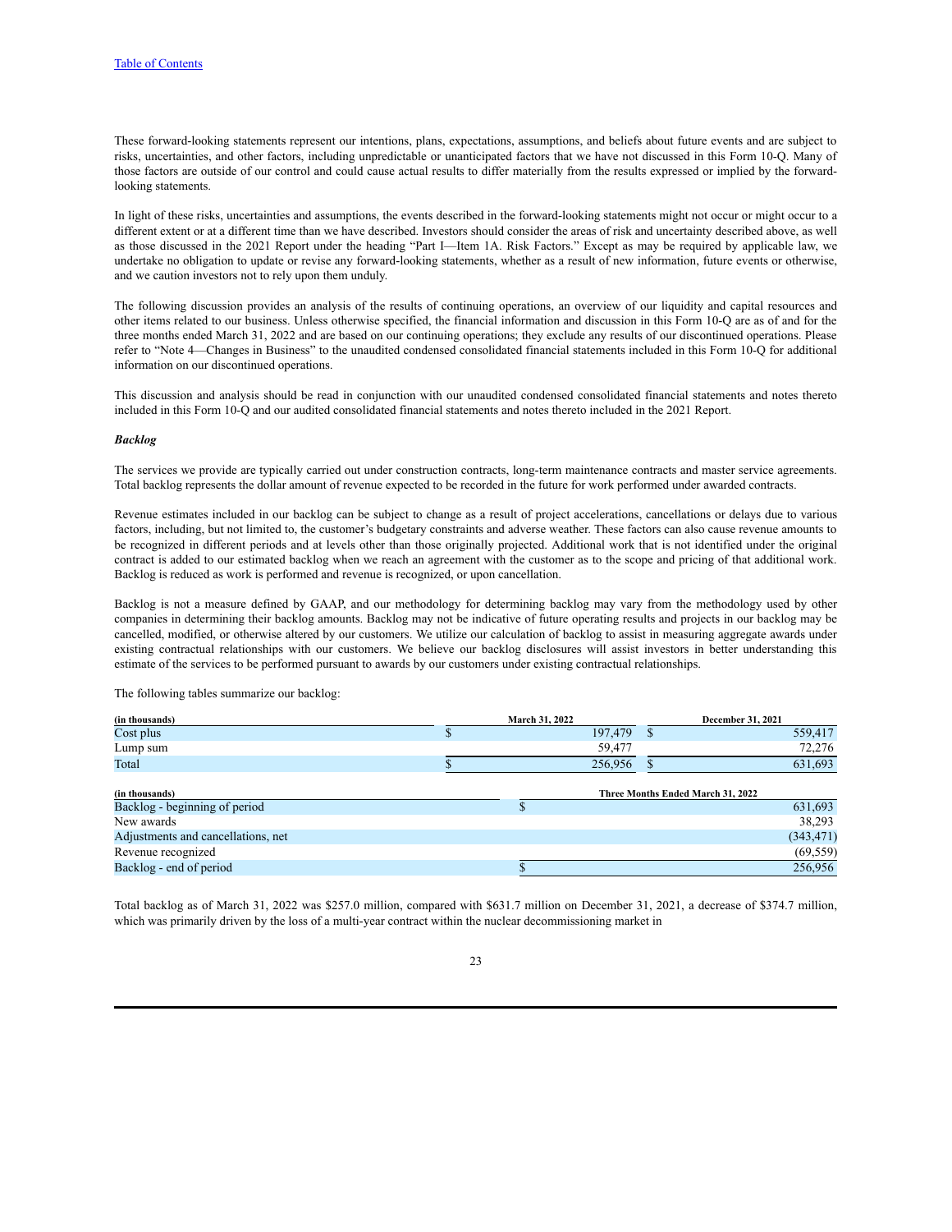These forward-looking statements represent our intentions, plans, expectations, assumptions, and beliefs about future events and are subject to risks, uncertainties, and other factors, including unpredictable or unanticipated factors that we have not discussed in this Form 10-Q. Many of those factors are outside of our control and could cause actual results to differ materially from the results expressed or implied by the forwardlooking statements.

In light of these risks, uncertainties and assumptions, the events described in the forward-looking statements might not occur or might occur to a different extent or at a different time than we have described. Investors should consider the areas of risk and uncertainty described above, as well as those discussed in the 2021 Report under the heading "Part I—Item 1A. Risk Factors." Except as may be required by applicable law, we undertake no obligation to update or revise any forward-looking statements, whether as a result of new information, future events or otherwise, and we caution investors not to rely upon them unduly.

The following discussion provides an analysis of the results of continuing operations, an overview of our liquidity and capital resources and other items related to our business. Unless otherwise specified, the financial information and discussion in this Form 10-Q are as of and for the three months ended March 31, 2022 and are based on our continuing operations; they exclude any results of our discontinued operations. Please refer to "Note 4—Changes in Business" to the unaudited condensed consolidated financial statements included in this Form 10-Q for additional information on our discontinued operations.

This discussion and analysis should be read in conjunction with our unaudited condensed consolidated financial statements and notes thereto included in this Form 10-Q and our audited consolidated financial statements and notes thereto included in the 2021 Report.

#### *Backlog*

The services we provide are typically carried out under construction contracts, long-term maintenance contracts and master service agreements. Total backlog represents the dollar amount of revenue expected to be recorded in the future for work performed under awarded contracts.

Revenue estimates included in our backlog can be subject to change as a result of project accelerations, cancellations or delays due to various factors, including, but not limited to, the customer's budgetary constraints and adverse weather. These factors can also cause revenue amounts to be recognized in different periods and at levels other than those originally projected. Additional work that is not identified under the original contract is added to our estimated backlog when we reach an agreement with the customer as to the scope and pricing of that additional work. Backlog is reduced as work is performed and revenue is recognized, or upon cancellation.

Backlog is not a measure defined by GAAP, and our methodology for determining backlog may vary from the methodology used by other companies in determining their backlog amounts. Backlog may not be indicative of future operating results and projects in our backlog may be cancelled, modified, or otherwise altered by our customers. We utilize our calculation of backlog to assist in measuring aggregate awards under existing contractual relationships with our customers. We believe our backlog disclosures will assist investors in better understanding this estimate of the services to be performed pursuant to awards by our customers under existing contractual relationships.

The following tables summarize our backlog:

| (in thousands)                     |   | March 31, 2022 |                                   | December 31, 2021 |
|------------------------------------|---|----------------|-----------------------------------|-------------------|
| Cost plus                          | D | 197,479        | S                                 | 559,417           |
| Lump sum                           |   | 59,477         |                                   | 72,276            |
| Total                              |   | 256,956        |                                   | 631,693           |
|                                    |   |                |                                   |                   |
| (in thousands)                     |   |                | Three Months Ended March 31, 2022 |                   |
| Backlog - beginning of period      |   |                |                                   | 631,693           |
| New awards                         |   |                |                                   | 38,293            |
| Adjustments and cancellations, net |   |                |                                   | (343, 471)        |
| Revenue recognized                 |   |                |                                   | (69, 559)         |
| Backlog - end of period            |   |                |                                   | 256,956           |

Total backlog as of March 31, 2022 was \$257.0 million, compared with \$631.7 million on December 31, 2021, a decrease of \$374.7 million, which was primarily driven by the loss of a multi-year contract within the nuclear decommissioning market in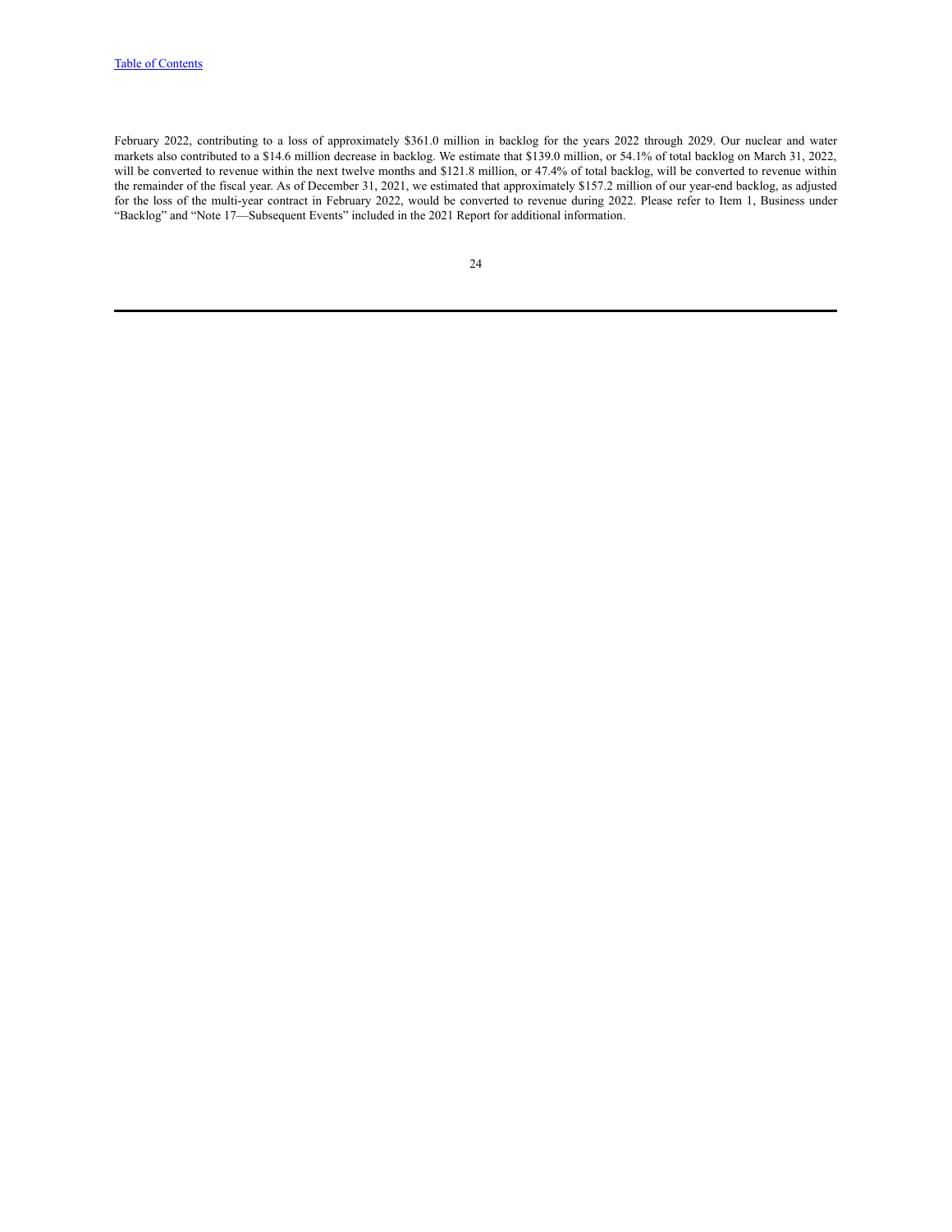February 2022, contributing to a loss of approximately \$361.0 million in backlog for the years 2022 through 2029. Our nuclear and water markets also contributed to a \$14.6 million decrease in backlog. We estimate that \$139.0 million, or 54.1% of total backlog on March 31, 2022, will be converted to revenue within the next twelve months and \$121.8 million, or 47.4% of total backlog, will be converted to revenue within the remainder of the fiscal year. As of December 31, 2021, we estimated that approximately \$157.2 million of our year-end backlog, as adjusted for the loss of the multi-year contract in February 2022, would be converted to revenue during 2022. Please refer to Item 1, Business under "Backlog" and "Note 17—Subsequent Events" included in the 2021 Report for additional information.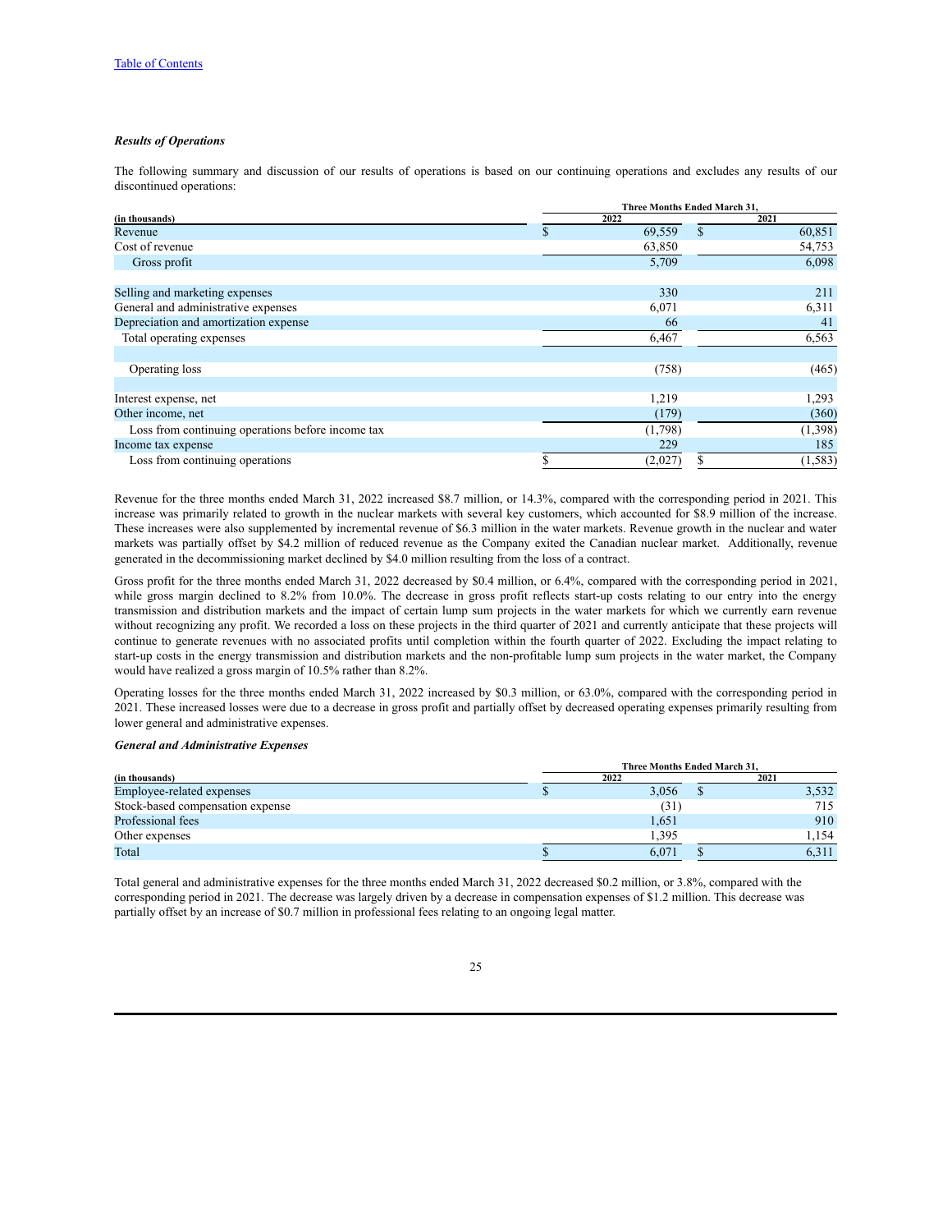#### *Results of Operations*

The following summary and discussion of our results of operations is based on our continuing operations and excludes any results of our discontinued operations:

|                                                   | Three Months Ended March 31, |         |              |          |
|---------------------------------------------------|------------------------------|---------|--------------|----------|
| (in thousands)                                    |                              | 2022    |              | 2021     |
| Revenue                                           | Ф                            | 69,559  | $\mathbb{S}$ | 60,851   |
| Cost of revenue                                   |                              | 63,850  |              | 54,753   |
| Gross profit                                      |                              | 5,709   |              | 6,098    |
| Selling and marketing expenses                    |                              | 330     |              | 211      |
| General and administrative expenses               |                              | 6,071   |              | 6,311    |
| Depreciation and amortization expense             |                              | 66      |              | 41       |
| Total operating expenses                          |                              | 6,467   |              | 6,563    |
|                                                   |                              |         |              |          |
| Operating loss                                    |                              | (758)   |              | (465)    |
|                                                   |                              |         |              |          |
| Interest expense, net                             |                              | 1,219   |              | 1,293    |
| Other income, net                                 |                              | (179)   |              | (360)    |
| Loss from continuing operations before income tax |                              | (1,798) |              | (1,398)  |
| Income tax expense                                |                              | 229     |              | 185      |
| Loss from continuing operations                   |                              | (2,027) |              | (1, 583) |

Revenue for the three months ended March 31, 2022 increased \$8.7 million, or 14.3%, compared with the corresponding period in 2021. This increase was primarily related to growth in the nuclear markets with several key customers, which accounted for \$8.9 million of the increase. These increases were also supplemented by incremental revenue of \$6.3 million in the water markets. Revenue growth in the nuclear and water markets was partially offset by \$4.2 million of reduced revenue as the Company exited the Canadian nuclear market. Additionally, revenue generated in the decommissioning market declined by \$4.0 million resulting from the loss of a contract.

Gross profit for the three months ended March 31, 2022 decreased by \$0.4 million, or 6.4%, compared with the corresponding period in 2021, while gross margin declined to 8.2% from 10.0%. The decrease in gross profit reflects start-up costs relating to our entry into the energy transmission and distribution markets and the impact of certain lump sum projects in the water markets for which we currently earn revenue without recognizing any profit. We recorded a loss on these projects in the third quarter of 2021 and currently anticipate that these projects will continue to generate revenues with no associated profits until completion within the fourth quarter of 2022. Excluding the impact relating to start-up costs in the energy transmission and distribution markets and the non-profitable lump sum projects in the water market, the Company would have realized a gross margin of 10.5% rather than 8.2%.

Operating losses for the three months ended March 31, 2022 increased by \$0.3 million, or 63.0%, compared with the corresponding period in 2021. These increased losses were due to a decrease in gross profit and partially offset by decreased operating expenses primarily resulting from lower general and administrative expenses.

#### *General and Administrative Expenses*

|                                  | Three Months Ended March 31. |       |  |  |  |
|----------------------------------|------------------------------|-------|--|--|--|
| (in thousands)                   | 2022                         | 2021  |  |  |  |
| Employee-related expenses        | 3,056                        | 3,532 |  |  |  |
| Stock-based compensation expense | (31)                         | 715   |  |  |  |
| Professional fees                | 1,651                        | 910   |  |  |  |
| Other expenses                   | 1,395                        | 1.154 |  |  |  |
| Total                            | 6.071                        | 6,311 |  |  |  |

Total general and administrative expenses for the three months ended March 31, 2022 decreased \$0.2 million, or 3.8%, compared with the corresponding period in 2021. The decrease was largely driven by a decrease in compensation expenses of \$1.2 million. This decrease was partially offset by an increase of \$0.7 million in professional fees relating to an ongoing legal matter.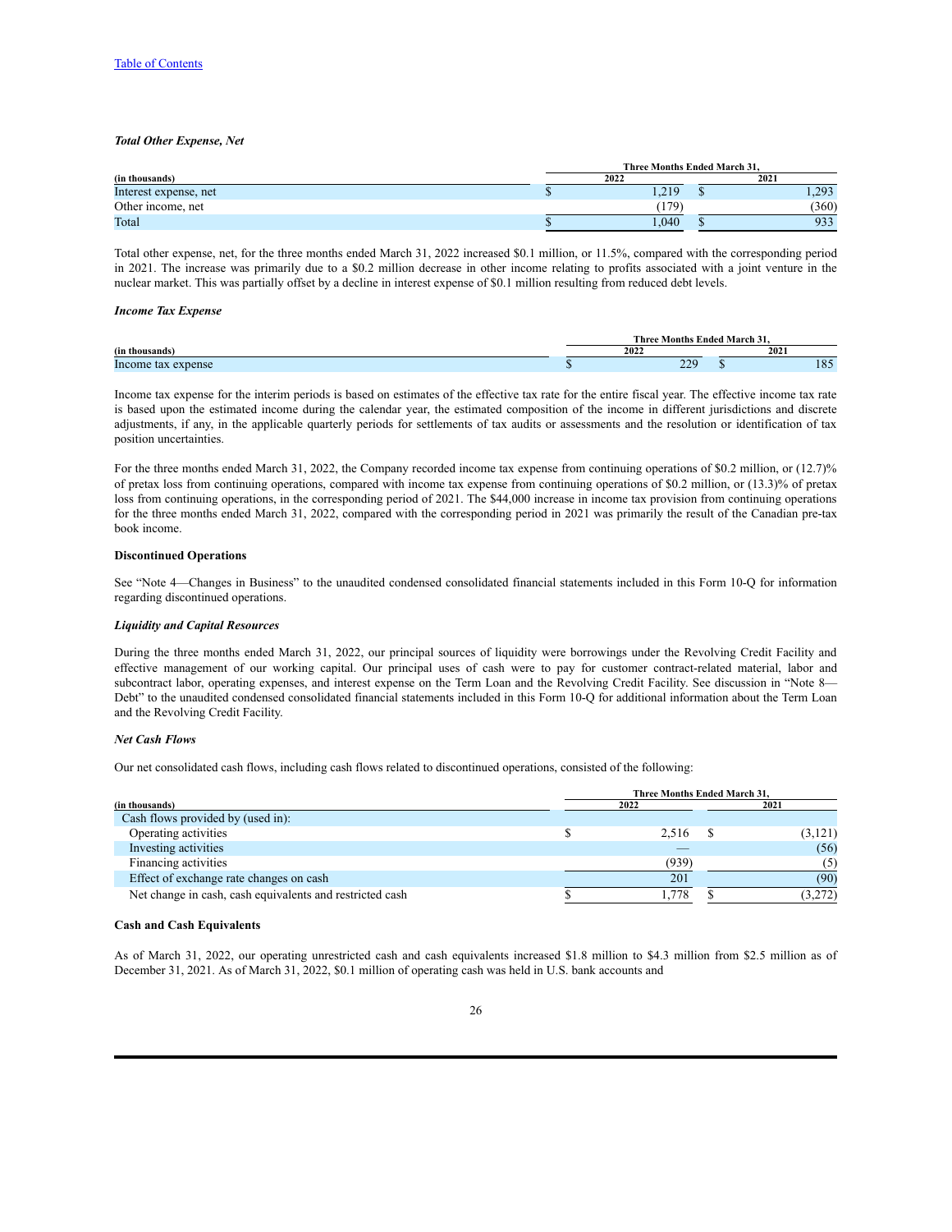#### *Total Other Expense, Net*

|                       | Three Months Ended March 31. |            |  |       |  |  |
|-----------------------|------------------------------|------------|--|-------|--|--|
| (in thousands)        |                              | 2022       |  | 2021  |  |  |
| Interest expense, net |                              | 1,219      |  | 1.293 |  |  |
| Other income, net     |                              | 179)       |  | (360) |  |  |
| Total                 |                              | $040^{10}$ |  | 933   |  |  |

Total other expense, net, for the three months ended March 31, 2022 increased \$0.1 million, or 11.5%, compared with the corresponding period in 2021. The increase was primarily due to a \$0.2 million decrease in other income relating to profits associated with a joint venture in the nuclear market. This was partially offset by a decline in interest expense of \$0.1 million resulting from reduced debt levels.

#### *Income Tax Expense*

|                          | <b>Three</b><br>Months | $\sim$<br>: Ended March 31. |                        |
|--------------------------|------------------------|-----------------------------|------------------------|
| (in thousands)           | 2022                   | 2021                        |                        |
| Income<br>expense<br>tax | 220<br>--              |                             | $1 \Omega \tau$<br>102 |

Income tax expense for the interim periods is based on estimates of the effective tax rate for the entire fiscal year. The effective income tax rate is based upon the estimated income during the calendar year, the estimated composition of the income in different jurisdictions and discrete adjustments, if any, in the applicable quarterly periods for settlements of tax audits or assessments and the resolution or identification of tax position uncertainties.

For the three months ended March 31, 2022, the Company recorded income tax expense from continuing operations of \$0.2 million, or (12.7)% of pretax loss from continuing operations, compared with income tax expense from continuing operations of \$0.2 million, or (13.3)% of pretax loss from continuing operations, in the corresponding period of 2021. The \$44,000 increase in income tax provision from continuing operations for the three months ended March 31, 2022, compared with the corresponding period in 2021 was primarily the result of the Canadian pre-tax book income.

#### **Discontinued Operations**

See "Note 4—Changes in Business" to the unaudited condensed consolidated financial statements included in this Form 10-Q for information regarding discontinued operations.

#### *Liquidity and Capital Resources*

During the three months ended March 31, 2022, our principal sources of liquidity were borrowings under the Revolving Credit Facility and effective management of our working capital. Our principal uses of cash were to pay for customer contract-related material, labor and subcontract labor, operating expenses, and interest expense on the Term Loan and the Revolving Credit Facility. See discussion in "Note 8-Debt" to the unaudited condensed consolidated financial statements included in this Form 10-Q for additional information about the Term Loan and the Revolving Credit Facility.

## *Net Cash Flows*

Our net consolidated cash flows, including cash flows related to discontinued operations, consisted of the following:

|                                                          | Three Months Ended March 31, |  |          |  |  |
|----------------------------------------------------------|------------------------------|--|----------|--|--|
| (in thousands)                                           | 2022                         |  | 2021     |  |  |
| Cash flows provided by (used in):                        |                              |  |          |  |  |
| Operating activities                                     | 2.516                        |  | (3, 121) |  |  |
| Investing activities                                     |                              |  | (56)     |  |  |
| Financing activities                                     | (939)                        |  | (5)      |  |  |
| Effect of exchange rate changes on cash                  | 201                          |  | (90)     |  |  |
| Net change in cash, cash equivalents and restricted cash | 1.778                        |  | (3,272)  |  |  |

#### **Cash and Cash Equivalents**

As of March 31, 2022, our operating unrestricted cash and cash equivalents increased \$1.8 million to \$4.3 million from \$2.5 million as of December 31, 2021. As of March 31, 2022, \$0.1 million of operating cash was held in U.S. bank accounts and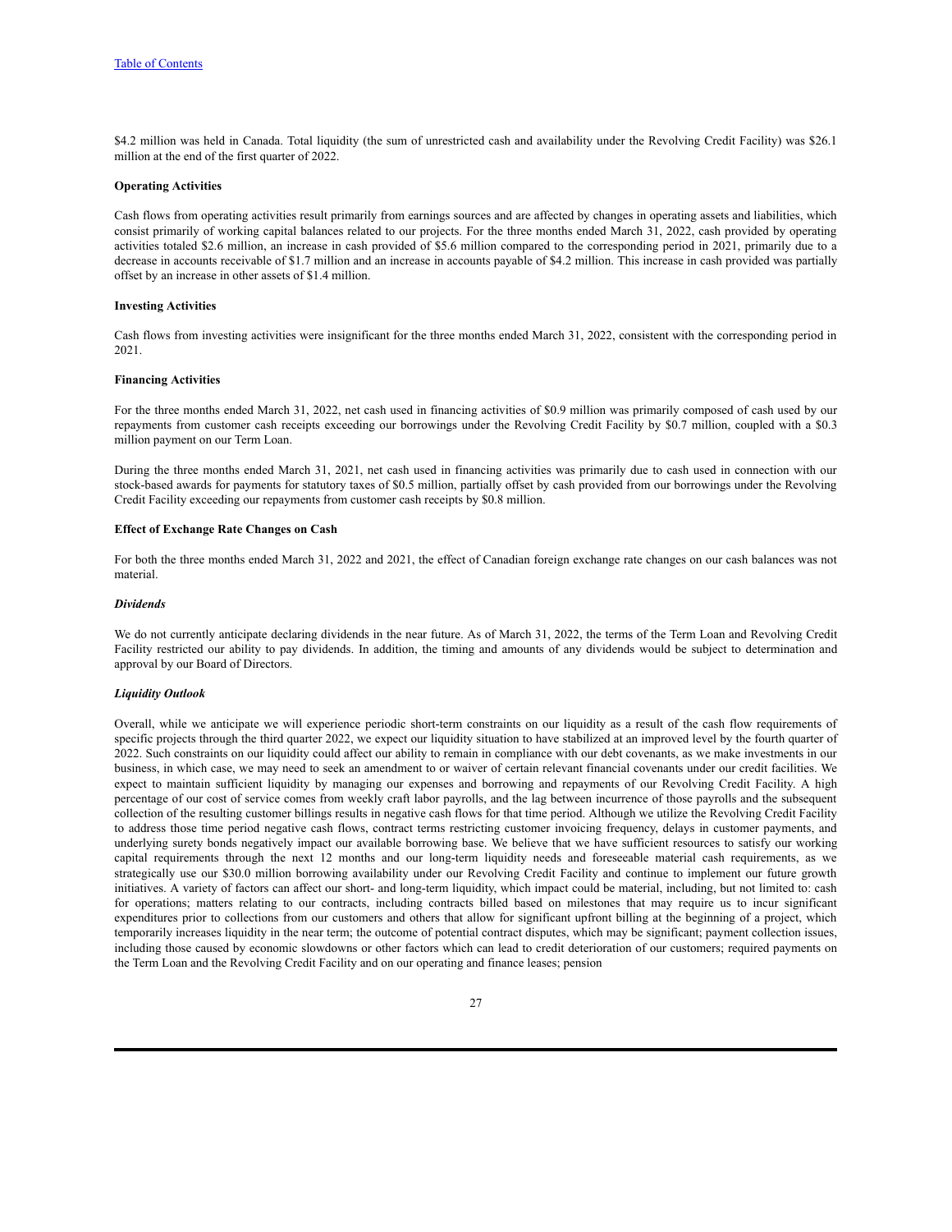\$4.2 million was held in Canada. Total liquidity (the sum of unrestricted cash and availability under the Revolving Credit Facility) was \$26.1 million at the end of the first quarter of 2022.

#### **Operating Activities**

Cash flows from operating activities result primarily from earnings sources and are affected by changes in operating assets and liabilities, which consist primarily of working capital balances related to our projects. For the three months ended March 31, 2022, cash provided by operating activities totaled \$2.6 million, an increase in cash provided of \$5.6 million compared to the corresponding period in 2021, primarily due to a decrease in accounts receivable of \$1.7 million and an increase in accounts payable of \$4.2 million. This increase in cash provided was partially offset by an increase in other assets of \$1.4 million.

## **Investing Activities**

Cash flows from investing activities were insignificant for the three months ended March 31, 2022, consistent with the corresponding period in 2021.

#### **Financing Activities**

For the three months ended March 31, 2022, net cash used in financing activities of \$0.9 million was primarily composed of cash used by our repayments from customer cash receipts exceeding our borrowings under the Revolving Credit Facility by \$0.7 million, coupled with a \$0.3 million payment on our Term Loan.

During the three months ended March 31, 2021, net cash used in financing activities was primarily due to cash used in connection with our stock-based awards for payments for statutory taxes of \$0.5 million, partially offset by cash provided from our borrowings under the Revolving Credit Facility exceeding our repayments from customer cash receipts by \$0.8 million.

## **Effect of Exchange Rate Changes on Cash**

For both the three months ended March 31, 2022 and 2021, the effect of Canadian foreign exchange rate changes on our cash balances was not material.

#### *Dividends*

We do not currently anticipate declaring dividends in the near future. As of March 31, 2022, the terms of the Term Loan and Revolving Credit Facility restricted our ability to pay dividends. In addition, the timing and amounts of any dividends would be subject to determination and approval by our Board of Directors.

#### *Liquidity Outlook*

Overall, while we anticipate we will experience periodic short-term constraints on our liquidity as a result of the cash flow requirements of specific projects through the third quarter 2022, we expect our liquidity situation to have stabilized at an improved level by the fourth quarter of 2022. Such constraints on our liquidity could affect our ability to remain in compliance with our debt covenants, as we make investments in our business, in which case, we may need to seek an amendment to or waiver of certain relevant financial covenants under our credit facilities. We expect to maintain sufficient liquidity by managing our expenses and borrowing and repayments of our Revolving Credit Facility. A high percentage of our cost of service comes from weekly craft labor payrolls, and the lag between incurrence of those payrolls and the subsequent collection of the resulting customer billings results in negative cash flows for that time period. Although we utilize the Revolving Credit Facility to address those time period negative cash flows, contract terms restricting customer invoicing frequency, delays in customer payments, and underlying surety bonds negatively impact our available borrowing base. We believe that we have sufficient resources to satisfy our working capital requirements through the next 12 months and our long-term liquidity needs and foreseeable material cash requirements, as we strategically use our \$30.0 million borrowing availability under our Revolving Credit Facility and continue to implement our future growth initiatives. A variety of factors can affect our short- and long-term liquidity, which impact could be material, including, but not limited to: cash for operations; matters relating to our contracts, including contracts billed based on milestones that may require us to incur significant expenditures prior to collections from our customers and others that allow for significant upfront billing at the beginning of a project, which temporarily increases liquidity in the near term; the outcome of potential contract disputes, which may be significant; payment collection issues, including those caused by economic slowdowns or other factors which can lead to credit deterioration of our customers; required payments on the Term Loan and the Revolving Credit Facility and on our operating and finance leases; pension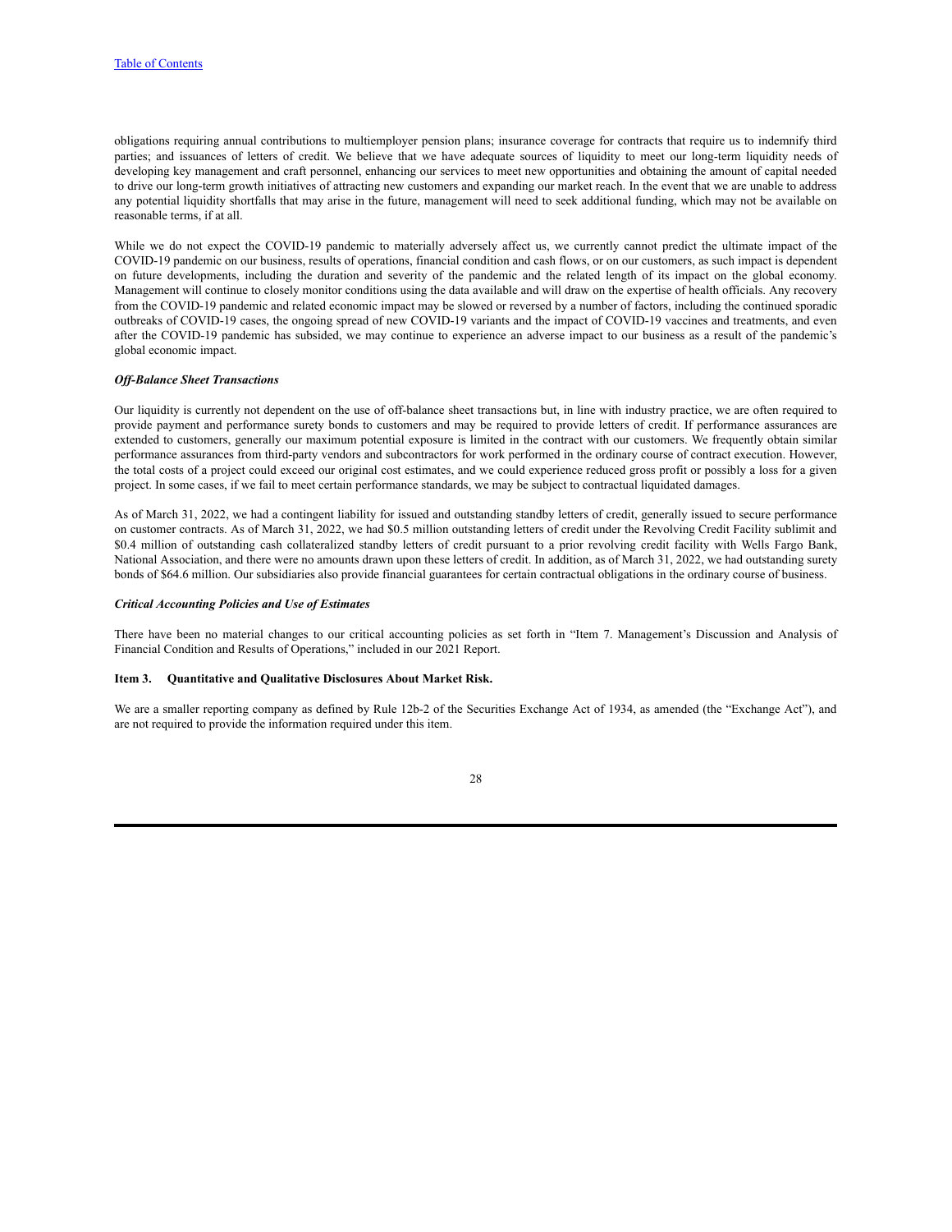obligations requiring annual contributions to multiemployer pension plans; insurance coverage for contracts that require us to indemnify third parties; and issuances of letters of credit. We believe that we have adequate sources of liquidity to meet our long-term liquidity needs of developing key management and craft personnel, enhancing our services to meet new opportunities and obtaining the amount of capital needed to drive our long-term growth initiatives of attracting new customers and expanding our market reach. In the event that we are unable to address any potential liquidity shortfalls that may arise in the future, management will need to seek additional funding, which may not be available on reasonable terms, if at all.

While we do not expect the COVID-19 pandemic to materially adversely affect us, we currently cannot predict the ultimate impact of the COVID-19 pandemic on our business, results of operations, financial condition and cash flows, or on our customers, as such impact is dependent on future developments, including the duration and severity of the pandemic and the related length of its impact on the global economy. Management will continue to closely monitor conditions using the data available and will draw on the expertise of health officials. Any recovery from the COVID-19 pandemic and related economic impact may be slowed or reversed by a number of factors, including the continued sporadic outbreaks of COVID-19 cases, the ongoing spread of new COVID-19 variants and the impact of COVID-19 vaccines and treatments, and even after the COVID-19 pandemic has subsided, we may continue to experience an adverse impact to our business as a result of the pandemic's global economic impact.

#### *Of -Balance Sheet Transactions*

Our liquidity is currently not dependent on the use of off-balance sheet transactions but, in line with industry practice, we are often required to provide payment and performance surety bonds to customers and may be required to provide letters of credit. If performance assurances are extended to customers, generally our maximum potential exposure is limited in the contract with our customers. We frequently obtain similar performance assurances from third-party vendors and subcontractors for work performed in the ordinary course of contract execution. However, the total costs of a project could exceed our original cost estimates, and we could experience reduced gross profit or possibly a loss for a given project. In some cases, if we fail to meet certain performance standards, we may be subject to contractual liquidated damages.

As of March 31, 2022, we had a contingent liability for issued and outstanding standby letters of credit, generally issued to secure performance on customer contracts. As of March 31, 2022, we had \$0.5 million outstanding letters of credit under the Revolving Credit Facility sublimit and \$0.4 million of outstanding cash collateralized standby letters of credit pursuant to a prior revolving credit facility with Wells Fargo Bank, National Association, and there were no amounts drawn upon these letters of credit. In addition, as of March 31, 2022, we had outstanding surety bonds of \$64.6 million. Our subsidiaries also provide financial guarantees for certain contractual obligations in the ordinary course of business.

#### *Critical Accounting Policies and Use of Estimates*

There have been no material changes to our critical accounting policies as set forth in "Item 7. Management's Discussion and Analysis of Financial Condition and Results of Operations," included in our 2021 Report.

#### <span id="page-28-0"></span>**Item 3. Quantitative and Qualitative Disclosures About Market Risk.**

We are a smaller reporting company as defined by Rule 12b-2 of the Securities Exchange Act of 1934, as amended (the "Exchange Act"), and are not required to provide the information required under this item.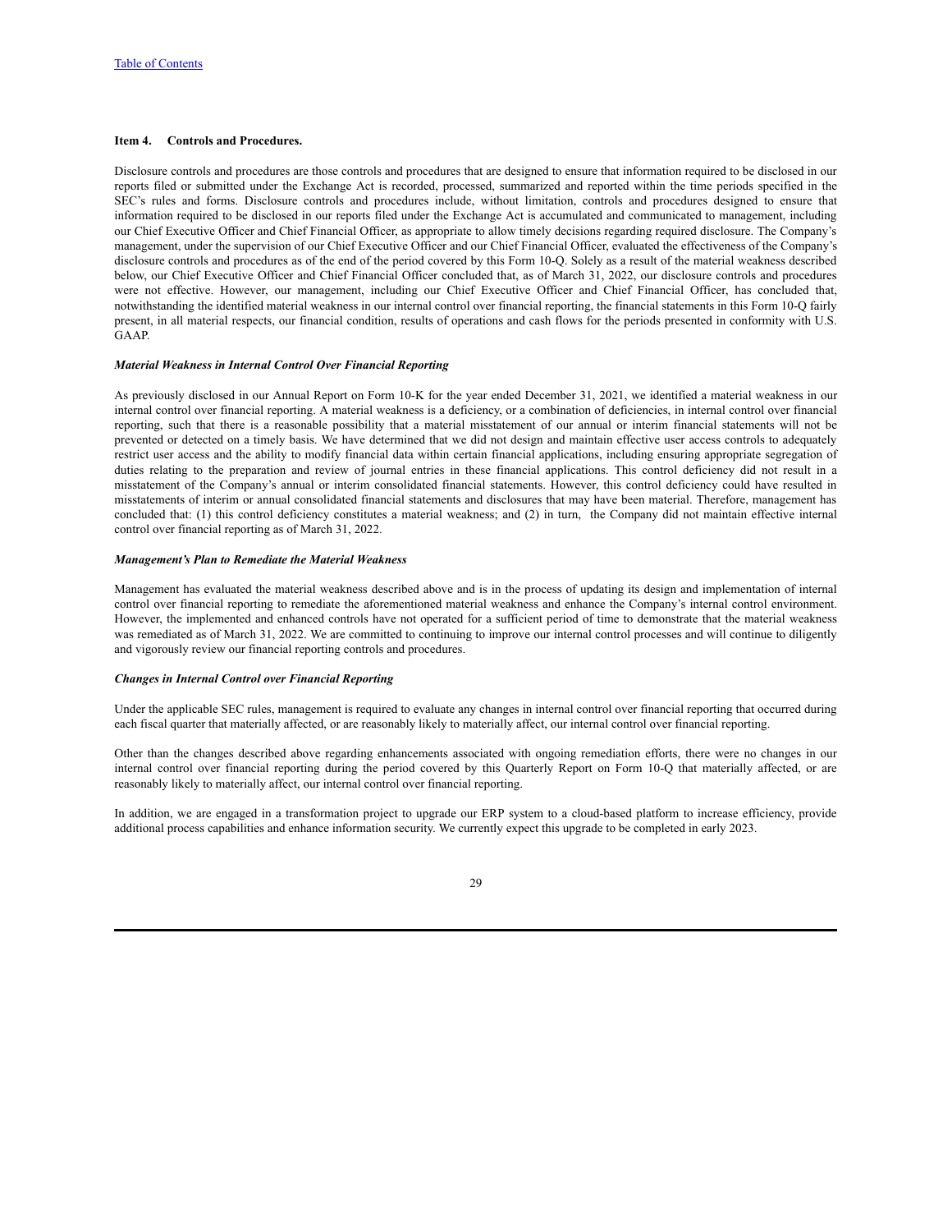#### <span id="page-29-0"></span>**Item 4. Controls and Procedures.**

Disclosure controls and procedures are those controls and procedures that are designed to ensure that information required to be disclosed in our reports filed or submitted under the Exchange Act is recorded, processed, summarized and reported within the time periods specified in the SEC's rules and forms. Disclosure controls and procedures include, without limitation, controls and procedures designed to ensure that information required to be disclosed in our reports filed under the Exchange Act is accumulated and communicated to management, including our Chief Executive Officer and Chief Financial Officer, as appropriate to allow timely decisions regarding required disclosure. The Company's management, under the supervision of our Chief Executive Officer and our Chief Financial Officer, evaluated the effectiveness of the Company's disclosure controls and procedures as of the end of the period covered by this Form 10-Q. Solely as a result of the material weakness described below, our Chief Executive Officer and Chief Financial Officer concluded that, as of March 31, 2022, our disclosure controls and procedures were not effective. However, our management, including our Chief Executive Officer and Chief Financial Officer, has concluded that, notwithstanding the identified material weakness in our internal control over financial reporting, the financial statements in this Form 10-Q fairly present, in all material respects, our financial condition, results of operations and cash flows for the periods presented in conformity with U.S. GAAP.

## *Material Weakness in Internal Control Over Financial Reporting*

As previously disclosed in our Annual Report on Form 10-K for the year ended December 31, 2021, we identified a material weakness in our internal control over financial reporting. A material weakness is a deficiency, or a combination of deficiencies, in internal control over financial reporting, such that there is a reasonable possibility that a material misstatement of our annual or interim financial statements will not be prevented or detected on a timely basis. We have determined that we did not design and maintain effective user access controls to adequately restrict user access and the ability to modify financial data within certain financial applications, including ensuring appropriate segregation of duties relating to the preparation and review of journal entries in these financial applications. This control deficiency did not result in a misstatement of the Company's annual or interim consolidated financial statements. However, this control deficiency could have resulted in misstatements of interim or annual consolidated financial statements and disclosures that may have been material. Therefore, management has concluded that: (1) this control deficiency constitutes a material weakness; and (2) in turn, the Company did not maintain effective internal control over financial reporting as of March 31, 2022.

#### *Management's Plan to Remediate the Material Weakness*

Management has evaluated the material weakness described above and is in the process of updating its design and implementation of internal control over financial reporting to remediate the aforementioned material weakness and enhance the Company's internal control environment. However, the implemented and enhanced controls have not operated for a sufficient period of time to demonstrate that the material weakness was remediated as of March 31, 2022. We are committed to continuing to improve our internal control processes and will continue to diligently and vigorously review our financial reporting controls and procedures.

#### *Changes in Internal Control over Financial Reporting*

Under the applicable SEC rules, management is required to evaluate any changes in internal control over financial reporting that occurred during each fiscal quarter that materially affected, or are reasonably likely to materially affect, our internal control over financial reporting.

Other than the changes described above regarding enhancements associated with ongoing remediation efforts, there were no changes in our internal control over financial reporting during the period covered by this Quarterly Report on Form 10-Q that materially affected, or are reasonably likely to materially affect, our internal control over financial reporting.

In addition, we are engaged in a transformation project to upgrade our ERP system to a cloud-based platform to increase efficiency, provide additional process capabilities and enhance information security. We currently expect this upgrade to be completed in early 2023.

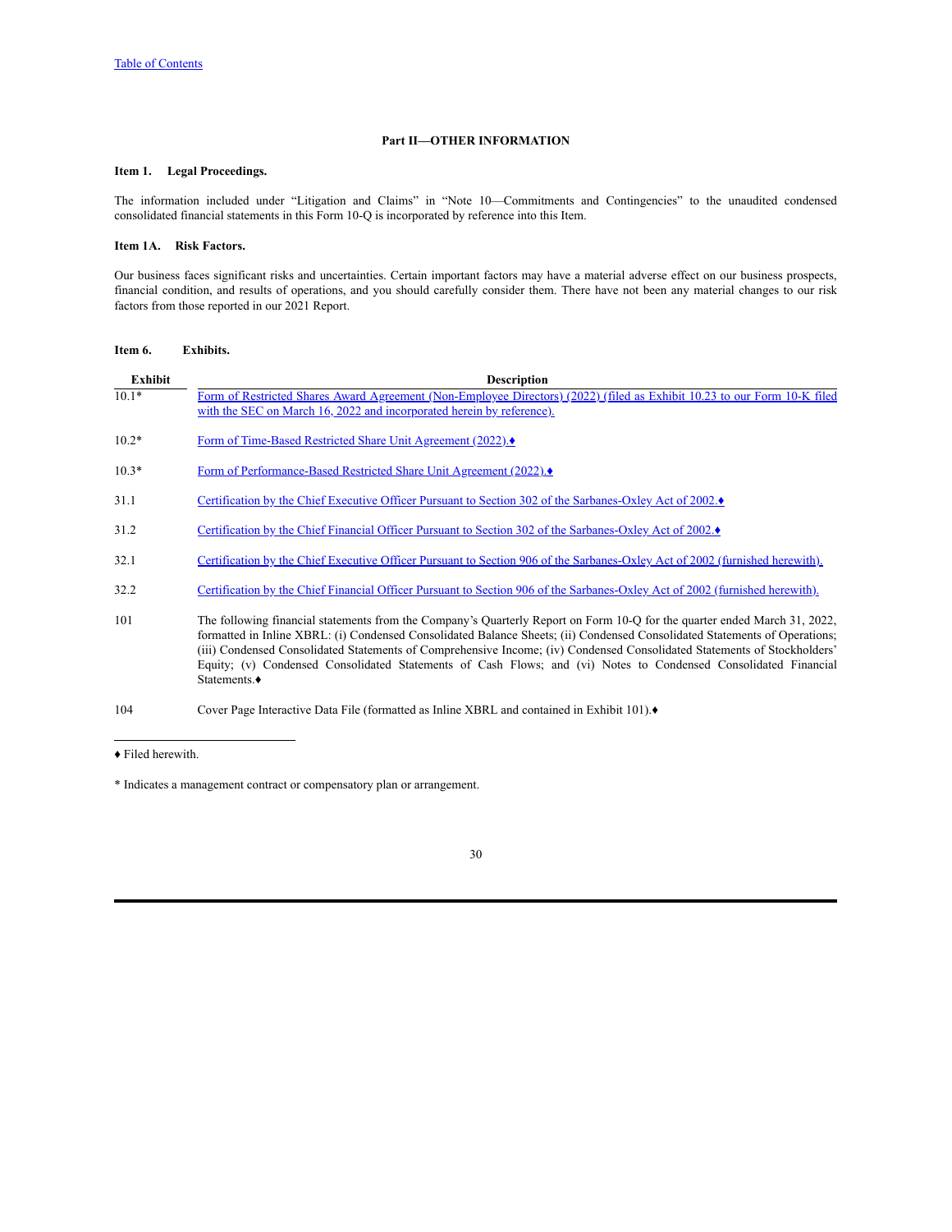# **Part II—OTHER INFORMATION**

# <span id="page-30-1"></span><span id="page-30-0"></span>**Item 1. Legal Proceedings.**

The information included under "Litigation and Claims" in "Note 10—Commitments and Contingencies" to the unaudited condensed consolidated financial statements in this Form 10-Q is incorporated by reference into this Item.

## <span id="page-30-2"></span>**Item 1A. Risk Factors.**

Our business faces significant risks and uncertainties. Certain important factors may have a material adverse effect on our business prospects, financial condition, and results of operations, and you should carefully consider them. There have not been any material changes to our risk factors from those reported in our 2021 Report.

# <span id="page-30-3"></span>**Item 6. Exhibits.**

| Exhibit | <b>Description</b>                                                                                                                                                                                                                                                                                                                                                                                                                                                                                                     |
|---------|------------------------------------------------------------------------------------------------------------------------------------------------------------------------------------------------------------------------------------------------------------------------------------------------------------------------------------------------------------------------------------------------------------------------------------------------------------------------------------------------------------------------|
| $10.1*$ | Form of Restricted Shares Award Agreement (Non-Employee Directors) (2022) (filed as Exhibit 10.23 to our Form 10-K filed<br>with the SEC on March 16, 2022 and incorporated herein by reference).                                                                                                                                                                                                                                                                                                                      |
| $10.2*$ | Form of Time-Based Restricted Share Unit Agreement (2022).                                                                                                                                                                                                                                                                                                                                                                                                                                                             |
| $10.3*$ | Form of Performance-Based Restricted Share Unit Agreement (2022).♦                                                                                                                                                                                                                                                                                                                                                                                                                                                     |
| 31.1    | Certification by the Chief Executive Officer Pursuant to Section 302 of the Sarbanes-Oxley Act of 2002.♦                                                                                                                                                                                                                                                                                                                                                                                                               |
| 31.2    | Certification by the Chief Financial Officer Pursuant to Section 302 of the Sarbanes-Oxley Act of 2002.♦                                                                                                                                                                                                                                                                                                                                                                                                               |
| 32.1    | Certification by the Chief Executive Officer Pursuant to Section 906 of the Sarbanes-Oxley Act of 2002 (furnished herewith).                                                                                                                                                                                                                                                                                                                                                                                           |
| 32.2    | Certification by the Chief Financial Officer Pursuant to Section 906 of the Sarbanes-Oxley Act of 2002 (furnished herewith).                                                                                                                                                                                                                                                                                                                                                                                           |
| 101     | The following financial statements from the Company's Quarterly Report on Form 10-Q for the quarter ended March 31, 2022,<br>formatted in Inline XBRL: (i) Condensed Consolidated Balance Sheets; (ii) Condensed Consolidated Statements of Operations;<br>(iii) Condensed Consolidated Statements of Comprehensive Income; (iv) Condensed Consolidated Statements of Stockholders'<br>Equity; (v) Condensed Consolidated Statements of Cash Flows; and (vi) Notes to Condensed Consolidated Financial<br>Statements.◆ |
| 104     | Cover Page Interactive Data File (formatted as Inline XBRL and contained in Exhibit 101). $\bullet$                                                                                                                                                                                                                                                                                                                                                                                                                    |

♦ Filed herewith.

\* Indicates a management contract or compensatory plan or arrangement.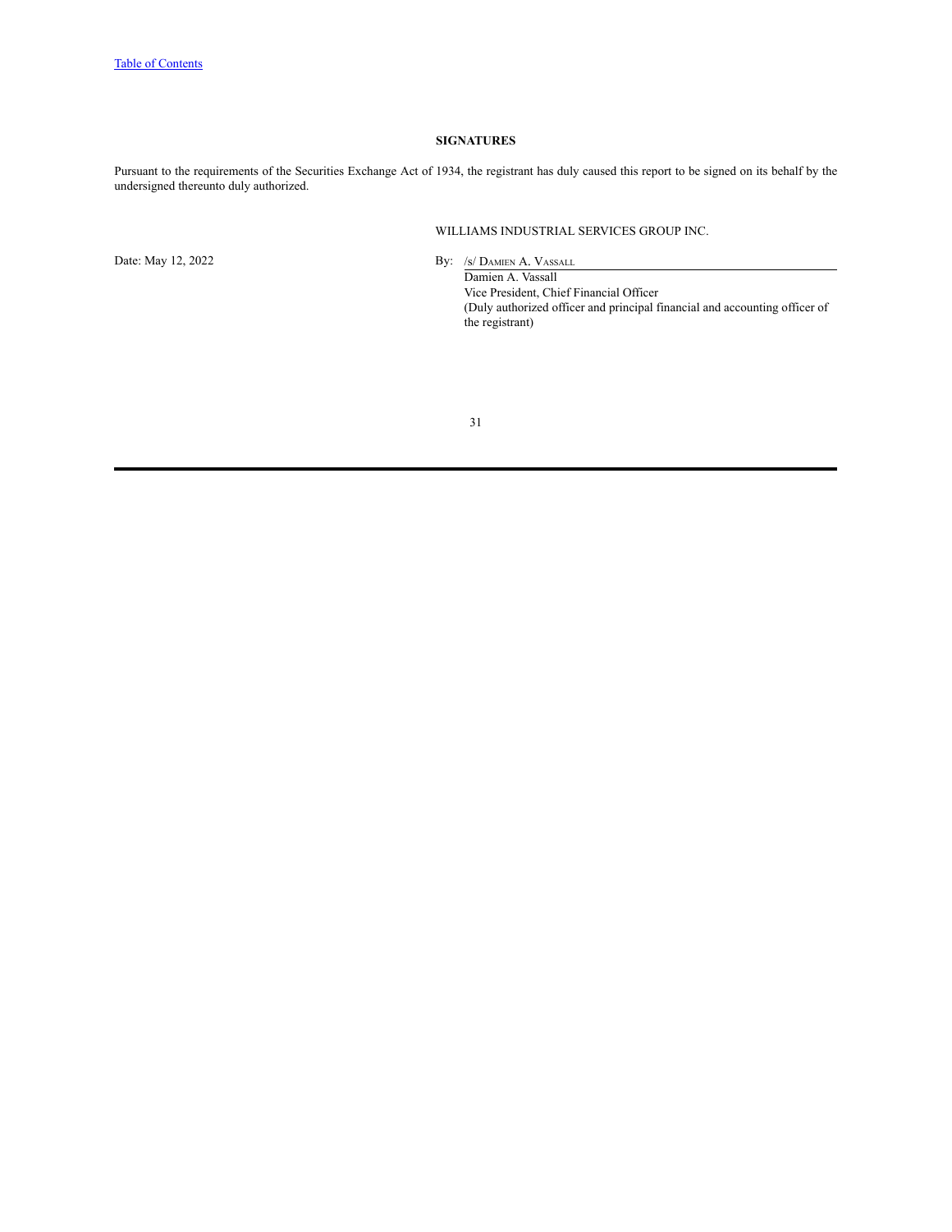# **SIGNATURES**

<span id="page-31-0"></span>Pursuant to the requirements of the Securities Exchange Act of 1934, the registrant has duly caused this report to be signed on its behalf by the undersigned thereunto duly authorized.

WILLIAMS INDUSTRIAL SERVICES GROUP INC.

Date: May 12, 2022 By: /s/ DAMIEN A. VASSALL

Damien A. Vassall Vice President, Chief Financial Officer (Duly authorized officer and principal financial and accounting officer of the registrant)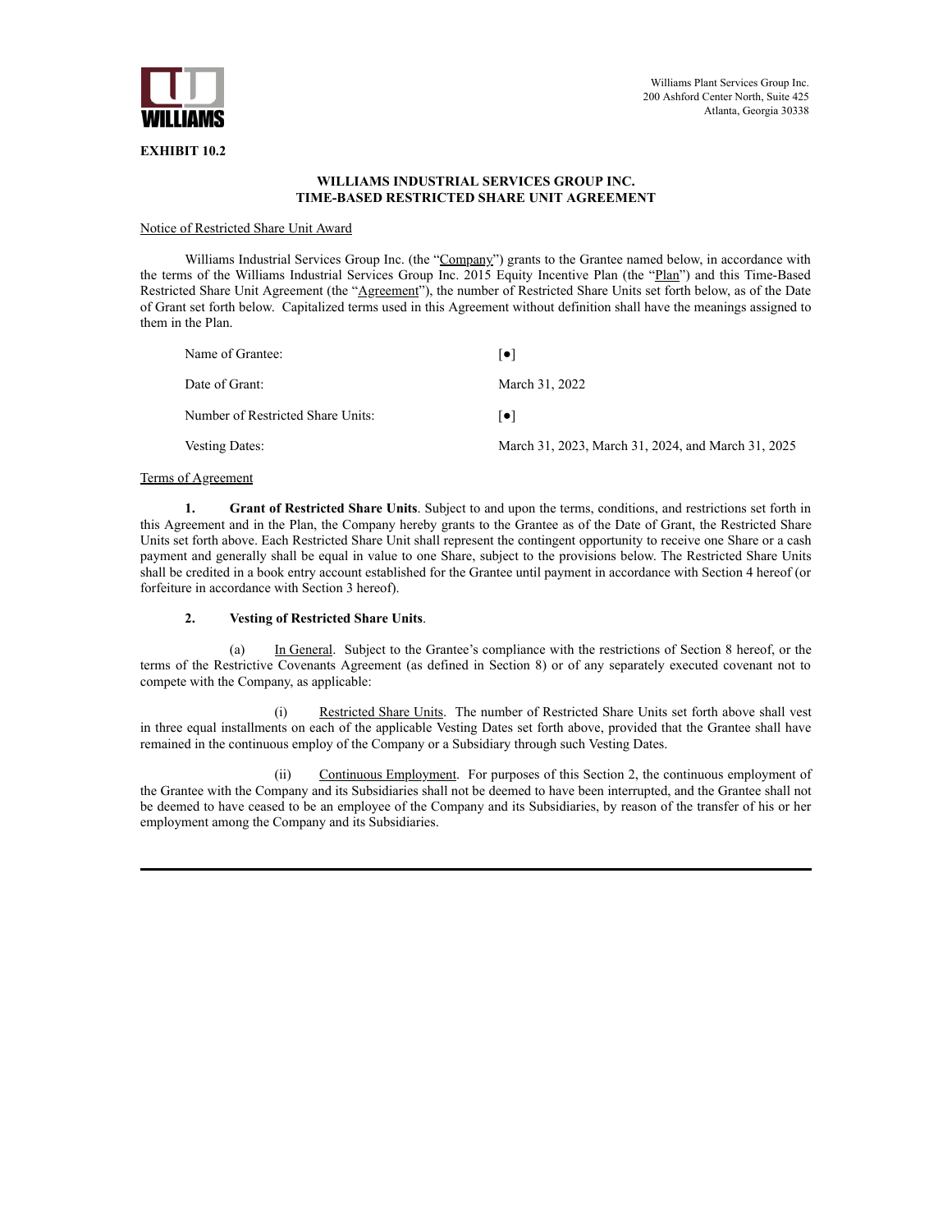

## **WILLIAMS INDUSTRIAL SERVICES GROUP INC. TIME-BASED RESTRICTED SHARE UNIT AGREEMENT**

## Notice of Restricted Share Unit Award

Williams Industrial Services Group Inc. (the "Company") grants to the Grantee named below, in accordance with the terms of the Williams Industrial Services Group Inc. 2015 Equity Incentive Plan (the "Plan") and this Time-Based Restricted Share Unit Agreement (the "Agreement"), the number of Restricted Share Units set forth below, as of the Date of Grant set forth below. Capitalized terms used in this Agreement without definition shall have the meanings assigned to them in the Plan.

| Name of Grantee:                  | ∣•∣                                                |
|-----------------------------------|----------------------------------------------------|
| Date of Grant:                    | March 31, 2022                                     |
| Number of Restricted Share Units: | ●                                                  |
| Vesting Dates:                    | March 31, 2023, March 31, 2024, and March 31, 2025 |

# Terms of Agreement

**1. Grant of Restricted Share Units**. Subject to and upon the terms, conditions, and restrictions set forth in this Agreement and in the Plan, the Company hereby grants to the Grantee as of the Date of Grant, the Restricted Share Units set forth above. Each Restricted Share Unit shall represent the contingent opportunity to receive one Share or a cash payment and generally shall be equal in value to one Share, subject to the provisions below. The Restricted Share Units shall be credited in a book entry account established for the Grantee until payment in accordance with Section 4 hereof (or forfeiture in accordance with Section 3 hereof).

## **2. Vesting of Restricted Share Units**.

(a) In General. Subject to the Grantee's compliance with the restrictions of Section 8 hereof, or the terms of the Restrictive Covenants Agreement (as defined in Section 8) or of any separately executed covenant not to compete with the Company, as applicable:

(i) Restricted Share Units. The number of Restricted Share Units set forth above shall vest in three equal installments on each of the applicable Vesting Dates set forth above, provided that the Grantee shall have remained in the continuous employ of the Company or a Subsidiary through such Vesting Dates.

(ii) Continuous Employment. For purposes of this Section 2, the continuous employment of the Grantee with the Company and its Subsidiaries shall not be deemed to have been interrupted, and the Grantee shall not be deemed to have ceased to be an employee of the Company and its Subsidiaries, by reason of the transfer of his or her employment among the Company and its Subsidiaries.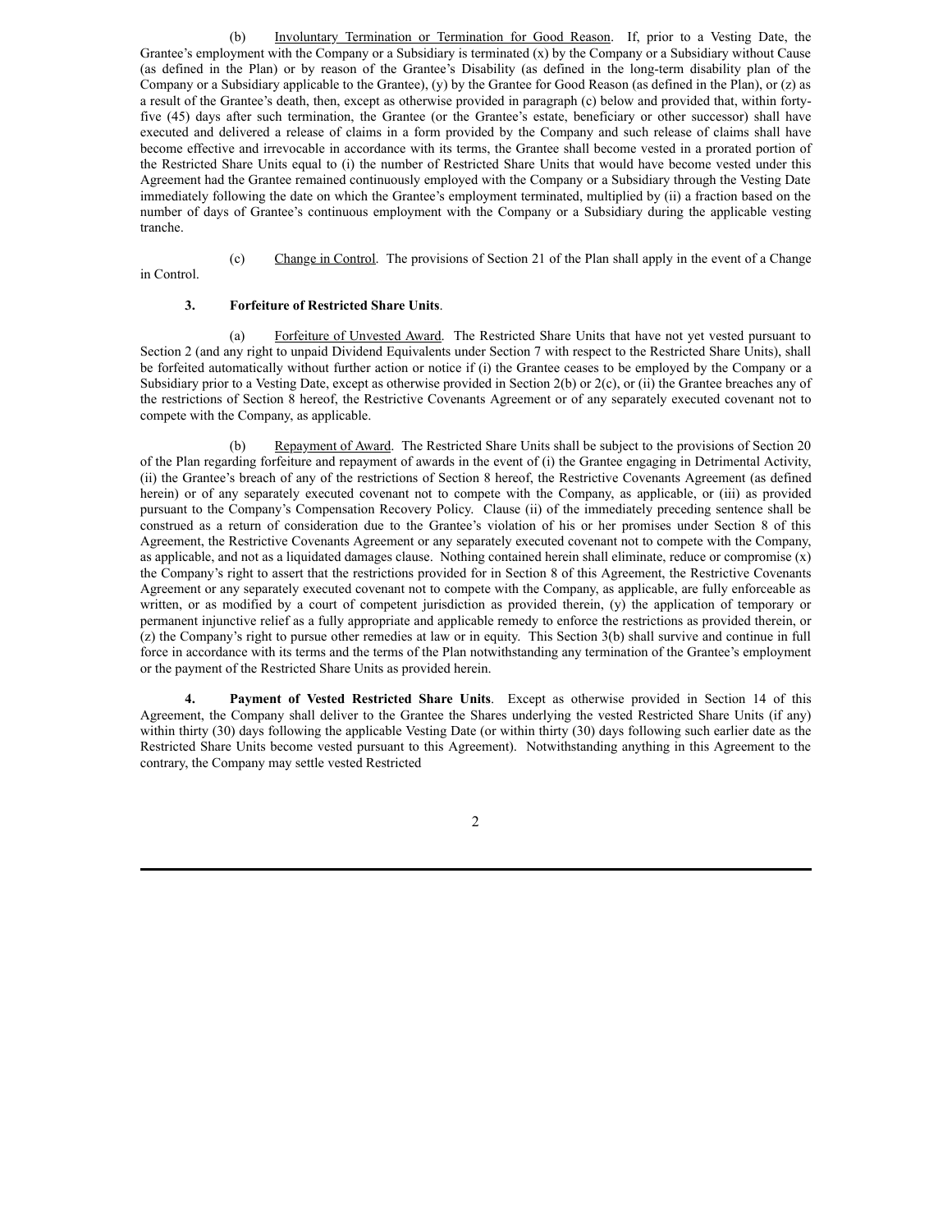(b) Involuntary Termination or Termination for Good Reason. If, prior to a Vesting Date, the Grantee's employment with the Company or a Subsidiary is terminated (x) by the Company or a Subsidiary without Cause (as defined in the Plan) or by reason of the Grantee's Disability (as defined in the long-term disability plan of the Company or a Subsidiary applicable to the Grantee), (y) by the Grantee for Good Reason (as defined in the Plan), or (z) as a result of the Grantee's death, then, except as otherwise provided in paragraph (c) below and provided that, within fortyfive (45) days after such termination, the Grantee (or the Grantee's estate, beneficiary or other successor) shall have executed and delivered a release of claims in a form provided by the Company and such release of claims shall have become effective and irrevocable in accordance with its terms, the Grantee shall become vested in a prorated portion of the Restricted Share Units equal to (i) the number of Restricted Share Units that would have become vested under this Agreement had the Grantee remained continuously employed with the Company or a Subsidiary through the Vesting Date immediately following the date on which the Grantee's employment terminated, multiplied by (ii) a fraction based on the number of days of Grantee's continuous employment with the Company or a Subsidiary during the applicable vesting tranche.

(c) Change in Control. The provisions of Section 21 of the Plan shall apply in the event of a Change

in Control.

## **3. Forfeiture of Restricted Share Units**.

(a) Forfeiture of Unvested Award. The Restricted Share Units that have not yet vested pursuant to Section 2 (and any right to unpaid Dividend Equivalents under Section 7 with respect to the Restricted Share Units), shall be forfeited automatically without further action or notice if (i) the Grantee ceases to be employed by the Company or a Subsidiary prior to a Vesting Date, except as otherwise provided in Section 2(b) or 2(c), or (ii) the Grantee breaches any of the restrictions of Section 8 hereof, the Restrictive Covenants Agreement or of any separately executed covenant not to compete with the Company, as applicable.

(b) Repayment of Award. The Restricted Share Units shall be subject to the provisions of Section 20 of the Plan regarding forfeiture and repayment of awards in the event of (i) the Grantee engaging in Detrimental Activity, (ii) the Grantee's breach of any of the restrictions of Section 8 hereof, the Restrictive Covenants Agreement (as defined herein) or of any separately executed covenant not to compete with the Company, as applicable, or (iii) as provided pursuant to the Company's Compensation Recovery Policy. Clause (ii) of the immediately preceding sentence shall be construed as a return of consideration due to the Grantee's violation of his or her promises under Section 8 of this Agreement, the Restrictive Covenants Agreement or any separately executed covenant not to compete with the Company, as applicable, and not as a liquidated damages clause. Nothing contained herein shall eliminate, reduce or compromise (x) the Company's right to assert that the restrictions provided for in Section 8 of this Agreement, the Restrictive Covenants Agreement or any separately executed covenant not to compete with the Company, as applicable, are fully enforceable as written, or as modified by a court of competent jurisdiction as provided therein, (y) the application of temporary or permanent injunctive relief as a fully appropriate and applicable remedy to enforce the restrictions as provided therein, or (z) the Company's right to pursue other remedies at law or in equity. This Section 3(b) shall survive and continue in full force in accordance with its terms and the terms of the Plan notwithstanding any termination of the Grantee's employment or the payment of the Restricted Share Units as provided herein.

**4. Payment of Vested Restricted Share Units**. Except as otherwise provided in Section 14 of this Agreement, the Company shall deliver to the Grantee the Shares underlying the vested Restricted Share Units (if any) within thirty (30) days following the applicable Vesting Date (or within thirty (30) days following such earlier date as the Restricted Share Units become vested pursuant to this Agreement). Notwithstanding anything in this Agreement to the contrary, the Company may settle vested Restricted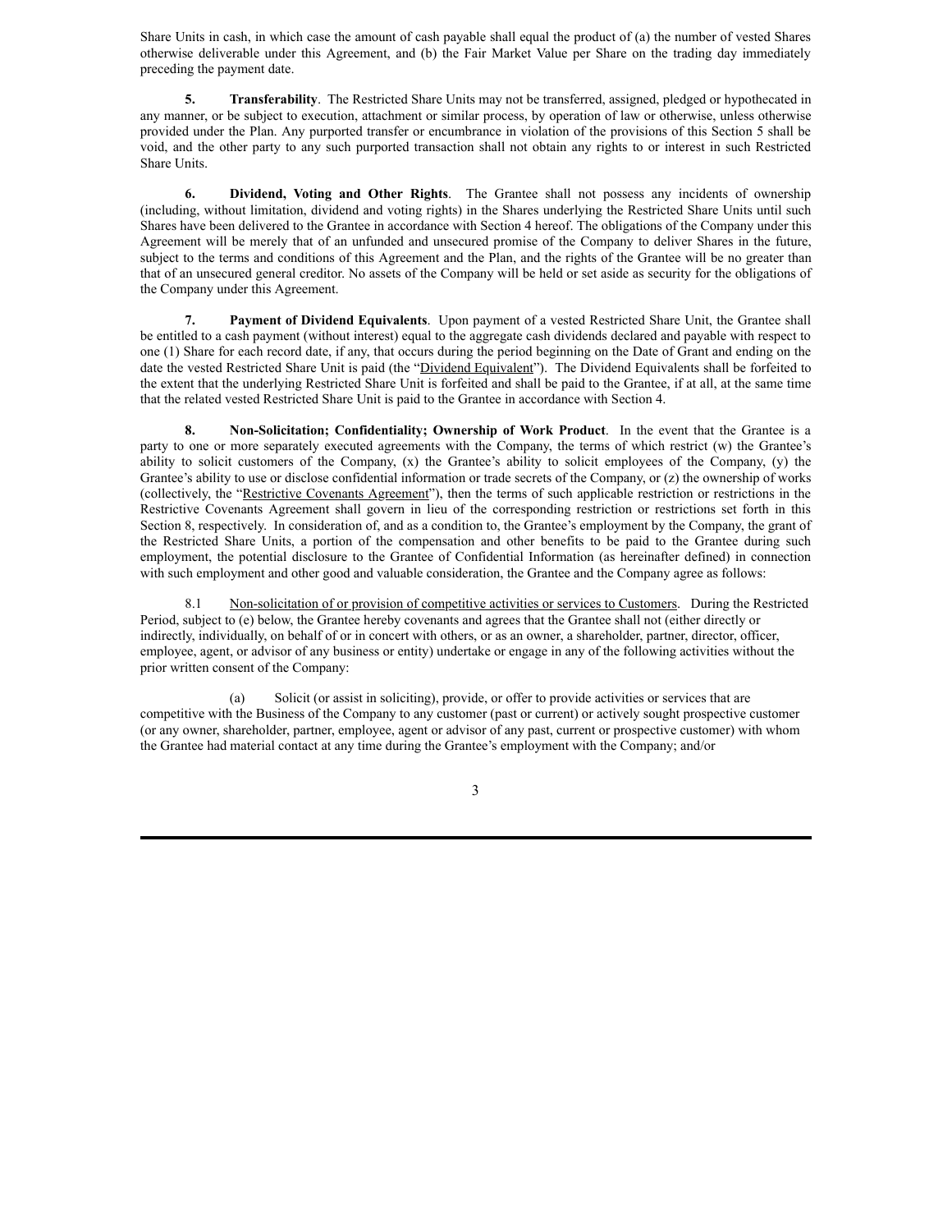Share Units in cash, in which case the amount of cash payable shall equal the product of (a) the number of vested Shares otherwise deliverable under this Agreement, and (b) the Fair Market Value per Share on the trading day immediately preceding the payment date.

**5. Transferability**. The Restricted Share Units may not be transferred, assigned, pledged or hypothecated in any manner, or be subject to execution, attachment or similar process, by operation of law or otherwise, unless otherwise provided under the Plan. Any purported transfer or encumbrance in violation of the provisions of this Section 5 shall be void, and the other party to any such purported transaction shall not obtain any rights to or interest in such Restricted Share Units.

**6. Dividend, Voting and Other Rights**. The Grantee shall not possess any incidents of ownership (including, without limitation, dividend and voting rights) in the Shares underlying the Restricted Share Units until such Shares have been delivered to the Grantee in accordance with Section 4 hereof. The obligations of the Company under this Agreement will be merely that of an unfunded and unsecured promise of the Company to deliver Shares in the future, subject to the terms and conditions of this Agreement and the Plan, and the rights of the Grantee will be no greater than that of an unsecured general creditor. No assets of the Company will be held or set aside as security for the obligations of the Company under this Agreement.

**7. Payment of Dividend Equivalents**. Upon payment of a vested Restricted Share Unit, the Grantee shall be entitled to a cash payment (without interest) equal to the aggregate cash dividends declared and payable with respect to one (1) Share for each record date, if any, that occurs during the period beginning on the Date of Grant and ending on the date the vested Restricted Share Unit is paid (the "Dividend Equivalent"). The Dividend Equivalents shall be forfeited to the extent that the underlying Restricted Share Unit is forfeited and shall be paid to the Grantee, if at all, at the same time that the related vested Restricted Share Unit is paid to the Grantee in accordance with Section 4.

**8. Non-Solicitation; Confidentiality; Ownership of Work Product**. In the event that the Grantee is a party to one or more separately executed agreements with the Company, the terms of which restrict (w) the Grantee's ability to solicit customers of the Company, (x) the Grantee's ability to solicit employees of the Company, (y) the Grantee's ability to use or disclose confidential information or trade secrets of the Company, or (z) the ownership of works (collectively, the "Restrictive Covenants Agreement"), then the terms of such applicable restriction or restrictions in the Restrictive Covenants Agreement shall govern in lieu of the corresponding restriction or restrictions set forth in this Section 8, respectively. In consideration of, and as a condition to, the Grantee's employment by the Company, the grant of the Restricted Share Units, a portion of the compensation and other benefits to be paid to the Grantee during such employment, the potential disclosure to the Grantee of Confidential Information (as hereinafter defined) in connection with such employment and other good and valuable consideration, the Grantee and the Company agree as follows:

8.1 Non-solicitation of or provision of competitive activities or services to Customers. During the Restricted Period, subject to (e) below, the Grantee hereby covenants and agrees that the Grantee shall not (either directly or indirectly, individually, on behalf of or in concert with others, or as an owner, a shareholder, partner, director, officer, employee, agent, or advisor of any business or entity) undertake or engage in any of the following activities without the prior written consent of the Company:

(a) Solicit (or assist in soliciting), provide, or offer to provide activities or services that are competitive with the Business of the Company to any customer (past or current) or actively sought prospective customer (or any owner, shareholder, partner, employee, agent or advisor of any past, current or prospective customer) with whom the Grantee had material contact at any time during the Grantee's employment with the Company; and/or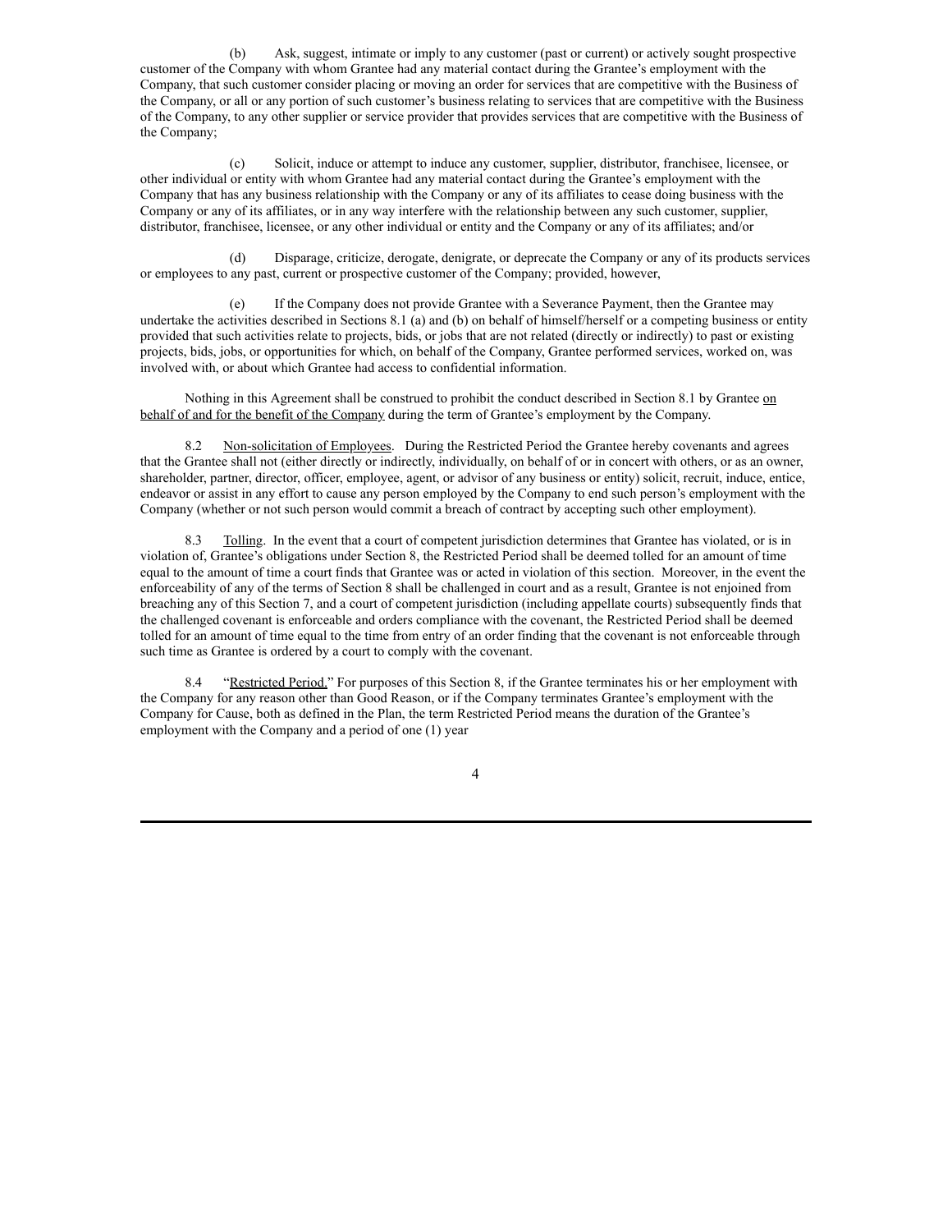(b) Ask, suggest, intimate or imply to any customer (past or current) or actively sought prospective customer of the Company with whom Grantee had any material contact during the Grantee's employment with the Company, that such customer consider placing or moving an order for services that are competitive with the Business of the Company, or all or any portion of such customer's business relating to services that are competitive with the Business of the Company, to any other supplier or service provider that provides services that are competitive with the Business of the Company;

(c) Solicit, induce or attempt to induce any customer, supplier, distributor, franchisee, licensee, or other individual or entity with whom Grantee had any material contact during the Grantee's employment with the Company that has any business relationship with the Company or any of its affiliates to cease doing business with the Company or any of its affiliates, or in any way interfere with the relationship between any such customer, supplier, distributor, franchisee, licensee, or any other individual or entity and the Company or any of its affiliates; and/or

(d) Disparage, criticize, derogate, denigrate, or deprecate the Company or any of its products services or employees to any past, current or prospective customer of the Company; provided, however,

(e) If the Company does not provide Grantee with a Severance Payment, then the Grantee may undertake the activities described in Sections 8.1 (a) and (b) on behalf of himself/herself or a competing business or entity provided that such activities relate to projects, bids, or jobs that are not related (directly or indirectly) to past or existing projects, bids, jobs, or opportunities for which, on behalf of the Company, Grantee performed services, worked on, was involved with, or about which Grantee had access to confidential information.

Nothing in this Agreement shall be construed to prohibit the conduct described in Section 8.1 by Grantee on behalf of and for the benefit of the Company during the term of Grantee's employment by the Company.

8.2 Non-solicitation of Employees. During the Restricted Period the Grantee hereby covenants and agrees that the Grantee shall not (either directly or indirectly, individually, on behalf of or in concert with others, or as an owner, shareholder, partner, director, officer, employee, agent, or advisor of any business or entity) solicit, recruit, induce, entice, endeavor or assist in any effort to cause any person employed by the Company to end such person's employment with the Company (whether or not such person would commit a breach of contract by accepting such other employment).

8.3 Tolling. In the event that a court of competent jurisdiction determines that Grantee has violated, or is in violation of, Grantee's obligations under Section 8, the Restricted Period shall be deemed tolled for an amount of time equal to the amount of time a court finds that Grantee was or acted in violation of this section. Moreover, in the event the enforceability of any of the terms of Section 8 shall be challenged in court and as a result, Grantee is not enjoined from breaching any of this Section 7, and a court of competent jurisdiction (including appellate courts) subsequently finds that the challenged covenant is enforceable and orders compliance with the covenant, the Restricted Period shall be deemed tolled for an amount of time equal to the time from entry of an order finding that the covenant is not enforceable through such time as Grantee is ordered by a court to comply with the covenant.

8.4 "Restricted Period." For purposes of this Section 8, if the Grantee terminates his or her employment with the Company for any reason other than Good Reason, or if the Company terminates Grantee's employment with the Company for Cause, both as defined in the Plan, the term Restricted Period means the duration of the Grantee's employment with the Company and a period of one (1) year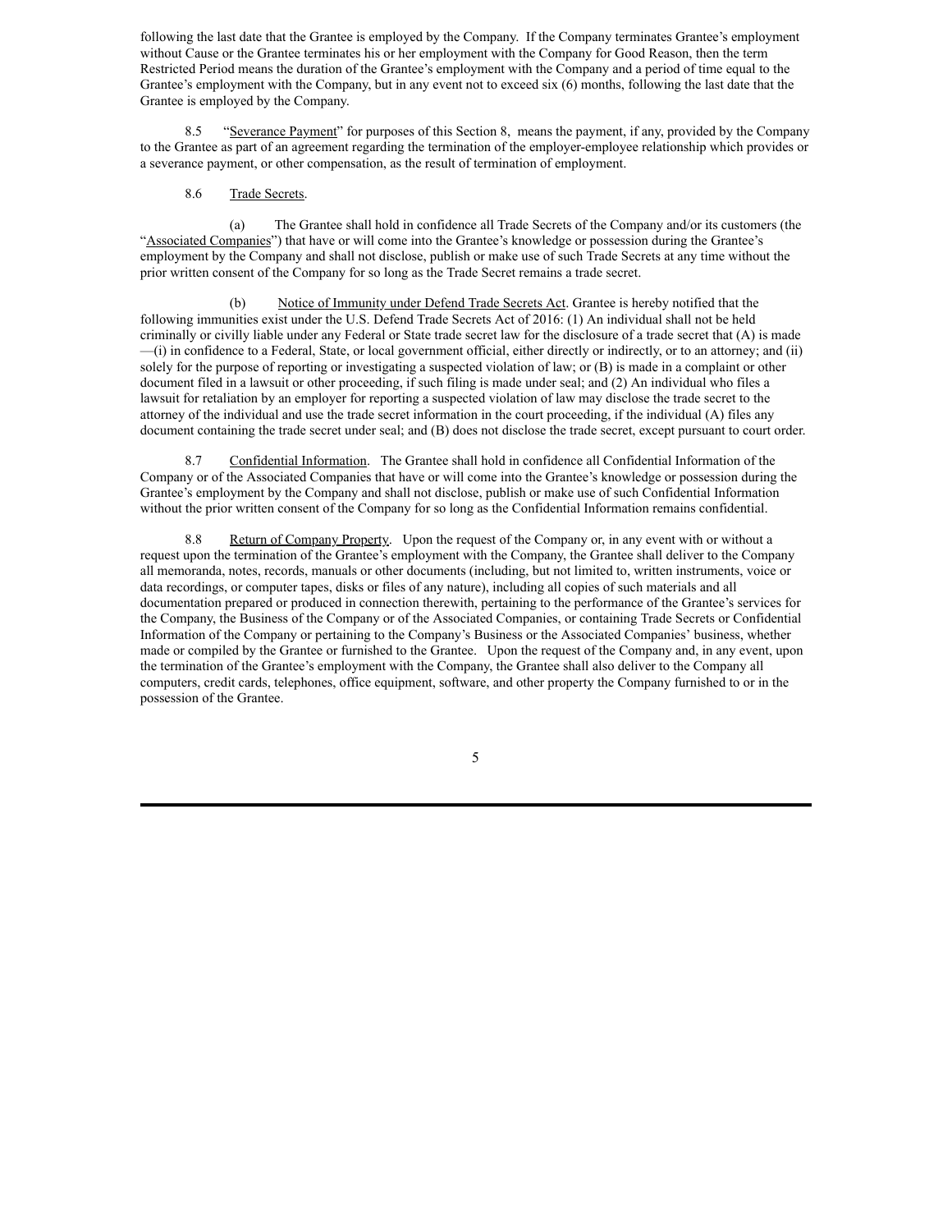following the last date that the Grantee is employed by the Company. If the Company terminates Grantee's employment without Cause or the Grantee terminates his or her employment with the Company for Good Reason, then the term Restricted Period means the duration of the Grantee's employment with the Company and a period of time equal to the Grantee's employment with the Company, but in any event not to exceed six (6) months, following the last date that the Grantee is employed by the Company.

8.5 "Severance Payment" for purposes of this Section 8, means the payment, if any, provided by the Company to the Grantee as part of an agreement regarding the termination of the employer-employee relationship which provides or a severance payment, or other compensation, as the result of termination of employment.

## 8.6 Trade Secrets.

(a) The Grantee shall hold in confidence all Trade Secrets of the Company and/or its customers (the "Associated Companies") that have or will come into the Grantee's knowledge or possession during the Grantee's employment by the Company and shall not disclose, publish or make use of such Trade Secrets at any time without the prior written consent of the Company for so long as the Trade Secret remains a trade secret.

(b) Notice of Immunity under Defend Trade Secrets Act. Grantee is hereby notified that the following immunities exist under the U.S. Defend Trade Secrets Act of 2016: (1) An individual shall not be held criminally or civilly liable under any Federal or State trade secret law for the disclosure of a trade secret that (A) is made —(i) in confidence to a Federal, State, or local government official, either directly or indirectly, or to an attorney; and (ii) solely for the purpose of reporting or investigating a suspected violation of law; or (B) is made in a complaint or other document filed in a lawsuit or other proceeding, if such filing is made under seal; and (2) An individual who files a lawsuit for retaliation by an employer for reporting a suspected violation of law may disclose the trade secret to the attorney of the individual and use the trade secret information in the court proceeding, if the individual (A) files any document containing the trade secret under seal; and (B) does not disclose the trade secret, except pursuant to court order.

8.7 Confidential Information. The Grantee shall hold in confidence all Confidential Information of the Company or of the Associated Companies that have or will come into the Grantee's knowledge or possession during the Grantee's employment by the Company and shall not disclose, publish or make use of such Confidential Information without the prior written consent of the Company for so long as the Confidential Information remains confidential.

8.8 Return of Company Property. Upon the request of the Company or, in any event with or without a request upon the termination of the Grantee's employment with the Company, the Grantee shall deliver to the Company all memoranda, notes, records, manuals or other documents (including, but not limited to, written instruments, voice or data recordings, or computer tapes, disks or files of any nature), including all copies of such materials and all documentation prepared or produced in connection therewith, pertaining to the performance of the Grantee's services for the Company, the Business of the Company or of the Associated Companies, or containing Trade Secrets or Confidential Information of the Company or pertaining to the Company's Business or the Associated Companies' business, whether made or compiled by the Grantee or furnished to the Grantee. Upon the request of the Company and, in any event, upon the termination of the Grantee's employment with the Company, the Grantee shall also deliver to the Company all computers, credit cards, telephones, office equipment, software, and other property the Company furnished to or in the possession of the Grantee.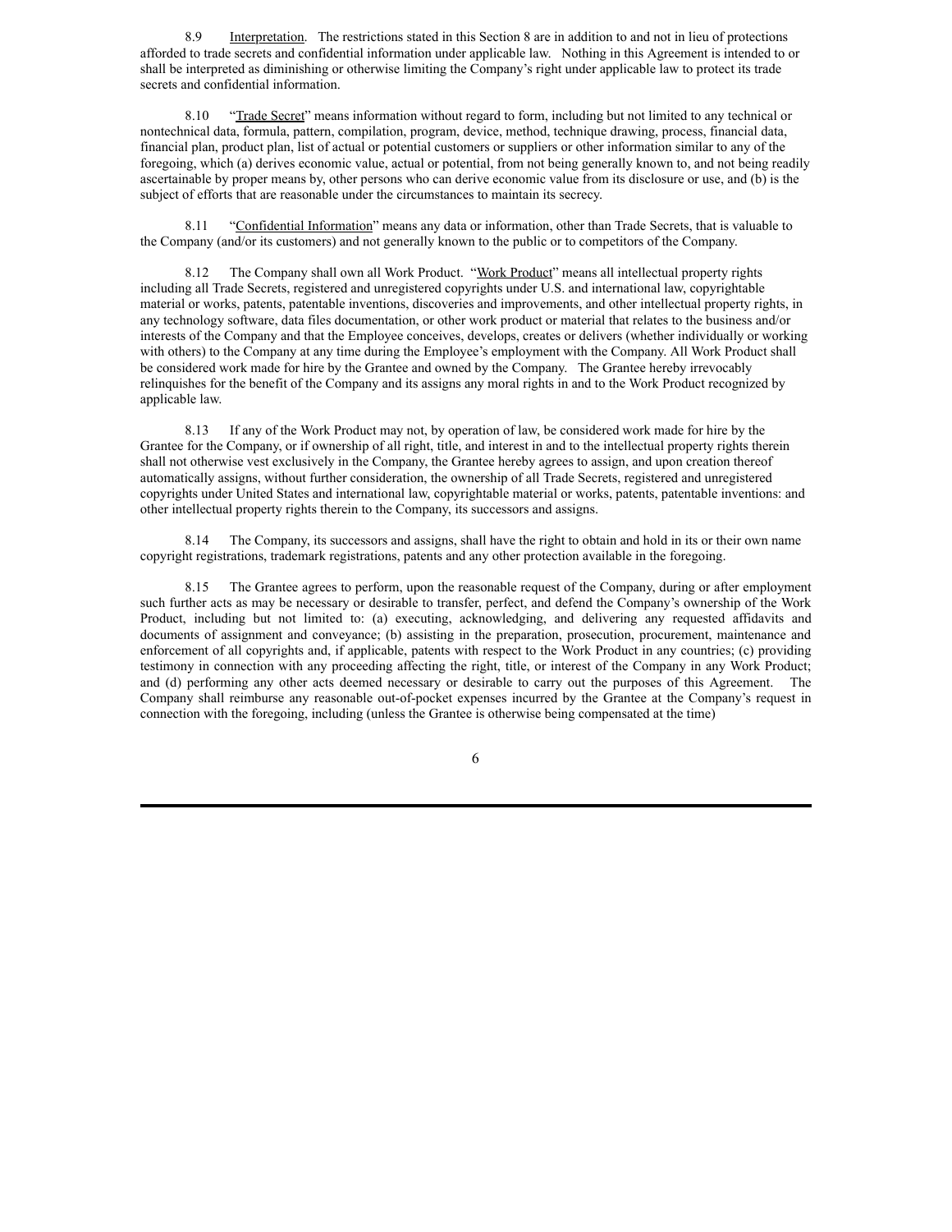8.9 Interpretation. The restrictions stated in this Section 8 are in addition to and not in lieu of protections afforded to trade secrets and confidential information under applicable law. Nothing in this Agreement is intended to or shall be interpreted as diminishing or otherwise limiting the Company's right under applicable law to protect its trade secrets and confidential information.

8.10 "Trade Secret" means information without regard to form, including but not limited to any technical or nontechnical data, formula, pattern, compilation, program, device, method, technique drawing, process, financial data, financial plan, product plan, list of actual or potential customers or suppliers or other information similar to any of the foregoing, which (a) derives economic value, actual or potential, from not being generally known to, and not being readily ascertainable by proper means by, other persons who can derive economic value from its disclosure or use, and (b) is the subject of efforts that are reasonable under the circumstances to maintain its secrecy.

8.11 "Confidential Information" means any data or information, other than Trade Secrets, that is valuable to the Company (and/or its customers) and not generally known to the public or to competitors of the Company.

8.12 The Company shall own all Work Product. "Work Product" means all intellectual property rights including all Trade Secrets, registered and unregistered copyrights under U.S. and international law, copyrightable material or works, patents, patentable inventions, discoveries and improvements, and other intellectual property rights, in any technology software, data files documentation, or other work product or material that relates to the business and/or interests of the Company and that the Employee conceives, develops, creates or delivers (whether individually or working with others) to the Company at any time during the Employee's employment with the Company. All Work Product shall be considered work made for hire by the Grantee and owned by the Company. The Grantee hereby irrevocably relinquishes for the benefit of the Company and its assigns any moral rights in and to the Work Product recognized by applicable law.

8.13 If any of the Work Product may not, by operation of law, be considered work made for hire by the Grantee for the Company, or if ownership of all right, title, and interest in and to the intellectual property rights therein shall not otherwise vest exclusively in the Company, the Grantee hereby agrees to assign, and upon creation thereof automatically assigns, without further consideration, the ownership of all Trade Secrets, registered and unregistered copyrights under United States and international law, copyrightable material or works, patents, patentable inventions: and other intellectual property rights therein to the Company, its successors and assigns.

8.14 The Company, its successors and assigns, shall have the right to obtain and hold in its or their own name copyright registrations, trademark registrations, patents and any other protection available in the foregoing.

8.15 The Grantee agrees to perform, upon the reasonable request of the Company, during or after employment such further acts as may be necessary or desirable to transfer, perfect, and defend the Company's ownership of the Work Product, including but not limited to: (a) executing, acknowledging, and delivering any requested affidavits and documents of assignment and conveyance; (b) assisting in the preparation, prosecution, procurement, maintenance and enforcement of all copyrights and, if applicable, patents with respect to the Work Product in any countries; (c) providing testimony in connection with any proceeding affecting the right, title, or interest of the Company in any Work Product; and (d) performing any other acts deemed necessary or desirable to carry out the purposes of this Agreement. The Company shall reimburse any reasonable out-of-pocket expenses incurred by the Grantee at the Company's request in connection with the foregoing, including (unless the Grantee is otherwise being compensated at the time)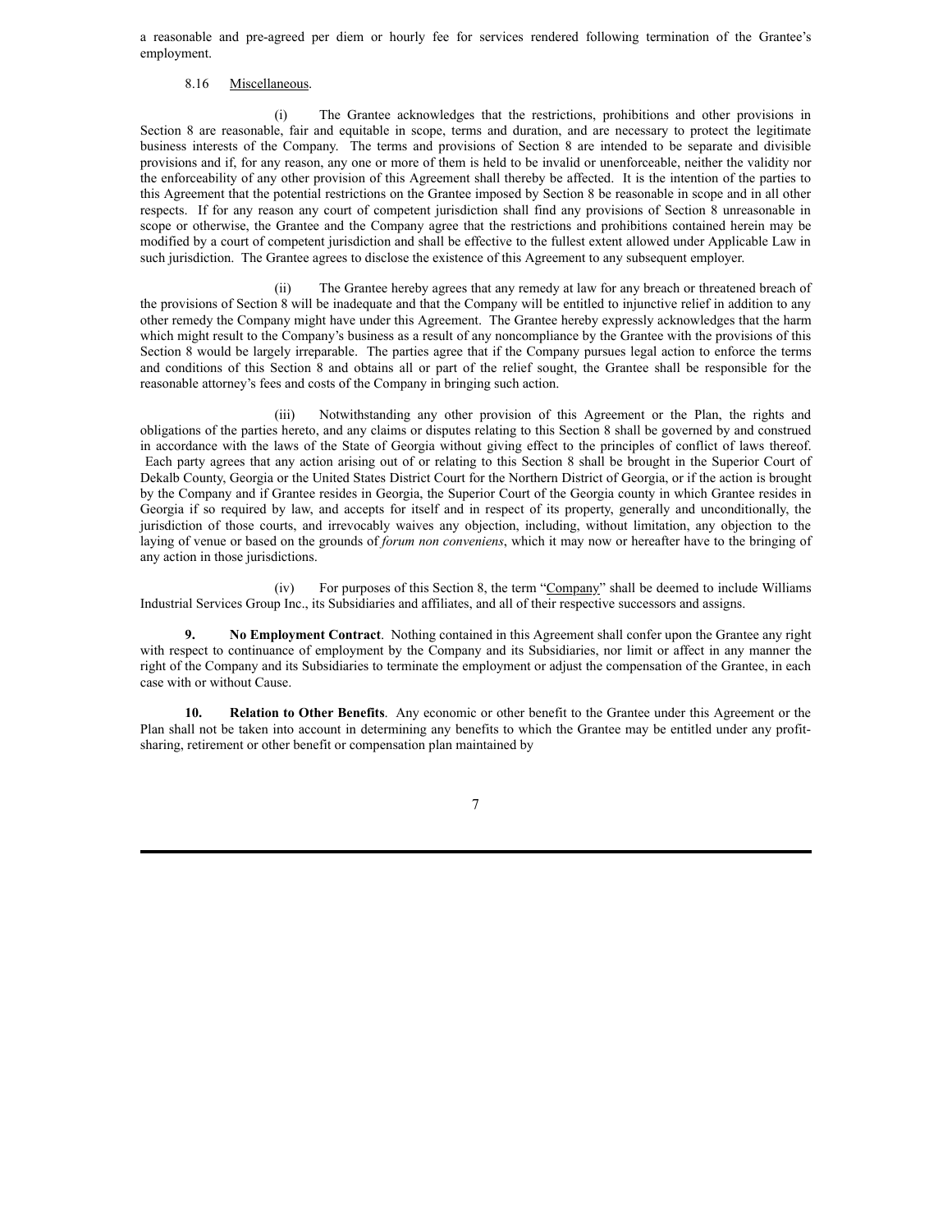a reasonable and pre-agreed per diem or hourly fee for services rendered following termination of the Grantee's employment.

## 8.16 Miscellaneous.

(i) The Grantee acknowledges that the restrictions, prohibitions and other provisions in Section 8 are reasonable, fair and equitable in scope, terms and duration, and are necessary to protect the legitimate business interests of the Company. The terms and provisions of Section 8 are intended to be separate and divisible provisions and if, for any reason, any one or more of them is held to be invalid or unenforceable, neither the validity nor the enforceability of any other provision of this Agreement shall thereby be affected. It is the intention of the parties to this Agreement that the potential restrictions on the Grantee imposed by Section 8 be reasonable in scope and in all other respects. If for any reason any court of competent jurisdiction shall find any provisions of Section 8 unreasonable in scope or otherwise, the Grantee and the Company agree that the restrictions and prohibitions contained herein may be modified by a court of competent jurisdiction and shall be effective to the fullest extent allowed under Applicable Law in such jurisdiction. The Grantee agrees to disclose the existence of this Agreement to any subsequent employer.

(ii) The Grantee hereby agrees that any remedy at law for any breach or threatened breach of the provisions of Section 8 will be inadequate and that the Company will be entitled to injunctive relief in addition to any other remedy the Company might have under this Agreement. The Grantee hereby expressly acknowledges that the harm which might result to the Company's business as a result of any noncompliance by the Grantee with the provisions of this Section 8 would be largely irreparable. The parties agree that if the Company pursues legal action to enforce the terms and conditions of this Section 8 and obtains all or part of the relief sought, the Grantee shall be responsible for the reasonable attorney's fees and costs of the Company in bringing such action.

(iii) Notwithstanding any other provision of this Agreement or the Plan, the rights and obligations of the parties hereto, and any claims or disputes relating to this Section 8 shall be governed by and construed in accordance with the laws of the State of Georgia without giving effect to the principles of conflict of laws thereof. Each party agrees that any action arising out of or relating to this Section 8 shall be brought in the Superior Court of Dekalb County, Georgia or the United States District Court for the Northern District of Georgia, or if the action is brought by the Company and if Grantee resides in Georgia, the Superior Court of the Georgia county in which Grantee resides in Georgia if so required by law, and accepts for itself and in respect of its property, generally and unconditionally, the jurisdiction of those courts, and irrevocably waives any objection, including, without limitation, any objection to the laying of venue or based on the grounds of *forum non conveniens*, which it may now or hereafter have to the bringing of any action in those jurisdictions.

(iv) For purposes of this Section 8, the term "Company" shall be deemed to include Williams Industrial Services Group Inc., its Subsidiaries and affiliates, and all of their respective successors and assigns.

**9. No Employment Contract**. Nothing contained in this Agreement shall confer upon the Grantee any right with respect to continuance of employment by the Company and its Subsidiaries, nor limit or affect in any manner the right of the Company and its Subsidiaries to terminate the employment or adjust the compensation of the Grantee, in each case with or without Cause.

**10. Relation to Other Benefits**. Any economic or other benefit to the Grantee under this Agreement or the Plan shall not be taken into account in determining any benefits to which the Grantee may be entitled under any profitsharing, retirement or other benefit or compensation plan maintained by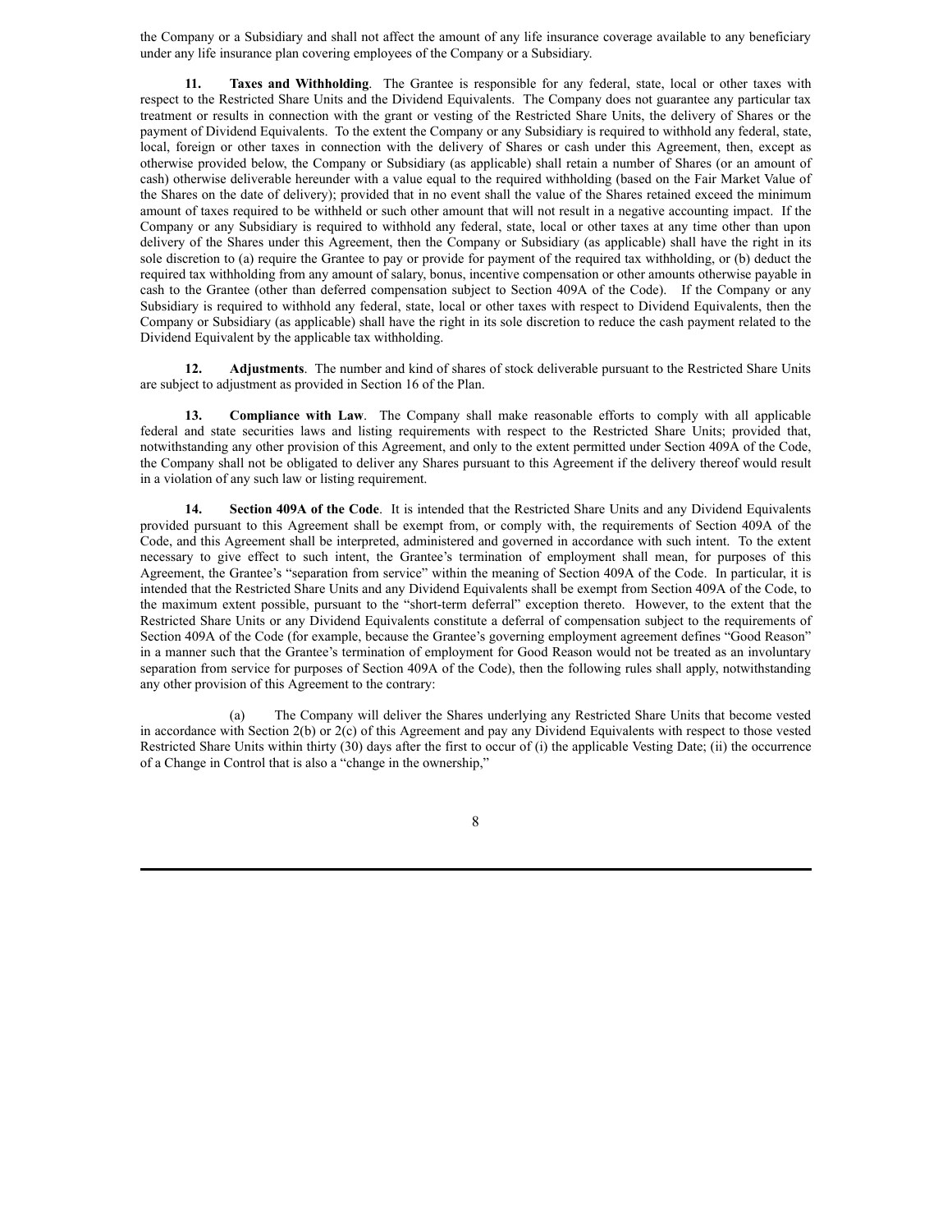the Company or a Subsidiary and shall not affect the amount of any life insurance coverage available to any beneficiary under any life insurance plan covering employees of the Company or a Subsidiary.

**11. Taxes and Withholding**. The Grantee is responsible for any federal, state, local or other taxes with respect to the Restricted Share Units and the Dividend Equivalents. The Company does not guarantee any particular tax treatment or results in connection with the grant or vesting of the Restricted Share Units, the delivery of Shares or the payment of Dividend Equivalents. To the extent the Company or any Subsidiary is required to withhold any federal, state, local, foreign or other taxes in connection with the delivery of Shares or cash under this Agreement, then, except as otherwise provided below, the Company or Subsidiary (as applicable) shall retain a number of Shares (or an amount of cash) otherwise deliverable hereunder with a value equal to the required withholding (based on the Fair Market Value of the Shares on the date of delivery); provided that in no event shall the value of the Shares retained exceed the minimum amount of taxes required to be withheld or such other amount that will not result in a negative accounting impact. If the Company or any Subsidiary is required to withhold any federal, state, local or other taxes at any time other than upon delivery of the Shares under this Agreement, then the Company or Subsidiary (as applicable) shall have the right in its sole discretion to (a) require the Grantee to pay or provide for payment of the required tax withholding, or (b) deduct the required tax withholding from any amount of salary, bonus, incentive compensation or other amounts otherwise payable in cash to the Grantee (other than deferred compensation subject to Section 409A of the Code). If the Company or any Subsidiary is required to withhold any federal, state, local or other taxes with respect to Dividend Equivalents, then the Company or Subsidiary (as applicable) shall have the right in its sole discretion to reduce the cash payment related to the Dividend Equivalent by the applicable tax withholding.

**12. Adjustments**. The number and kind of shares of stock deliverable pursuant to the Restricted Share Units are subject to adjustment as provided in Section 16 of the Plan.

**13. Compliance with Law**. The Company shall make reasonable efforts to comply with all applicable federal and state securities laws and listing requirements with respect to the Restricted Share Units; provided that, notwithstanding any other provision of this Agreement, and only to the extent permitted under Section 409A of the Code, the Company shall not be obligated to deliver any Shares pursuant to this Agreement if the delivery thereof would result in a violation of any such law or listing requirement.

**14. Section 409A of the Code**. It is intended that the Restricted Share Units and any Dividend Equivalents provided pursuant to this Agreement shall be exempt from, or comply with, the requirements of Section 409A of the Code, and this Agreement shall be interpreted, administered and governed in accordance with such intent. To the extent necessary to give effect to such intent, the Grantee's termination of employment shall mean, for purposes of this Agreement, the Grantee's "separation from service" within the meaning of Section 409A of the Code. In particular, it is intended that the Restricted Share Units and any Dividend Equivalents shall be exempt from Section 409A of the Code, to the maximum extent possible, pursuant to the "short-term deferral" exception thereto. However, to the extent that the Restricted Share Units or any Dividend Equivalents constitute a deferral of compensation subject to the requirements of Section 409A of the Code (for example, because the Grantee's governing employment agreement defines "Good Reason" in a manner such that the Grantee's termination of employment for Good Reason would not be treated as an involuntary separation from service for purposes of Section 409A of the Code), then the following rules shall apply, notwithstanding any other provision of this Agreement to the contrary:

(a) The Company will deliver the Shares underlying any Restricted Share Units that become vested in accordance with Section 2(b) or 2(c) of this Agreement and pay any Dividend Equivalents with respect to those vested Restricted Share Units within thirty (30) days after the first to occur of (i) the applicable Vesting Date; (ii) the occurrence of a Change in Control that is also a "change in the ownership,"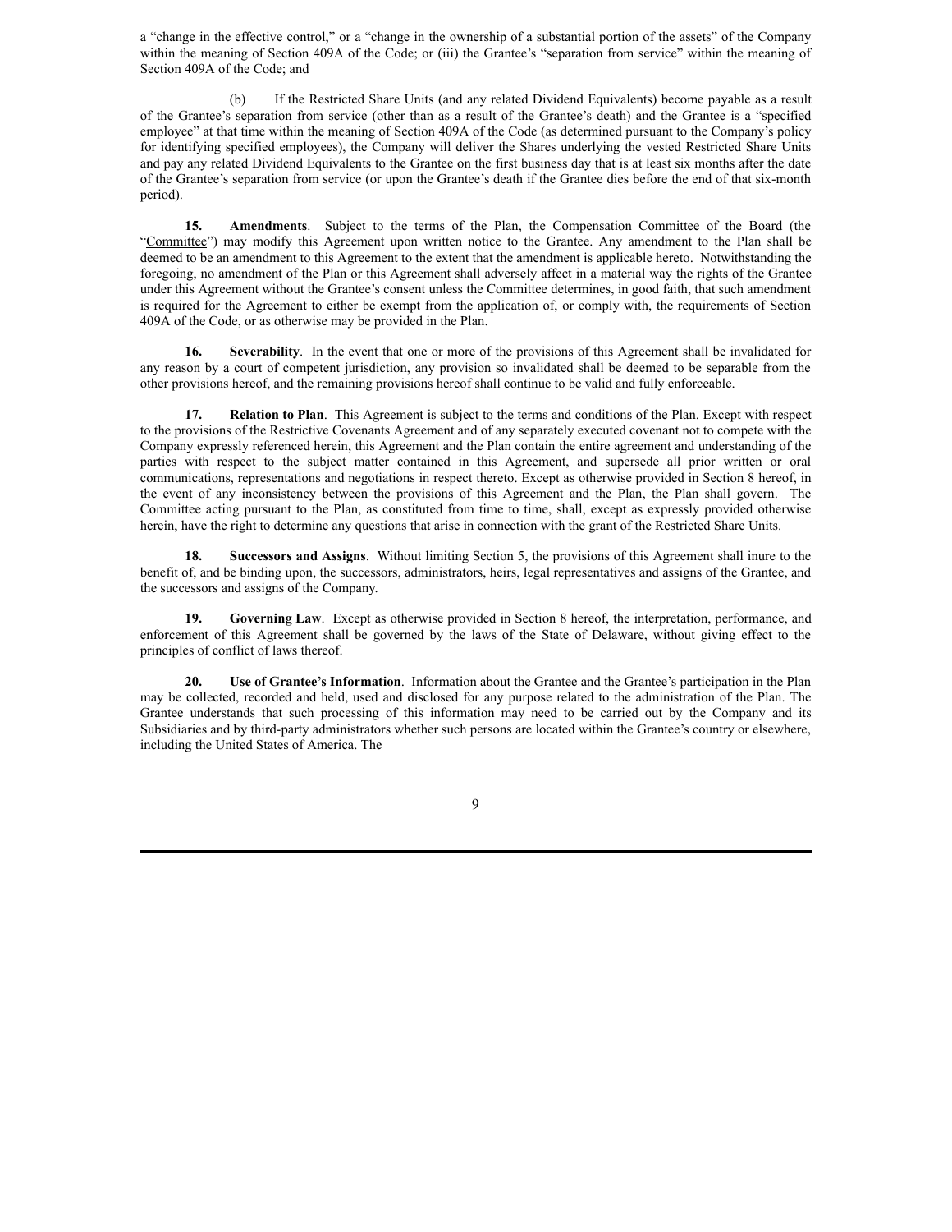a "change in the effective control," or a "change in the ownership of a substantial portion of the assets" of the Company within the meaning of Section 409A of the Code; or (iii) the Grantee's "separation from service" within the meaning of Section 409A of the Code; and

(b) If the Restricted Share Units (and any related Dividend Equivalents) become payable as a result of the Grantee's separation from service (other than as a result of the Grantee's death) and the Grantee is a "specified employee" at that time within the meaning of Section 409A of the Code (as determined pursuant to the Company's policy for identifying specified employees), the Company will deliver the Shares underlying the vested Restricted Share Units and pay any related Dividend Equivalents to the Grantee on the first business day that is at least six months after the date of the Grantee's separation from service (or upon the Grantee's death if the Grantee dies before the end of that six-month period).

**15. Amendments**. Subject to the terms of the Plan, the Compensation Committee of the Board (the "Committee") may modify this Agreement upon written notice to the Grantee. Any amendment to the Plan shall be deemed to be an amendment to this Agreement to the extent that the amendment is applicable hereto. Notwithstanding the foregoing, no amendment of the Plan or this Agreement shall adversely affect in a material way the rights of the Grantee under this Agreement without the Grantee's consent unless the Committee determines, in good faith, that such amendment is required for the Agreement to either be exempt from the application of, or comply with, the requirements of Section 409A of the Code, or as otherwise may be provided in the Plan.

**16. Severability**. In the event that one or more of the provisions of this Agreement shall be invalidated for any reason by a court of competent jurisdiction, any provision so invalidated shall be deemed to be separable from the other provisions hereof, and the remaining provisions hereof shall continue to be valid and fully enforceable.

**17. Relation to Plan**. This Agreement is subject to the terms and conditions of the Plan. Except with respect to the provisions of the Restrictive Covenants Agreement and of any separately executed covenant not to compete with the Company expressly referenced herein, this Agreement and the Plan contain the entire agreement and understanding of the parties with respect to the subject matter contained in this Agreement, and supersede all prior written or oral communications, representations and negotiations in respect thereto. Except as otherwise provided in Section 8 hereof, in the event of any inconsistency between the provisions of this Agreement and the Plan, the Plan shall govern. The Committee acting pursuant to the Plan, as constituted from time to time, shall, except as expressly provided otherwise herein, have the right to determine any questions that arise in connection with the grant of the Restricted Share Units.

**18. Successors and Assigns**. Without limiting Section 5, the provisions of this Agreement shall inure to the benefit of, and be binding upon, the successors, administrators, heirs, legal representatives and assigns of the Grantee, and the successors and assigns of the Company.

**19. Governing Law**. Except as otherwise provided in Section 8 hereof, the interpretation, performance, and enforcement of this Agreement shall be governed by the laws of the State of Delaware, without giving effect to the principles of conflict of laws thereof.

**20. Use of Grantee's Information**. Information about the Grantee and the Grantee's participation in the Plan may be collected, recorded and held, used and disclosed for any purpose related to the administration of the Plan. The Grantee understands that such processing of this information may need to be carried out by the Company and its Subsidiaries and by third-party administrators whether such persons are located within the Grantee's country or elsewhere, including the United States of America. The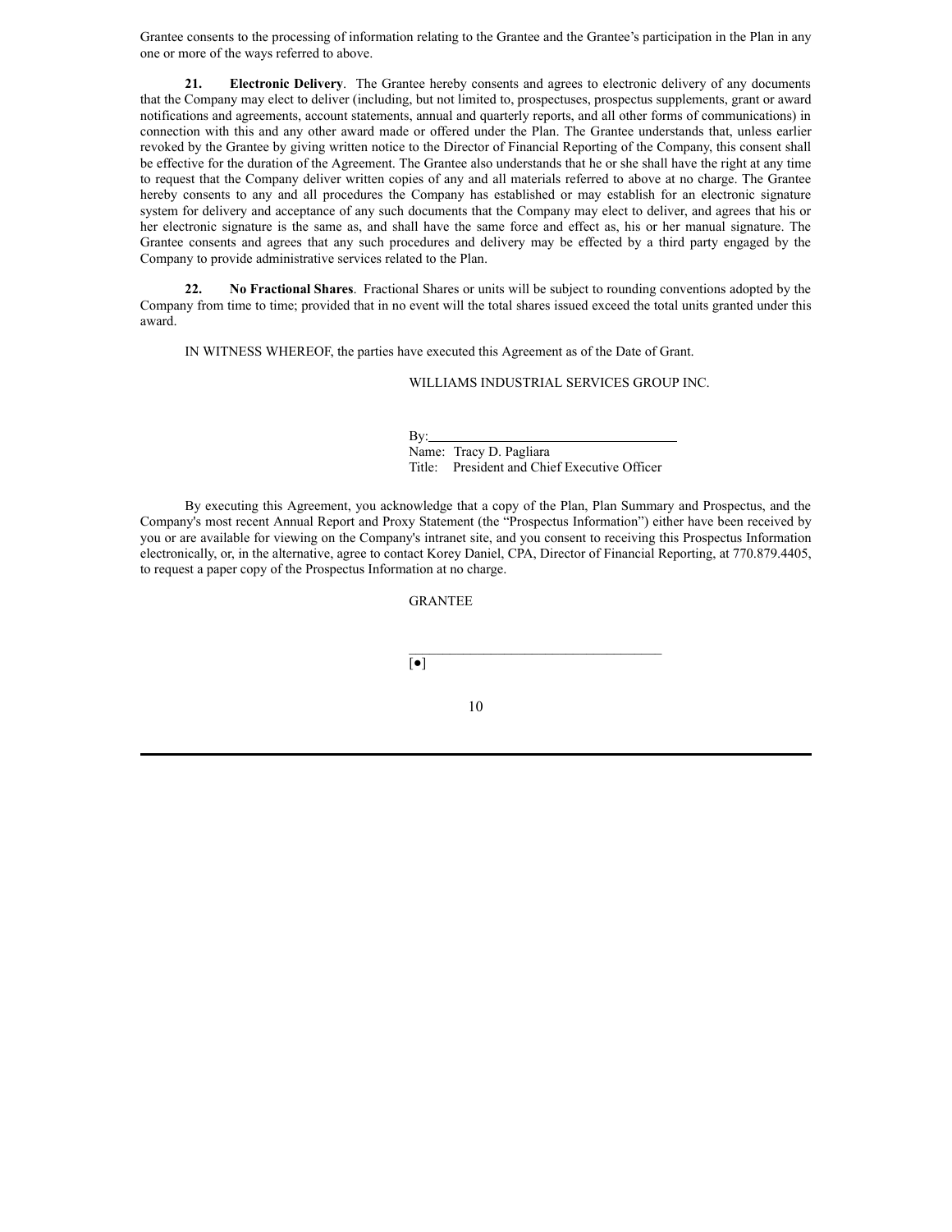Grantee consents to the processing of information relating to the Grantee and the Grantee's participation in the Plan in any one or more of the ways referred to above.

**21. Electronic Delivery**. The Grantee hereby consents and agrees to electronic delivery of any documents that the Company may elect to deliver (including, but not limited to, prospectuses, prospectus supplements, grant or award notifications and agreements, account statements, annual and quarterly reports, and all other forms of communications) in connection with this and any other award made or offered under the Plan. The Grantee understands that, unless earlier revoked by the Grantee by giving written notice to the Director of Financial Reporting of the Company, this consent shall be effective for the duration of the Agreement. The Grantee also understands that he or she shall have the right at any time to request that the Company deliver written copies of any and all materials referred to above at no charge. The Grantee hereby consents to any and all procedures the Company has established or may establish for an electronic signature system for delivery and acceptance of any such documents that the Company may elect to deliver, and agrees that his or her electronic signature is the same as, and shall have the same force and effect as, his or her manual signature. The Grantee consents and agrees that any such procedures and delivery may be effected by a third party engaged by the Company to provide administrative services related to the Plan.

**22. No Fractional Shares**. Fractional Shares or units will be subject to rounding conventions adopted by the Company from time to time; provided that in no event will the total shares issued exceed the total units granted under this award.

IN WITNESS WHEREOF, the parties have executed this Agreement as of the Date of Grant.

WILLIAMS INDUSTRIAL SERVICES GROUP INC.

By: Name: Tracy D. Pagliara Title: President and Chief Executive Officer

 $\mathcal{L}_\text{max}$ 

By executing this Agreement, you acknowledge that a copy of the Plan, Plan Summary and Prospectus, and the Company's most recent Annual Report and Proxy Statement (the "Prospectus Information") either have been received by you or are available for viewing on the Company's intranet site, and you consent to receiving this Prospectus Information electronically, or, in the alternative, agree to contact Korey Daniel, CPA, Director of Financial Reporting, at 770.879.4405, to request a paper copy of the Prospectus Information at no charge.

GRANTEE

[●]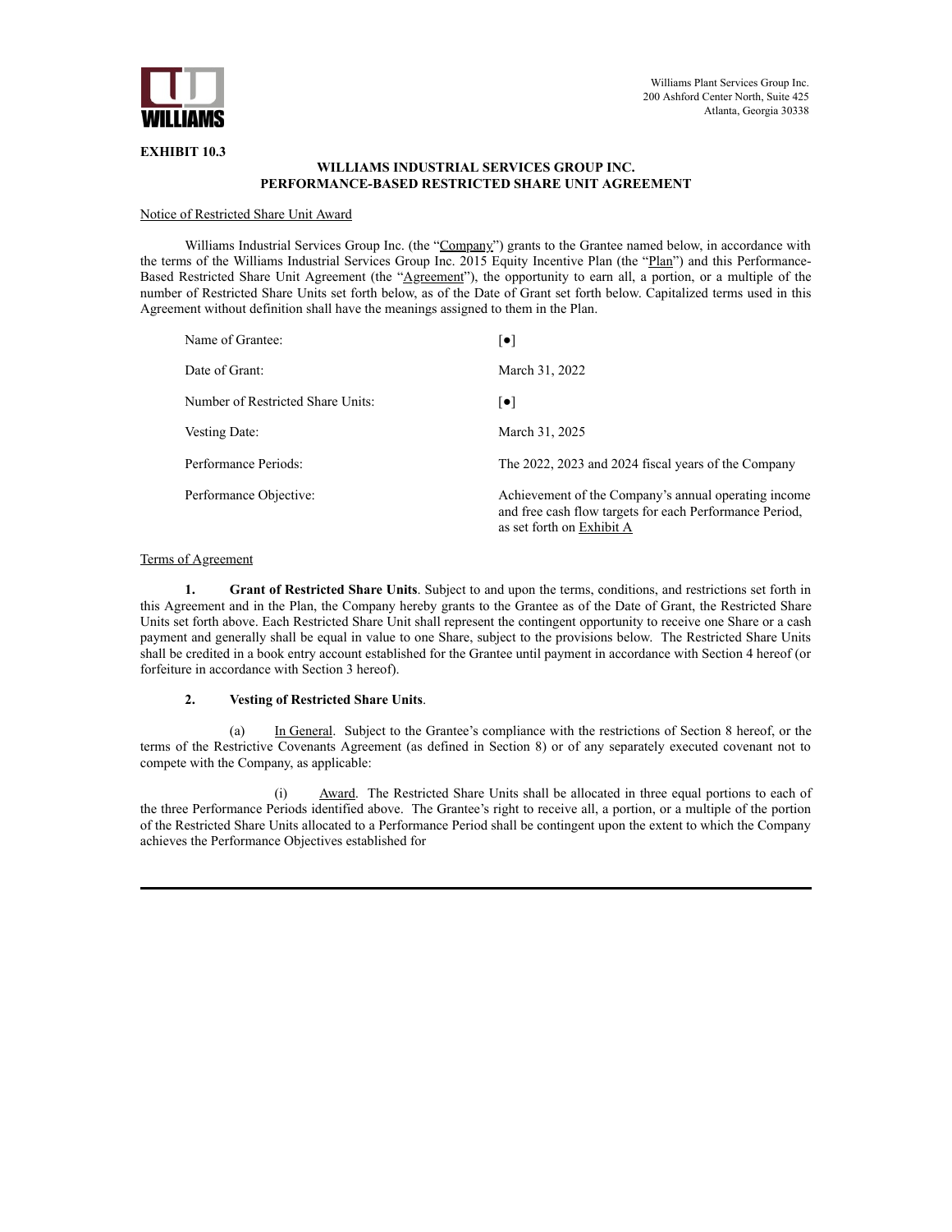

# **EXHIBIT 10.3**

# **WILLIAMS INDUSTRIAL SERVICES GROUP INC. PERFORMANCE-BASED RESTRICTED SHARE UNIT AGREEMENT**

# Notice of Restricted Share Unit Award

Williams Industrial Services Group Inc. (the "Company") grants to the Grantee named below, in accordance with the terms of the Williams Industrial Services Group Inc. 2015 Equity Incentive Plan (the "Plan") and this Performance-Based Restricted Share Unit Agreement (the "Agreement"), the opportunity to earn all, a portion, or a multiple of the number of Restricted Share Units set forth below, as of the Date of Grant set forth below. Capitalized terms used in this Agreement without definition shall have the meanings assigned to them in the Plan.

| Name of Grantee:                  | $\lceil \bullet \rceil$                                                                                                                      |
|-----------------------------------|----------------------------------------------------------------------------------------------------------------------------------------------|
| Date of Grant:                    | March 31, 2022                                                                                                                               |
| Number of Restricted Share Units: | $ \bullet $                                                                                                                                  |
| Vesting Date:                     | March 31, 2025                                                                                                                               |
| Performance Periods:              | The 2022, 2023 and 2024 fiscal years of the Company                                                                                          |
| Performance Objective:            | Achievement of the Company's annual operating income<br>and free cash flow targets for each Performance Period,<br>as set forth on Exhibit A |

## Terms of Agreement

**1. Grant of Restricted Share Units**. Subject to and upon the terms, conditions, and restrictions set forth in this Agreement and in the Plan, the Company hereby grants to the Grantee as of the Date of Grant, the Restricted Share Units set forth above. Each Restricted Share Unit shall represent the contingent opportunity to receive one Share or a cash payment and generally shall be equal in value to one Share, subject to the provisions below. The Restricted Share Units shall be credited in a book entry account established for the Grantee until payment in accordance with Section 4 hereof (or forfeiture in accordance with Section 3 hereof).

## **2. Vesting of Restricted Share Units**.

(a) In General. Subject to the Grantee's compliance with the restrictions of Section 8 hereof, or the terms of the Restrictive Covenants Agreement (as defined in Section 8) or of any separately executed covenant not to compete with the Company, as applicable:

(i) Award. The Restricted Share Units shall be allocated in three equal portions to each of the three Performance Periods identified above. The Grantee's right to receive all, a portion, or a multiple of the portion of the Restricted Share Units allocated to a Performance Period shall be contingent upon the extent to which the Company achieves the Performance Objectives established for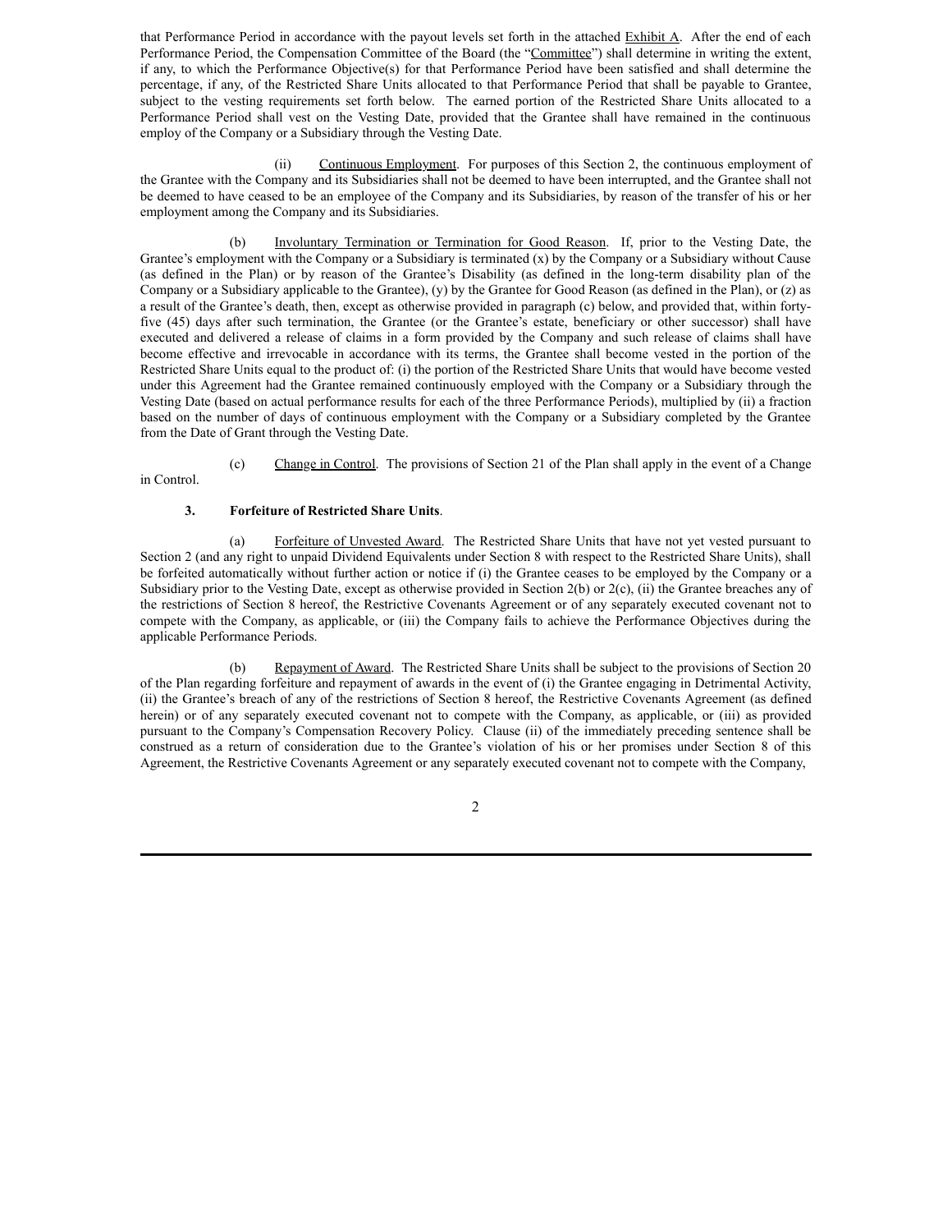that Performance Period in accordance with the payout levels set forth in the attached Exhibit A. After the end of each Performance Period, the Compensation Committee of the Board (the "Committee") shall determine in writing the extent, if any, to which the Performance Objective(s) for that Performance Period have been satisfied and shall determine the percentage, if any, of the Restricted Share Units allocated to that Performance Period that shall be payable to Grantee, subject to the vesting requirements set forth below. The earned portion of the Restricted Share Units allocated to a Performance Period shall vest on the Vesting Date, provided that the Grantee shall have remained in the continuous employ of the Company or a Subsidiary through the Vesting Date.

(ii) Continuous Employment. For purposes of this Section 2, the continuous employment of the Grantee with the Company and its Subsidiaries shall not be deemed to have been interrupted, and the Grantee shall not be deemed to have ceased to be an employee of the Company and its Subsidiaries, by reason of the transfer of his or her employment among the Company and its Subsidiaries.

(b) Involuntary Termination or Termination for Good Reason. If, prior to the Vesting Date, the Grantee's employment with the Company or a Subsidiary is terminated (x) by the Company or a Subsidiary without Cause (as defined in the Plan) or by reason of the Grantee's Disability (as defined in the long-term disability plan of the Company or a Subsidiary applicable to the Grantee), (y) by the Grantee for Good Reason (as defined in the Plan), or (z) as a result of the Grantee's death, then, except as otherwise provided in paragraph (c) below, and provided that, within fortyfive (45) days after such termination, the Grantee (or the Grantee's estate, beneficiary or other successor) shall have executed and delivered a release of claims in a form provided by the Company and such release of claims shall have become effective and irrevocable in accordance with its terms, the Grantee shall become vested in the portion of the Restricted Share Units equal to the product of: (i) the portion of the Restricted Share Units that would have become vested under this Agreement had the Grantee remained continuously employed with the Company or a Subsidiary through the Vesting Date (based on actual performance results for each of the three Performance Periods), multiplied by (ii) a fraction based on the number of days of continuous employment with the Company or a Subsidiary completed by the Grantee from the Date of Grant through the Vesting Date.

(c) Change in Control. The provisions of Section 21 of the Plan shall apply in the event of a Change in Control.

## **3. Forfeiture of Restricted Share Units**.

(a) Forfeiture of Unvested Award. The Restricted Share Units that have not yet vested pursuant to Section 2 (and any right to unpaid Dividend Equivalents under Section 8 with respect to the Restricted Share Units), shall be forfeited automatically without further action or notice if (i) the Grantee ceases to be employed by the Company or a Subsidiary prior to the Vesting Date, except as otherwise provided in Section 2(b) or 2(c), (ii) the Grantee breaches any of the restrictions of Section 8 hereof, the Restrictive Covenants Agreement or of any separately executed covenant not to compete with the Company, as applicable, or (iii) the Company fails to achieve the Performance Objectives during the applicable Performance Periods.

(b) Repayment of Award. The Restricted Share Units shall be subject to the provisions of Section 20 of the Plan regarding forfeiture and repayment of awards in the event of (i) the Grantee engaging in Detrimental Activity, (ii) the Grantee's breach of any of the restrictions of Section 8 hereof, the Restrictive Covenants Agreement (as defined herein) or of any separately executed covenant not to compete with the Company, as applicable, or (iii) as provided pursuant to the Company's Compensation Recovery Policy. Clause (ii) of the immediately preceding sentence shall be construed as a return of consideration due to the Grantee's violation of his or her promises under Section 8 of this Agreement, the Restrictive Covenants Agreement or any separately executed covenant not to compete with the Company,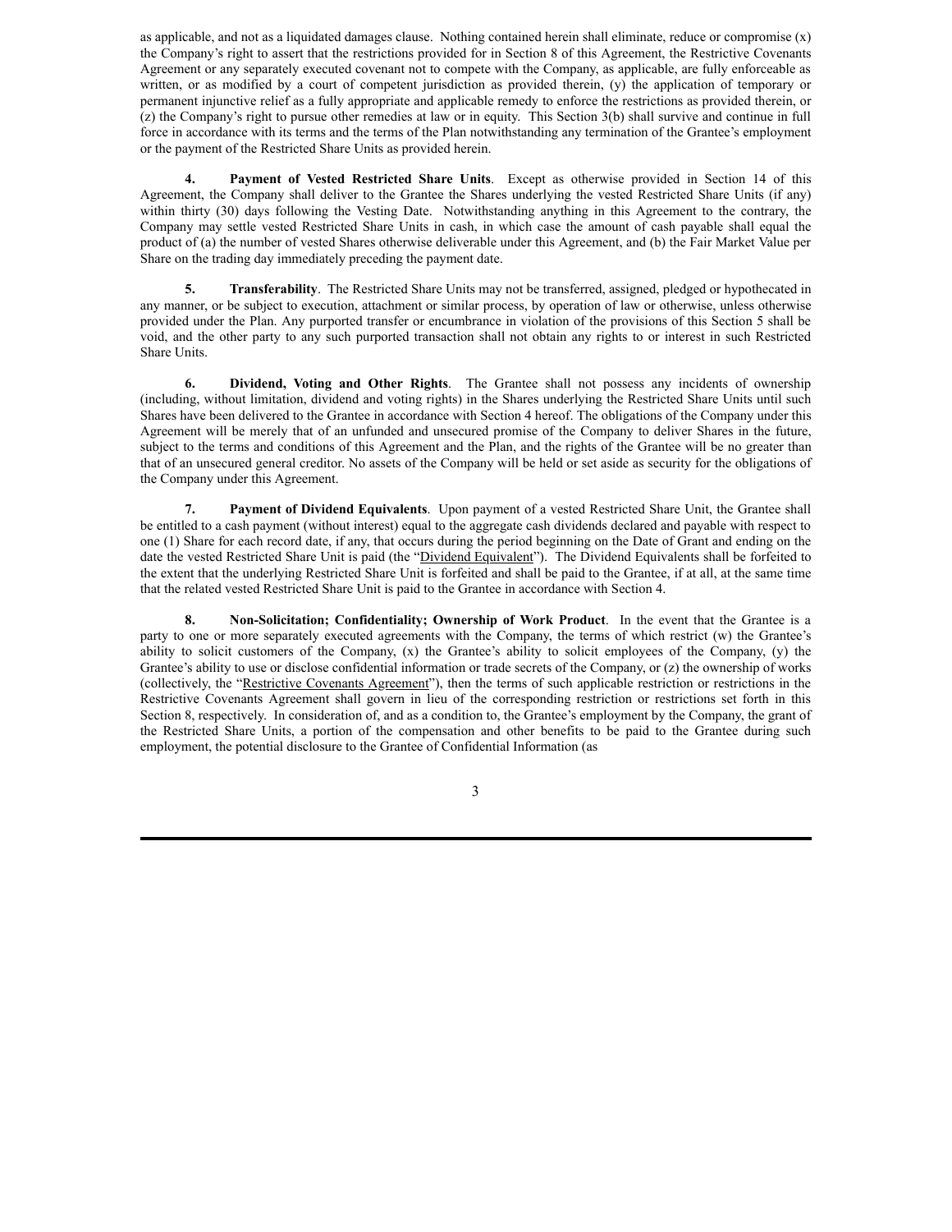as applicable, and not as a liquidated damages clause. Nothing contained herein shall eliminate, reduce or compromise (x) the Company's right to assert that the restrictions provided for in Section 8 of this Agreement, the Restrictive Covenants Agreement or any separately executed covenant not to compete with the Company, as applicable, are fully enforceable as written, or as modified by a court of competent jurisdiction as provided therein, (y) the application of temporary or permanent injunctive relief as a fully appropriate and applicable remedy to enforce the restrictions as provided therein, or (z) the Company's right to pursue other remedies at law or in equity. This Section 3(b) shall survive and continue in full force in accordance with its terms and the terms of the Plan notwithstanding any termination of the Grantee's employment or the payment of the Restricted Share Units as provided herein.

**4. Payment of Vested Restricted Share Units**. Except as otherwise provided in Section 14 of this Agreement, the Company shall deliver to the Grantee the Shares underlying the vested Restricted Share Units (if any) within thirty (30) days following the Vesting Date. Notwithstanding anything in this Agreement to the contrary, the Company may settle vested Restricted Share Units in cash, in which case the amount of cash payable shall equal the product of (a) the number of vested Shares otherwise deliverable under this Agreement, and (b) the Fair Market Value per Share on the trading day immediately preceding the payment date.

**5. Transferability**. The Restricted Share Units may not be transferred, assigned, pledged or hypothecated in any manner, or be subject to execution, attachment or similar process, by operation of law or otherwise, unless otherwise provided under the Plan. Any purported transfer or encumbrance in violation of the provisions of this Section 5 shall be void, and the other party to any such purported transaction shall not obtain any rights to or interest in such Restricted Share Units.

**6. Dividend, Voting and Other Rights**. The Grantee shall not possess any incidents of ownership (including, without limitation, dividend and voting rights) in the Shares underlying the Restricted Share Units until such Shares have been delivered to the Grantee in accordance with Section 4 hereof. The obligations of the Company under this Agreement will be merely that of an unfunded and unsecured promise of the Company to deliver Shares in the future, subject to the terms and conditions of this Agreement and the Plan, and the rights of the Grantee will be no greater than that of an unsecured general creditor. No assets of the Company will be held or set aside as security for the obligations of the Company under this Agreement.

**7. Payment of Dividend Equivalents**. Upon payment of a vested Restricted Share Unit, the Grantee shall be entitled to a cash payment (without interest) equal to the aggregate cash dividends declared and payable with respect to one (1) Share for each record date, if any, that occurs during the period beginning on the Date of Grant and ending on the date the vested Restricted Share Unit is paid (the "Dividend Equivalent"). The Dividend Equivalents shall be forfeited to the extent that the underlying Restricted Share Unit is forfeited and shall be paid to the Grantee, if at all, at the same time that the related vested Restricted Share Unit is paid to the Grantee in accordance with Section 4.

**8. Non-Solicitation; Confidentiality; Ownership of Work Product**. In the event that the Grantee is a party to one or more separately executed agreements with the Company, the terms of which restrict (w) the Grantee's ability to solicit customers of the Company, (x) the Grantee's ability to solicit employees of the Company, (y) the Grantee's ability to use or disclose confidential information or trade secrets of the Company, or (z) the ownership of works (collectively, the "Restrictive Covenants Agreement"), then the terms of such applicable restriction or restrictions in the Restrictive Covenants Agreement shall govern in lieu of the corresponding restriction or restrictions set forth in this Section 8, respectively. In consideration of, and as a condition to, the Grantee's employment by the Company, the grant of the Restricted Share Units, a portion of the compensation and other benefits to be paid to the Grantee during such employment, the potential disclosure to the Grantee of Confidential Information (as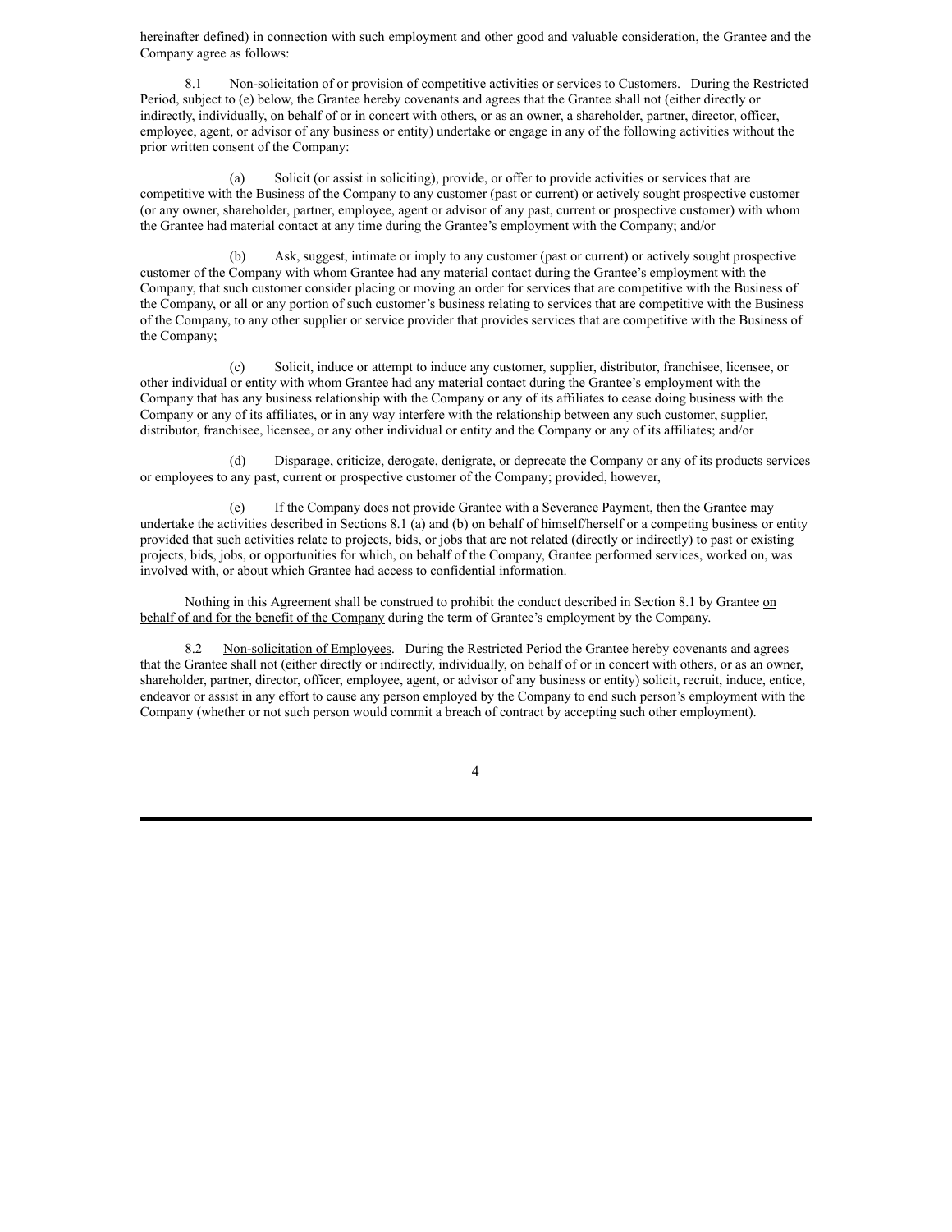hereinafter defined) in connection with such employment and other good and valuable consideration, the Grantee and the Company agree as follows:

8.1 Non-solicitation of or provision of competitive activities or services to Customers. During the Restricted Period, subject to (e) below, the Grantee hereby covenants and agrees that the Grantee shall not (either directly or indirectly, individually, on behalf of or in concert with others, or as an owner, a shareholder, partner, director, officer, employee, agent, or advisor of any business or entity) undertake or engage in any of the following activities without the prior written consent of the Company:

(a) Solicit (or assist in soliciting), provide, or offer to provide activities or services that are competitive with the Business of the Company to any customer (past or current) or actively sought prospective customer (or any owner, shareholder, partner, employee, agent or advisor of any past, current or prospective customer) with whom the Grantee had material contact at any time during the Grantee's employment with the Company; and/or

(b) Ask, suggest, intimate or imply to any customer (past or current) or actively sought prospective customer of the Company with whom Grantee had any material contact during the Grantee's employment with the Company, that such customer consider placing or moving an order for services that are competitive with the Business of the Company, or all or any portion of such customer's business relating to services that are competitive with the Business of the Company, to any other supplier or service provider that provides services that are competitive with the Business of the Company;

(c) Solicit, induce or attempt to induce any customer, supplier, distributor, franchisee, licensee, or other individual or entity with whom Grantee had any material contact during the Grantee's employment with the Company that has any business relationship with the Company or any of its affiliates to cease doing business with the Company or any of its affiliates, or in any way interfere with the relationship between any such customer, supplier, distributor, franchisee, licensee, or any other individual or entity and the Company or any of its affiliates; and/or

(d) Disparage, criticize, derogate, denigrate, or deprecate the Company or any of its products services or employees to any past, current or prospective customer of the Company; provided, however,

(e) If the Company does not provide Grantee with a Severance Payment, then the Grantee may undertake the activities described in Sections 8.1 (a) and (b) on behalf of himself/herself or a competing business or entity provided that such activities relate to projects, bids, or jobs that are not related (directly or indirectly) to past or existing projects, bids, jobs, or opportunities for which, on behalf of the Company, Grantee performed services, worked on, was involved with, or about which Grantee had access to confidential information.

Nothing in this Agreement shall be construed to prohibit the conduct described in Section 8.1 by Grantee on behalf of and for the benefit of the Company during the term of Grantee's employment by the Company.

8.2 Non-solicitation of Employees. During the Restricted Period the Grantee hereby covenants and agrees that the Grantee shall not (either directly or indirectly, individually, on behalf of or in concert with others, or as an owner, shareholder, partner, director, officer, employee, agent, or advisor of any business or entity) solicit, recruit, induce, entice, endeavor or assist in any effort to cause any person employed by the Company to end such person's employment with the Company (whether or not such person would commit a breach of contract by accepting such other employment).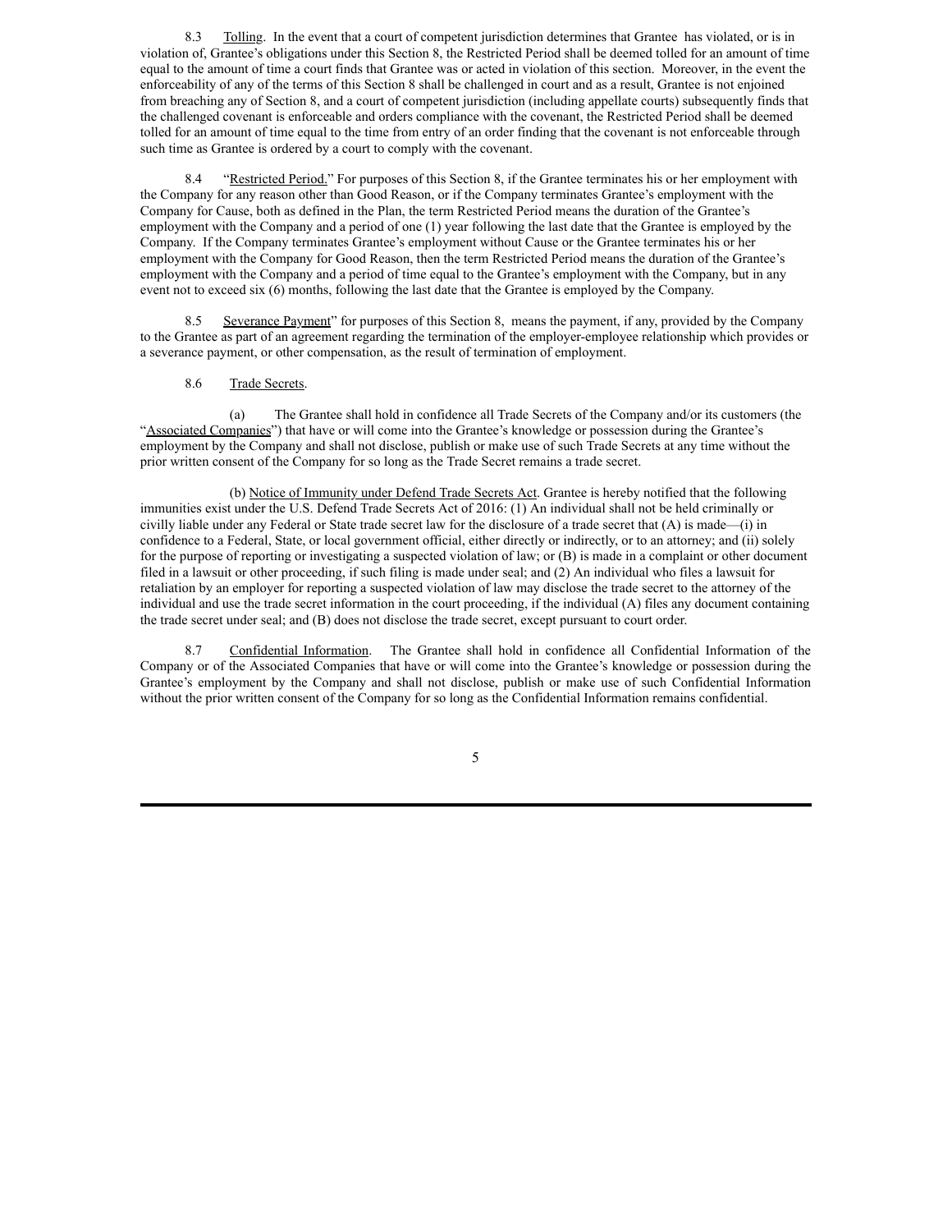8.3 Tolling. In the event that a court of competent jurisdiction determines that Grantee has violated, or is in violation of, Grantee's obligations under this Section 8, the Restricted Period shall be deemed tolled for an amount of time equal to the amount of time a court finds that Grantee was or acted in violation of this section. Moreover, in the event the enforceability of any of the terms of this Section 8 shall be challenged in court and as a result, Grantee is not enjoined from breaching any of Section 8, and a court of competent jurisdiction (including appellate courts) subsequently finds that the challenged covenant is enforceable and orders compliance with the covenant, the Restricted Period shall be deemed tolled for an amount of time equal to the time from entry of an order finding that the covenant is not enforceable through such time as Grantee is ordered by a court to comply with the covenant.

8.4 "Restricted Period." For purposes of this Section 8, if the Grantee terminates his or her employment with the Company for any reason other than Good Reason, or if the Company terminates Grantee's employment with the Company for Cause, both as defined in the Plan, the term Restricted Period means the duration of the Grantee's employment with the Company and a period of one (1) year following the last date that the Grantee is employed by the Company. If the Company terminates Grantee's employment without Cause or the Grantee terminates his or her employment with the Company for Good Reason, then the term Restricted Period means the duration of the Grantee's employment with the Company and a period of time equal to the Grantee's employment with the Company, but in any event not to exceed six (6) months, following the last date that the Grantee is employed by the Company.

8.5 Severance Payment" for purposes of this Section 8, means the payment, if any, provided by the Company to the Grantee as part of an agreement regarding the termination of the employer-employee relationship which provides or a severance payment, or other compensation, as the result of termination of employment.

## 8.6 Trade Secrets.

(a) The Grantee shall hold in confidence all Trade Secrets of the Company and/or its customers (the "Associated Companies") that have or will come into the Grantee's knowledge or possession during the Grantee's employment by the Company and shall not disclose, publish or make use of such Trade Secrets at any time without the prior written consent of the Company for so long as the Trade Secret remains a trade secret.

(b) Notice of Immunity under Defend Trade Secrets Act. Grantee is hereby notified that the following immunities exist under the U.S. Defend Trade Secrets Act of 2016: (1) An individual shall not be held criminally or civilly liable under any Federal or State trade secret law for the disclosure of a trade secret that (A) is made—(i) in confidence to a Federal, State, or local government official, either directly or indirectly, or to an attorney; and (ii) solely for the purpose of reporting or investigating a suspected violation of law; or (B) is made in a complaint or other document filed in a lawsuit or other proceeding, if such filing is made under seal; and (2) An individual who files a lawsuit for retaliation by an employer for reporting a suspected violation of law may disclose the trade secret to the attorney of the individual and use the trade secret information in the court proceeding, if the individual (A) files any document containing the trade secret under seal; and (B) does not disclose the trade secret, except pursuant to court order.

8.7 Confidential Information. The Grantee shall hold in confidence all Confidential Information of the Company or of the Associated Companies that have or will come into the Grantee's knowledge or possession during the Grantee's employment by the Company and shall not disclose, publish or make use of such Confidential Information without the prior written consent of the Company for so long as the Confidential Information remains confidential.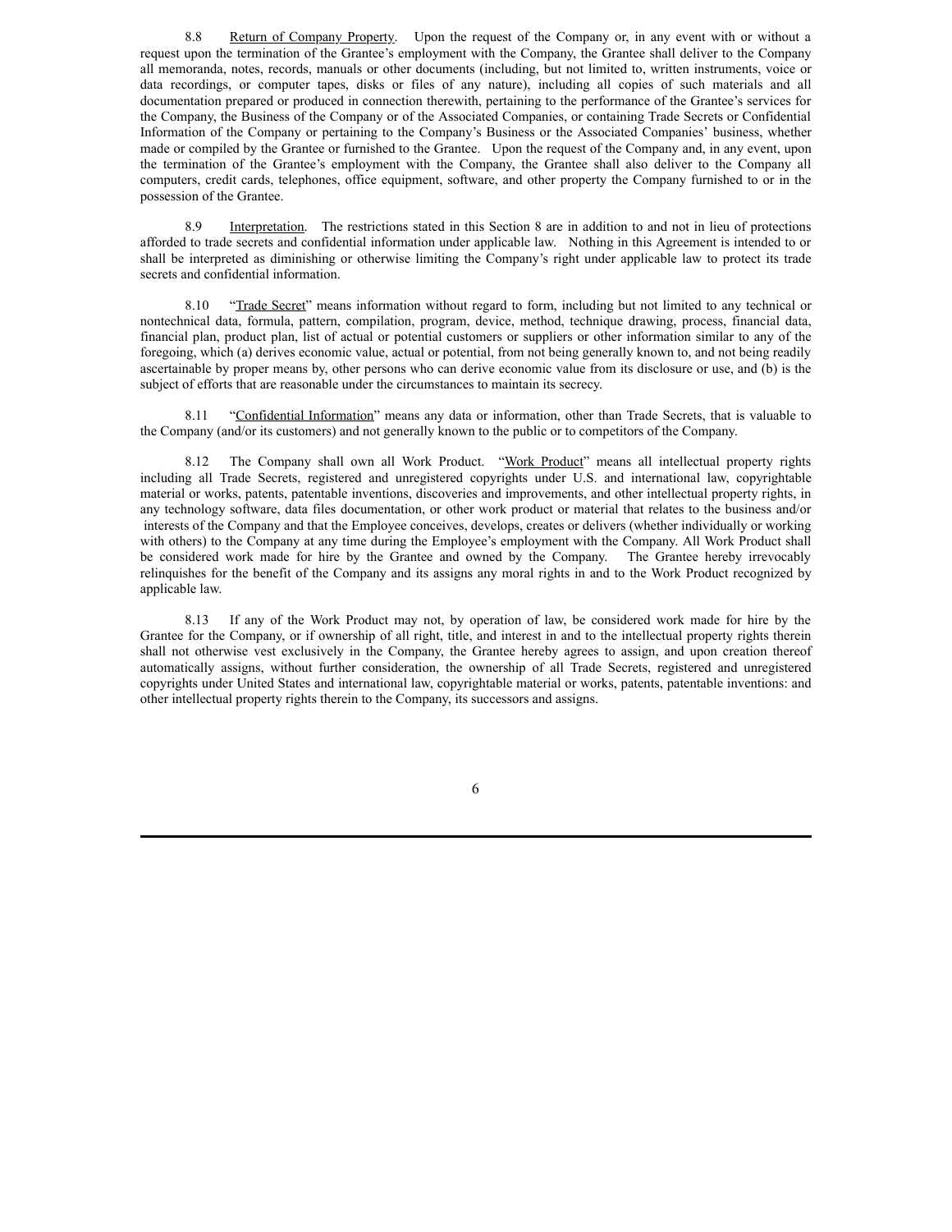8.8 Return of Company Property. Upon the request of the Company or, in any event with or without a request upon the termination of the Grantee's employment with the Company, the Grantee shall deliver to the Company all memoranda, notes, records, manuals or other documents (including, but not limited to, written instruments, voice or data recordings, or computer tapes, disks or files of any nature), including all copies of such materials and all documentation prepared or produced in connection therewith, pertaining to the performance of the Grantee's services for the Company, the Business of the Company or of the Associated Companies, or containing Trade Secrets or Confidential Information of the Company or pertaining to the Company's Business or the Associated Companies' business, whether made or compiled by the Grantee or furnished to the Grantee. Upon the request of the Company and, in any event, upon the termination of the Grantee's employment with the Company, the Grantee shall also deliver to the Company all computers, credit cards, telephones, office equipment, software, and other property the Company furnished to or in the possession of the Grantee.

8.9 Interpretation. The restrictions stated in this Section 8 are in addition to and not in lieu of protections afforded to trade secrets and confidential information under applicable law. Nothing in this Agreement is intended to or shall be interpreted as diminishing or otherwise limiting the Company's right under applicable law to protect its trade secrets and confidential information.

8.10 "Trade Secret" means information without regard to form, including but not limited to any technical or nontechnical data, formula, pattern, compilation, program, device, method, technique drawing, process, financial data, financial plan, product plan, list of actual or potential customers or suppliers or other information similar to any of the foregoing, which (a) derives economic value, actual or potential, from not being generally known to, and not being readily ascertainable by proper means by, other persons who can derive economic value from its disclosure or use, and (b) is the subject of efforts that are reasonable under the circumstances to maintain its secrecy.

8.11 "Confidential Information" means any data or information, other than Trade Secrets, that is valuable to the Company (and/or its customers) and not generally known to the public or to competitors of the Company.

8.12 The Company shall own all Work Product. "Work Product" means all intellectual property rights including all Trade Secrets, registered and unregistered copyrights under U.S. and international law, copyrightable material or works, patents, patentable inventions, discoveries and improvements, and other intellectual property rights, in any technology software, data files documentation, or other work product or material that relates to the business and/or interests of the Company and that the Employee conceives, develops, creates or delivers (whether individually or working with others) to the Company at any time during the Employee's employment with the Company. All Work Product shall be considered work made for hire by the Grantee and owned by the Company. The Grantee hereby irrevocably relinquishes for the benefit of the Company and its assigns any moral rights in and to the Work Product recognized by applicable law.

8.13 If any of the Work Product may not, by operation of law, be considered work made for hire by the Grantee for the Company, or if ownership of all right, title, and interest in and to the intellectual property rights therein shall not otherwise vest exclusively in the Company, the Grantee hereby agrees to assign, and upon creation thereof automatically assigns, without further consideration, the ownership of all Trade Secrets, registered and unregistered copyrights under United States and international law, copyrightable material or works, patents, patentable inventions: and other intellectual property rights therein to the Company, its successors and assigns.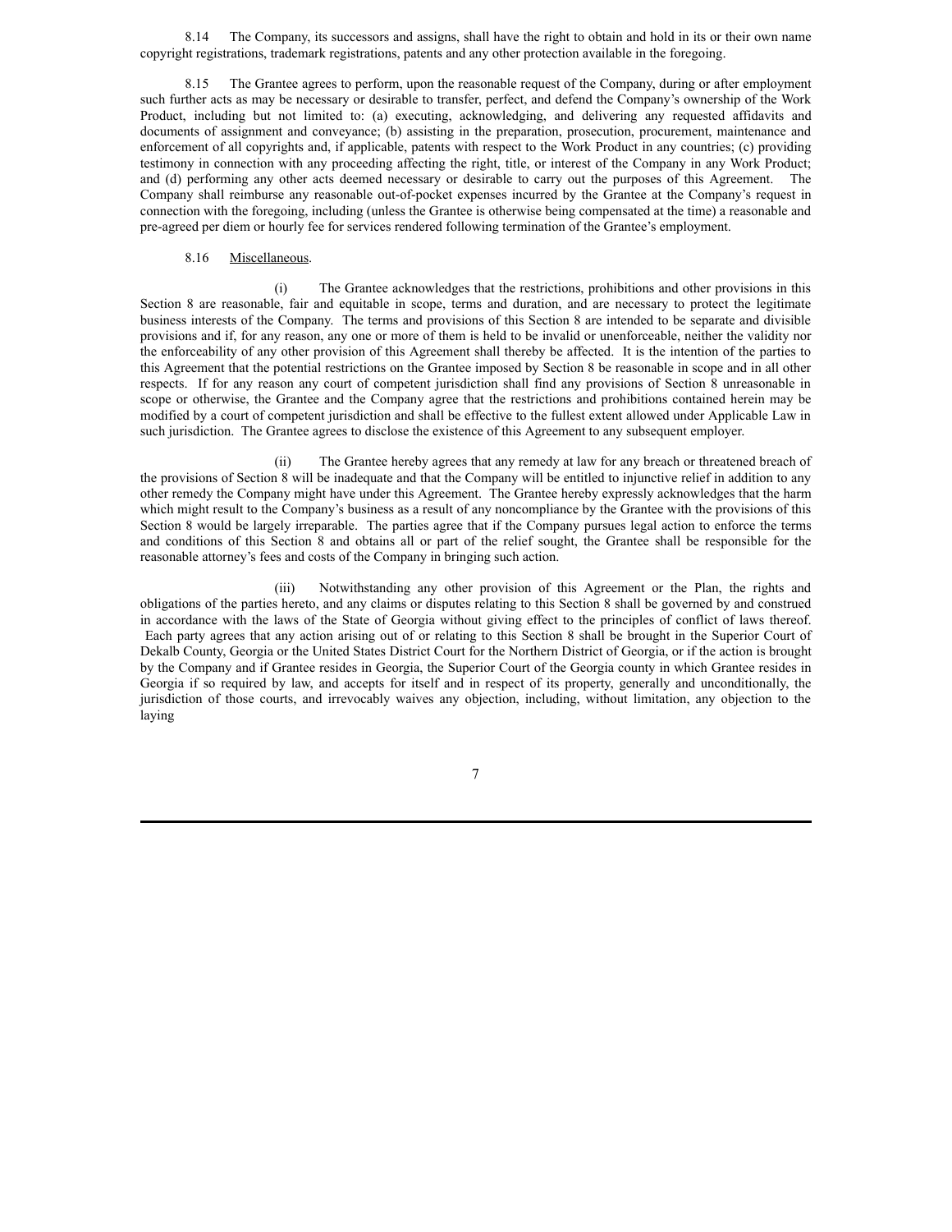8.14 The Company, its successors and assigns, shall have the right to obtain and hold in its or their own name copyright registrations, trademark registrations, patents and any other protection available in the foregoing.

8.15 The Grantee agrees to perform, upon the reasonable request of the Company, during or after employment such further acts as may be necessary or desirable to transfer, perfect, and defend the Company's ownership of the Work Product, including but not limited to: (a) executing, acknowledging, and delivering any requested affidavits and documents of assignment and conveyance; (b) assisting in the preparation, prosecution, procurement, maintenance and enforcement of all copyrights and, if applicable, patents with respect to the Work Product in any countries; (c) providing testimony in connection with any proceeding affecting the right, title, or interest of the Company in any Work Product; and (d) performing any other acts deemed necessary or desirable to carry out the purposes of this Agreement. The Company shall reimburse any reasonable out-of-pocket expenses incurred by the Grantee at the Company's request in connection with the foregoing, including (unless the Grantee is otherwise being compensated at the time) a reasonable and pre-agreed per diem or hourly fee for services rendered following termination of the Grantee's employment.

## 8.16 Miscellaneous.

(i) The Grantee acknowledges that the restrictions, prohibitions and other provisions in this Section 8 are reasonable, fair and equitable in scope, terms and duration, and are necessary to protect the legitimate business interests of the Company. The terms and provisions of this Section 8 are intended to be separate and divisible provisions and if, for any reason, any one or more of them is held to be invalid or unenforceable, neither the validity nor the enforceability of any other provision of this Agreement shall thereby be affected. It is the intention of the parties to this Agreement that the potential restrictions on the Grantee imposed by Section 8 be reasonable in scope and in all other respects. If for any reason any court of competent jurisdiction shall find any provisions of Section 8 unreasonable in scope or otherwise, the Grantee and the Company agree that the restrictions and prohibitions contained herein may be modified by a court of competent jurisdiction and shall be effective to the fullest extent allowed under Applicable Law in such jurisdiction. The Grantee agrees to disclose the existence of this Agreement to any subsequent employer.

(ii) The Grantee hereby agrees that any remedy at law for any breach or threatened breach of the provisions of Section 8 will be inadequate and that the Company will be entitled to injunctive relief in addition to any other remedy the Company might have under this Agreement. The Grantee hereby expressly acknowledges that the harm which might result to the Company's business as a result of any noncompliance by the Grantee with the provisions of this Section 8 would be largely irreparable. The parties agree that if the Company pursues legal action to enforce the terms and conditions of this Section 8 and obtains all or part of the relief sought, the Grantee shall be responsible for the reasonable attorney's fees and costs of the Company in bringing such action.

(iii) Notwithstanding any other provision of this Agreement or the Plan, the rights and obligations of the parties hereto, and any claims or disputes relating to this Section 8 shall be governed by and construed in accordance with the laws of the State of Georgia without giving effect to the principles of conflict of laws thereof. Each party agrees that any action arising out of or relating to this Section 8 shall be brought in the Superior Court of Dekalb County, Georgia or the United States District Court for the Northern District of Georgia, or if the action is brought by the Company and if Grantee resides in Georgia, the Superior Court of the Georgia county in which Grantee resides in Georgia if so required by law, and accepts for itself and in respect of its property, generally and unconditionally, the jurisdiction of those courts, and irrevocably waives any objection, including, without limitation, any objection to the laying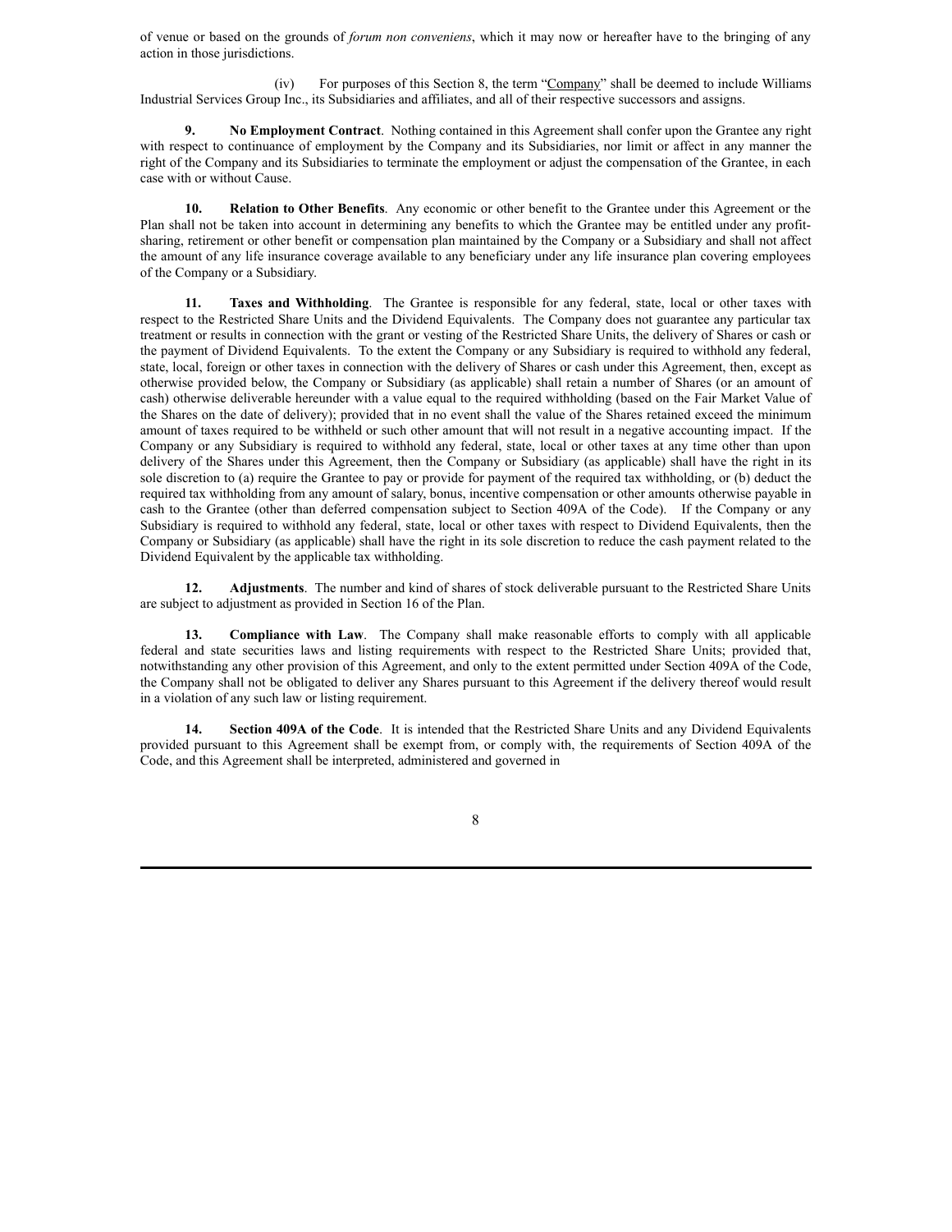of venue or based on the grounds of *forum non conveniens*, which it may now or hereafter have to the bringing of any action in those jurisdictions.

(iv) For purposes of this Section 8, the term "Company" shall be deemed to include Williams Industrial Services Group Inc., its Subsidiaries and affiliates, and all of their respective successors and assigns.

**9. No Employment Contract**. Nothing contained in this Agreement shall confer upon the Grantee any right with respect to continuance of employment by the Company and its Subsidiaries, nor limit or affect in any manner the right of the Company and its Subsidiaries to terminate the employment or adjust the compensation of the Grantee, in each case with or without Cause.

**10. Relation to Other Benefits**. Any economic or other benefit to the Grantee under this Agreement or the Plan shall not be taken into account in determining any benefits to which the Grantee may be entitled under any profitsharing, retirement or other benefit or compensation plan maintained by the Company or a Subsidiary and shall not affect the amount of any life insurance coverage available to any beneficiary under any life insurance plan covering employees of the Company or a Subsidiary.

**11. Taxes and Withholding**. The Grantee is responsible for any federal, state, local or other taxes with respect to the Restricted Share Units and the Dividend Equivalents. The Company does not guarantee any particular tax treatment or results in connection with the grant or vesting of the Restricted Share Units, the delivery of Shares or cash or the payment of Dividend Equivalents. To the extent the Company or any Subsidiary is required to withhold any federal, state, local, foreign or other taxes in connection with the delivery of Shares or cash under this Agreement, then, except as otherwise provided below, the Company or Subsidiary (as applicable) shall retain a number of Shares (or an amount of cash) otherwise deliverable hereunder with a value equal to the required withholding (based on the Fair Market Value of the Shares on the date of delivery); provided that in no event shall the value of the Shares retained exceed the minimum amount of taxes required to be withheld or such other amount that will not result in a negative accounting impact. If the Company or any Subsidiary is required to withhold any federal, state, local or other taxes at any time other than upon delivery of the Shares under this Agreement, then the Company or Subsidiary (as applicable) shall have the right in its sole discretion to (a) require the Grantee to pay or provide for payment of the required tax withholding, or (b) deduct the required tax withholding from any amount of salary, bonus, incentive compensation or other amounts otherwise payable in cash to the Grantee (other than deferred compensation subject to Section 409A of the Code). If the Company or any Subsidiary is required to withhold any federal, state, local or other taxes with respect to Dividend Equivalents, then the Company or Subsidiary (as applicable) shall have the right in its sole discretion to reduce the cash payment related to the Dividend Equivalent by the applicable tax withholding.

**12. Adjustments**. The number and kind of shares of stock deliverable pursuant to the Restricted Share Units are subject to adjustment as provided in Section 16 of the Plan.

**13. Compliance with Law**. The Company shall make reasonable efforts to comply with all applicable federal and state securities laws and listing requirements with respect to the Restricted Share Units; provided that, notwithstanding any other provision of this Agreement, and only to the extent permitted under Section 409A of the Code, the Company shall not be obligated to deliver any Shares pursuant to this Agreement if the delivery thereof would result in a violation of any such law or listing requirement.

**14. Section 409A of the Code**. It is intended that the Restricted Share Units and any Dividend Equivalents provided pursuant to this Agreement shall be exempt from, or comply with, the requirements of Section 409A of the Code, and this Agreement shall be interpreted, administered and governed in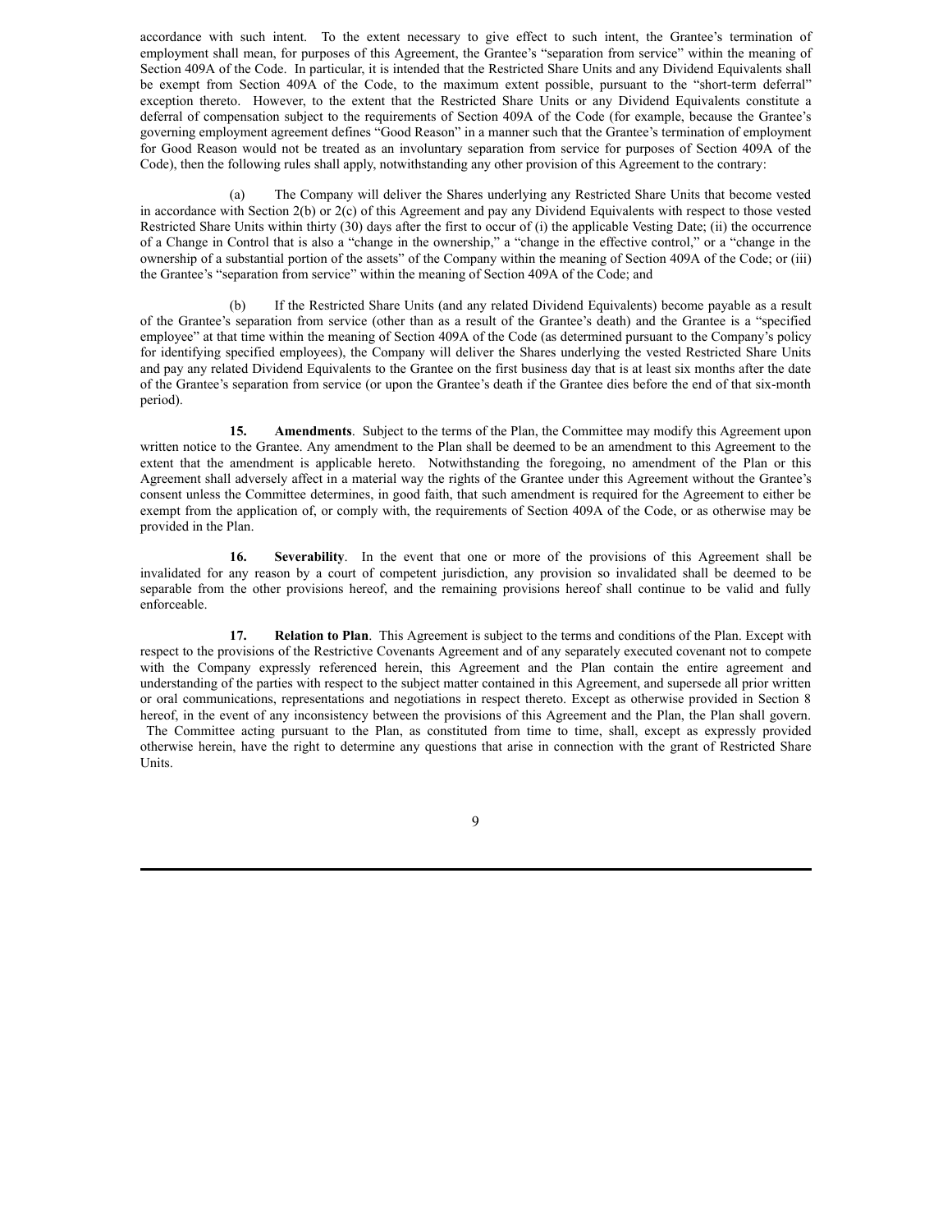accordance with such intent. To the extent necessary to give effect to such intent, the Grantee's termination of employment shall mean, for purposes of this Agreement, the Grantee's "separation from service" within the meaning of Section 409A of the Code. In particular, it is intended that the Restricted Share Units and any Dividend Equivalents shall be exempt from Section 409A of the Code, to the maximum extent possible, pursuant to the "short-term deferral" exception thereto. However, to the extent that the Restricted Share Units or any Dividend Equivalents constitute a deferral of compensation subject to the requirements of Section 409A of the Code (for example, because the Grantee's governing employment agreement defines "Good Reason" in a manner such that the Grantee's termination of employment for Good Reason would not be treated as an involuntary separation from service for purposes of Section 409A of the Code), then the following rules shall apply, notwithstanding any other provision of this Agreement to the contrary:

(a) The Company will deliver the Shares underlying any Restricted Share Units that become vested in accordance with Section 2(b) or 2(c) of this Agreement and pay any Dividend Equivalents with respect to those vested Restricted Share Units within thirty (30) days after the first to occur of (i) the applicable Vesting Date; (ii) the occurrence of a Change in Control that is also a "change in the ownership," a "change in the effective control," or a "change in the ownership of a substantial portion of the assets" of the Company within the meaning of Section 409A of the Code; or (iii) the Grantee's "separation from service" within the meaning of Section 409A of the Code; and

(b) If the Restricted Share Units (and any related Dividend Equivalents) become payable as a result of the Grantee's separation from service (other than as a result of the Grantee's death) and the Grantee is a "specified employee" at that time within the meaning of Section 409A of the Code (as determined pursuant to the Company's policy for identifying specified employees), the Company will deliver the Shares underlying the vested Restricted Share Units and pay any related Dividend Equivalents to the Grantee on the first business day that is at least six months after the date of the Grantee's separation from service (or upon the Grantee's death if the Grantee dies before the end of that six-month period).

**15. Amendments**. Subject to the terms of the Plan, the Committee may modify this Agreement upon written notice to the Grantee. Any amendment to the Plan shall be deemed to be an amendment to this Agreement to the extent that the amendment is applicable hereto. Notwithstanding the foregoing, no amendment of the Plan or this Agreement shall adversely affect in a material way the rights of the Grantee under this Agreement without the Grantee's consent unless the Committee determines, in good faith, that such amendment is required for the Agreement to either be exempt from the application of, or comply with, the requirements of Section 409A of the Code, or as otherwise may be provided in the Plan.

**16. Severability**. In the event that one or more of the provisions of this Agreement shall be invalidated for any reason by a court of competent jurisdiction, any provision so invalidated shall be deemed to be separable from the other provisions hereof, and the remaining provisions hereof shall continue to be valid and fully enforceable.

**17. Relation to Plan**. This Agreement is subject to the terms and conditions of the Plan. Except with respect to the provisions of the Restrictive Covenants Agreement and of any separately executed covenant not to compete with the Company expressly referenced herein, this Agreement and the Plan contain the entire agreement and understanding of the parties with respect to the subject matter contained in this Agreement, and supersede all prior written or oral communications, representations and negotiations in respect thereto. Except as otherwise provided in Section 8 hereof, in the event of any inconsistency between the provisions of this Agreement and the Plan, the Plan shall govern.

The Committee acting pursuant to the Plan, as constituted from time to time, shall, except as expressly provided otherwise herein, have the right to determine any questions that arise in connection with the grant of Restricted Share Units.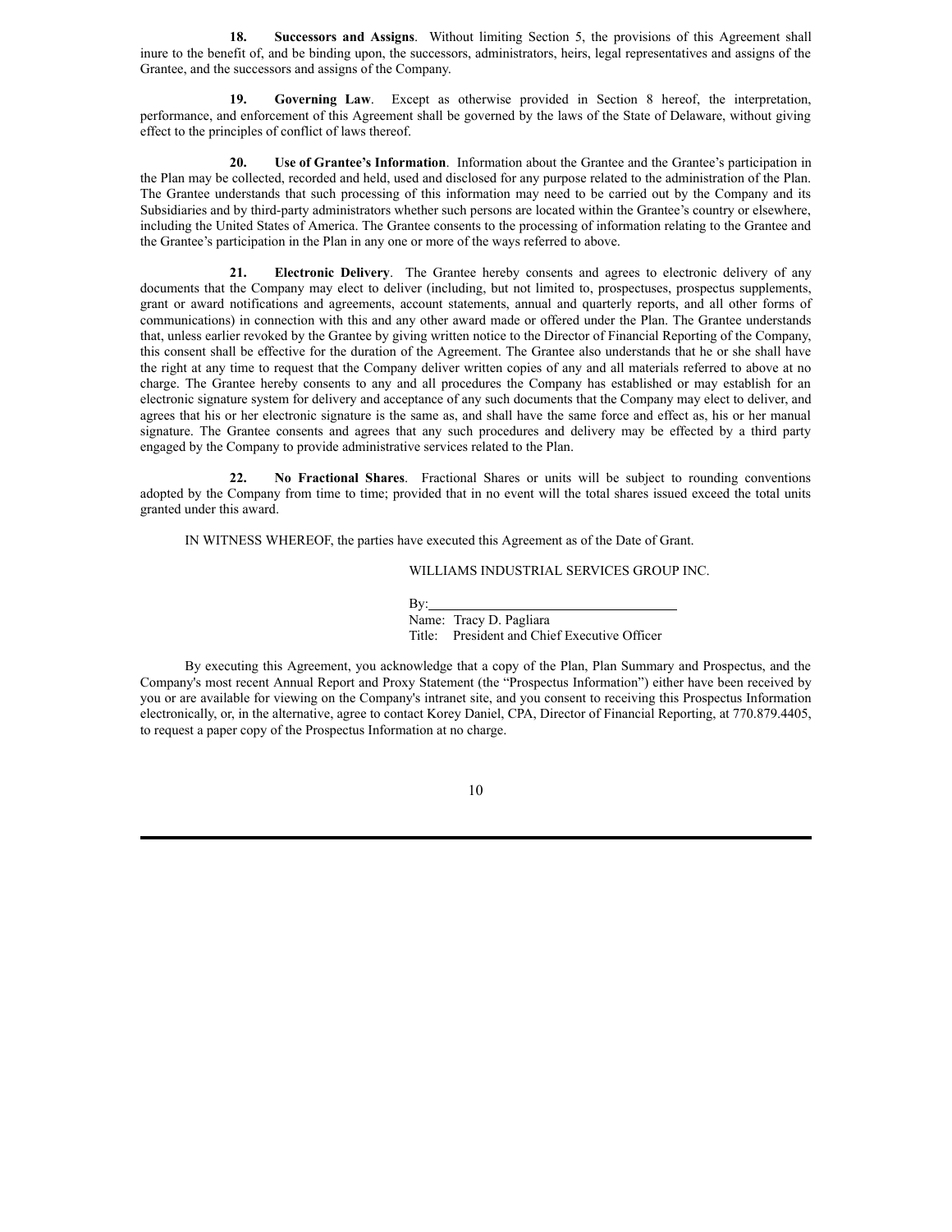**18. Successors and Assigns**. Without limiting Section 5, the provisions of this Agreement shall inure to the benefit of, and be binding upon, the successors, administrators, heirs, legal representatives and assigns of the Grantee, and the successors and assigns of the Company.

**19. Governing Law**. Except as otherwise provided in Section 8 hereof, the interpretation, performance, and enforcement of this Agreement shall be governed by the laws of the State of Delaware, without giving effect to the principles of conflict of laws thereof.

**20. Use of Grantee's Information**. Information about the Grantee and the Grantee's participation in the Plan may be collected, recorded and held, used and disclosed for any purpose related to the administration of the Plan. The Grantee understands that such processing of this information may need to be carried out by the Company and its Subsidiaries and by third-party administrators whether such persons are located within the Grantee's country or elsewhere, including the United States of America. The Grantee consents to the processing of information relating to the Grantee and the Grantee's participation in the Plan in any one or more of the ways referred to above.

**21. Electronic Delivery**. The Grantee hereby consents and agrees to electronic delivery of any documents that the Company may elect to deliver (including, but not limited to, prospectuses, prospectus supplements, grant or award notifications and agreements, account statements, annual and quarterly reports, and all other forms of communications) in connection with this and any other award made or offered under the Plan. The Grantee understands that, unless earlier revoked by the Grantee by giving written notice to the Director of Financial Reporting of the Company, this consent shall be effective for the duration of the Agreement. The Grantee also understands that he or she shall have the right at any time to request that the Company deliver written copies of any and all materials referred to above at no charge. The Grantee hereby consents to any and all procedures the Company has established or may establish for an electronic signature system for delivery and acceptance of any such documents that the Company may elect to deliver, and agrees that his or her electronic signature is the same as, and shall have the same force and effect as, his or her manual signature. The Grantee consents and agrees that any such procedures and delivery may be effected by a third party engaged by the Company to provide administrative services related to the Plan.

**22. No Fractional Shares**. Fractional Shares or units will be subject to rounding conventions adopted by the Company from time to time; provided that in no event will the total shares issued exceed the total units granted under this award.

IN WITNESS WHEREOF, the parties have executed this Agreement as of the Date of Grant.

## WILLIAMS INDUSTRIAL SERVICES GROUP INC.

#### By:

Name: Tracy D. Pagliara Title: President and Chief Executive Officer

By executing this Agreement, you acknowledge that a copy of the Plan, Plan Summary and Prospectus, and the Company's most recent Annual Report and Proxy Statement (the "Prospectus Information") either have been received by you or are available for viewing on the Company's intranet site, and you consent to receiving this Prospectus Information electronically, or, in the alternative, agree to contact Korey Daniel, CPA, Director of Financial Reporting, at 770.879.4405, to request a paper copy of the Prospectus Information at no charge.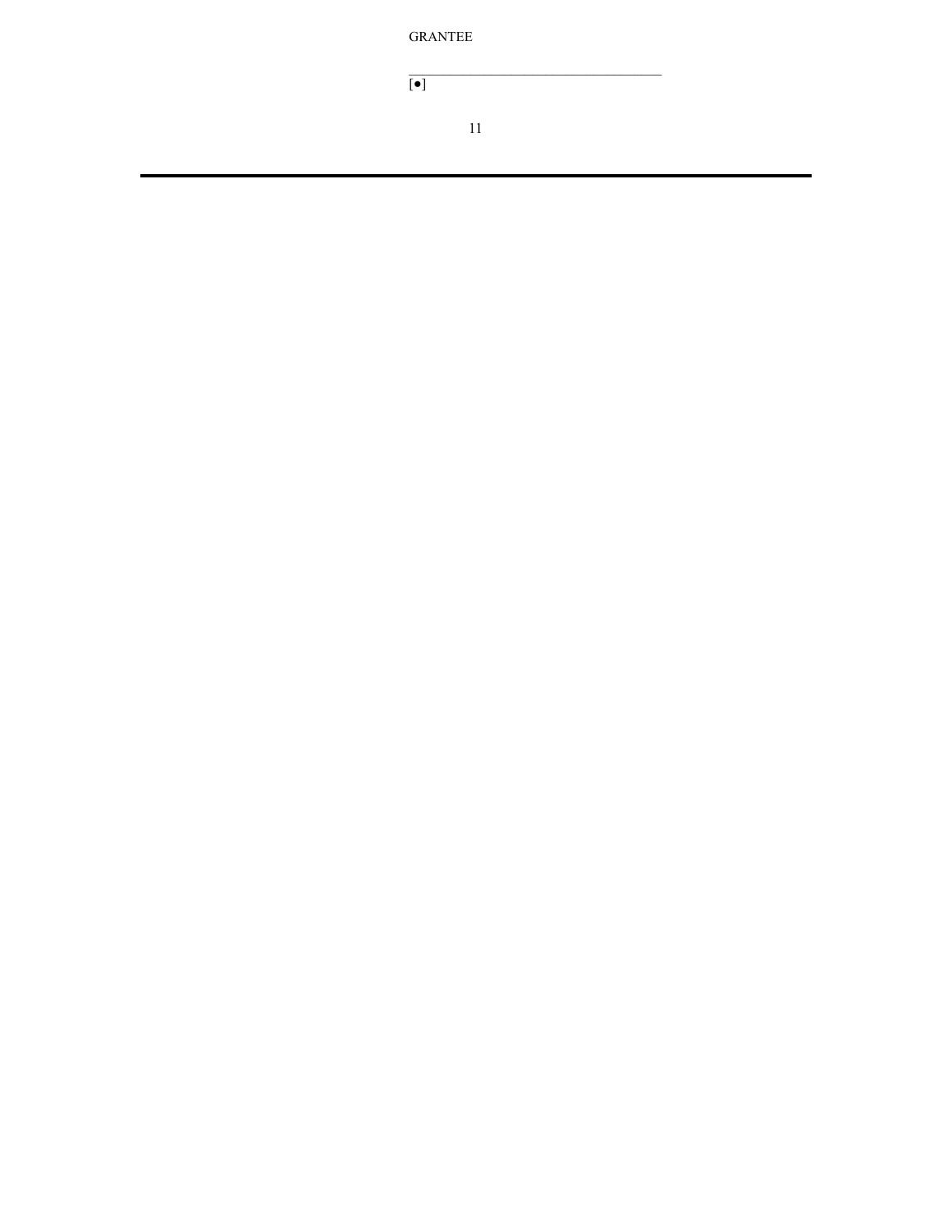GRANTEE

 $\boxed{\bullet}$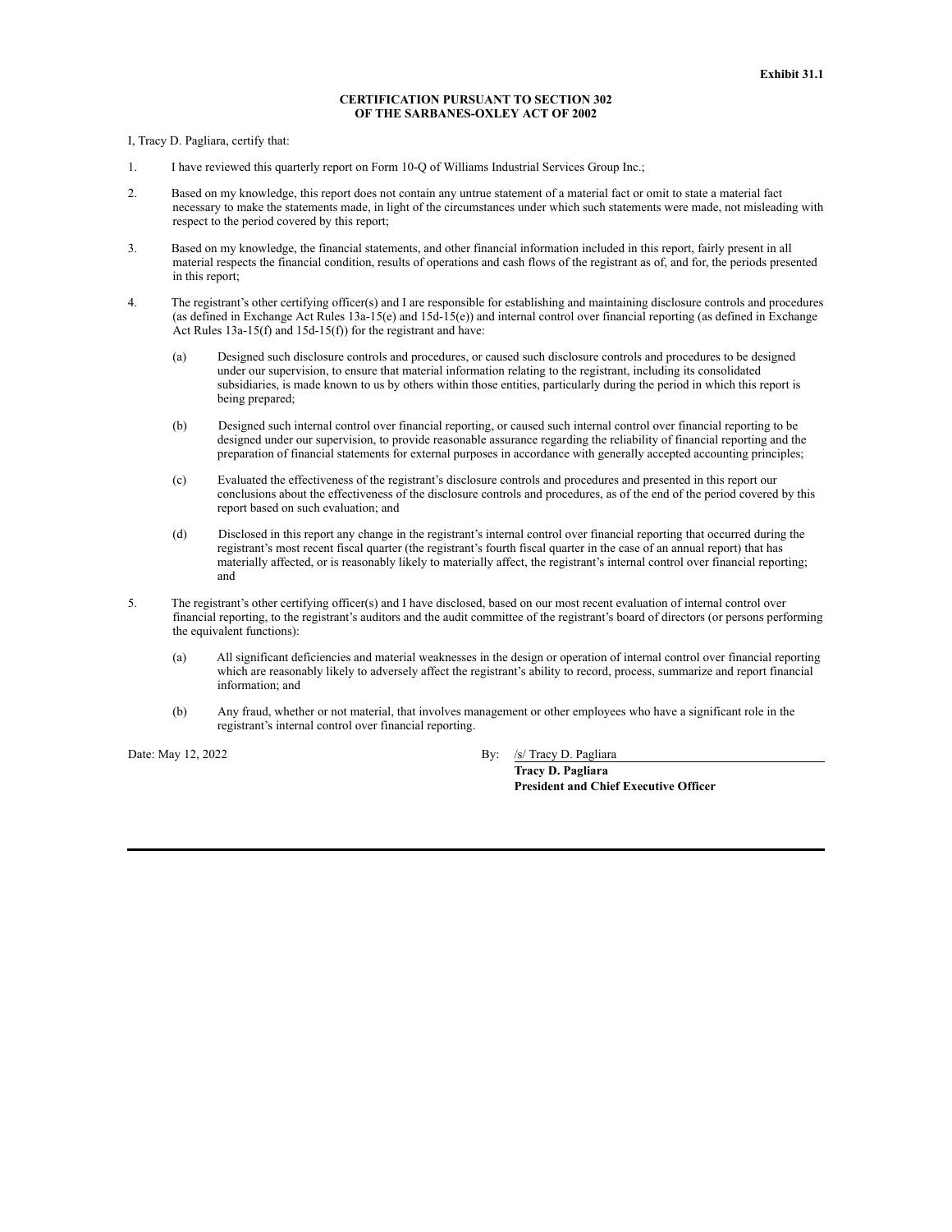### **CERTIFICATION PURSUANT TO SECTION 302 OF THE SARBANES-OXLEY ACT OF 2002**

I, Tracy D. Pagliara, certify that:

- 1. I have reviewed this quarterly report on Form 10-Q of Williams Industrial Services Group Inc.;
- 2. Based on my knowledge, this report does not contain any untrue statement of a material fact or omit to state a material fact necessary to make the statements made, in light of the circumstances under which such statements were made, not misleading with respect to the period covered by this report;
- 3. Based on my knowledge, the financial statements, and other financial information included in this report, fairly present in all material respects the financial condition, results of operations and cash flows of the registrant as of, and for, the periods presented in this report;
- 4. The registrant's other certifying officer(s) and I are responsible for establishing and maintaining disclosure controls and procedures (as defined in Exchange Act Rules 13a-15(e) and 15d-15(e)) and internal control over financial reporting (as defined in Exchange Act Rules 13a-15(f) and 15d-15(f)) for the registrant and have:
	- (a) Designed such disclosure controls and procedures, or caused such disclosure controls and procedures to be designed under our supervision, to ensure that material information relating to the registrant, including its consolidated subsidiaries, is made known to us by others within those entities, particularly during the period in which this report is being prepared;
	- (b) Designed such internal control over financial reporting, or caused such internal control over financial reporting to be designed under our supervision, to provide reasonable assurance regarding the reliability of financial reporting and the preparation of financial statements for external purposes in accordance with generally accepted accounting principles;
	- (c) Evaluated the effectiveness of the registrant's disclosure controls and procedures and presented in this report our conclusions about the effectiveness of the disclosure controls and procedures, as of the end of the period covered by this report based on such evaluation; and
	- (d) Disclosed in this report any change in the registrant's internal control over financial reporting that occurred during the registrant's most recent fiscal quarter (the registrant's fourth fiscal quarter in the case of an annual report) that has materially affected, or is reasonably likely to materially affect, the registrant's internal control over financial reporting; and
- 5. The registrant's other certifying officer(s) and I have disclosed, based on our most recent evaluation of internal control over financial reporting, to the registrant's auditors and the audit committee of the registrant's board of directors (or persons performing the equivalent functions):
	- (a) All significant deficiencies and material weaknesses in the design or operation of internal control over financial reporting which are reasonably likely to adversely affect the registrant's ability to record, process, summarize and report financial information; and
	- (b) Any fraud, whether or not material, that involves management or other employees who have a significant role in the registrant's internal control over financial reporting.

Date: May 12, 2022 By: /s/ Tracy D. Pagliara

**Tracy D. Pagliara President and Chief Executive Officer**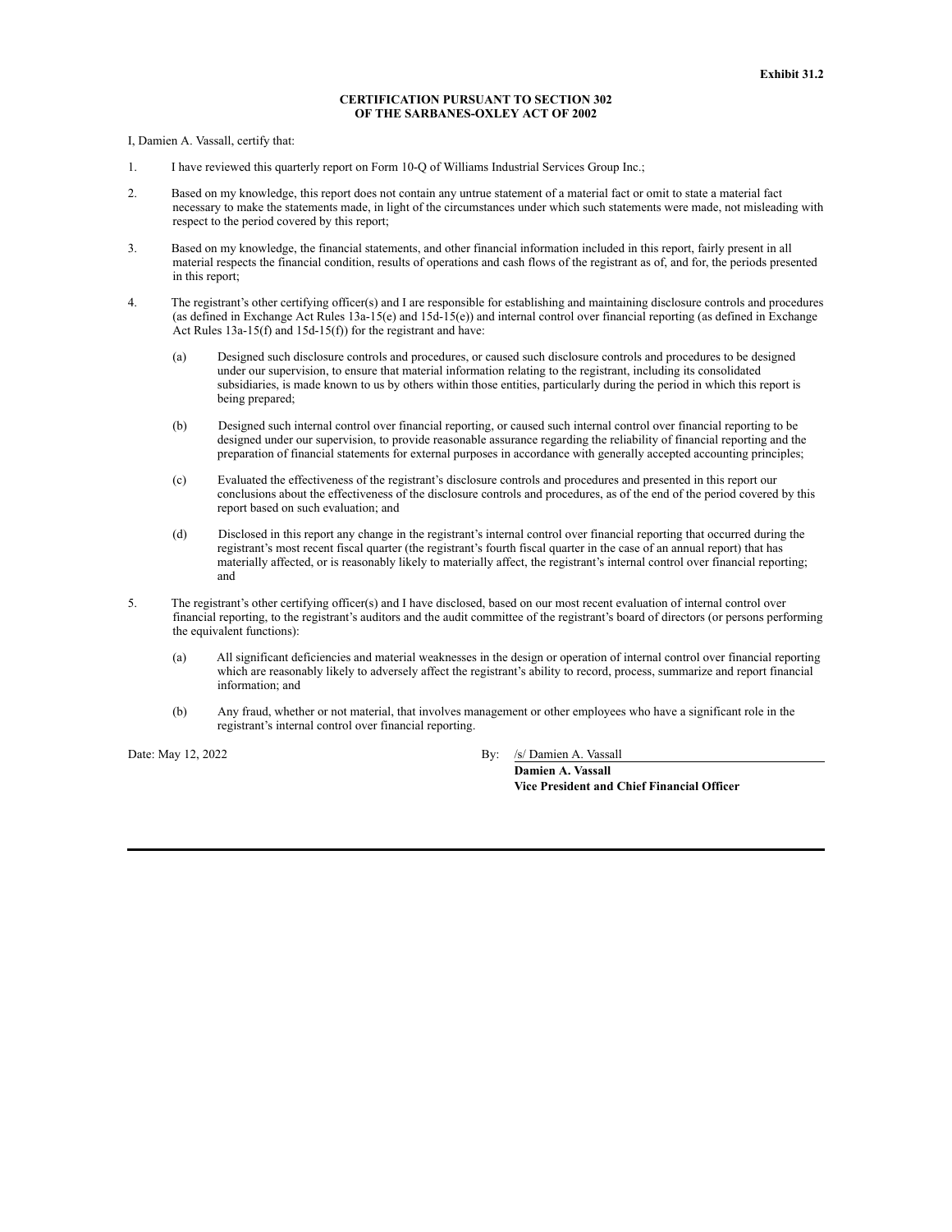## **CERTIFICATION PURSUANT TO SECTION 302 OF THE SARBANES-OXLEY ACT OF 2002**

I, Damien A. Vassall, certify that:

- 1. I have reviewed this quarterly report on Form 10-Q of Williams Industrial Services Group Inc.;
- 2. Based on my knowledge, this report does not contain any untrue statement of a material fact or omit to state a material fact necessary to make the statements made, in light of the circumstances under which such statements were made, not misleading with respect to the period covered by this report;
- 3. Based on my knowledge, the financial statements, and other financial information included in this report, fairly present in all material respects the financial condition, results of operations and cash flows of the registrant as of, and for, the periods presented in this report;
- 4. The registrant's other certifying officer(s) and I are responsible for establishing and maintaining disclosure controls and procedures (as defined in Exchange Act Rules 13a-15(e) and 15d-15(e)) and internal control over financial reporting (as defined in Exchange Act Rules 13a-15(f) and 15d-15(f)) for the registrant and have:
	- (a) Designed such disclosure controls and procedures, or caused such disclosure controls and procedures to be designed under our supervision, to ensure that material information relating to the registrant, including its consolidated subsidiaries, is made known to us by others within those entities, particularly during the period in which this report is being prepared;
	- (b) Designed such internal control over financial reporting, or caused such internal control over financial reporting to be designed under our supervision, to provide reasonable assurance regarding the reliability of financial reporting and the preparation of financial statements for external purposes in accordance with generally accepted accounting principles;
	- (c) Evaluated the effectiveness of the registrant's disclosure controls and procedures and presented in this report our conclusions about the effectiveness of the disclosure controls and procedures, as of the end of the period covered by this report based on such evaluation; and
	- (d) Disclosed in this report any change in the registrant's internal control over financial reporting that occurred during the registrant's most recent fiscal quarter (the registrant's fourth fiscal quarter in the case of an annual report) that has materially affected, or is reasonably likely to materially affect, the registrant's internal control over financial reporting; and
- 5. The registrant's other certifying officer(s) and I have disclosed, based on our most recent evaluation of internal control over financial reporting, to the registrant's auditors and the audit committee of the registrant's board of directors (or persons performing the equivalent functions):
	- (a) All significant deficiencies and material weaknesses in the design or operation of internal control over financial reporting which are reasonably likely to adversely affect the registrant's ability to record, process, summarize and report financial information; and
	- (b) Any fraud, whether or not material, that involves management or other employees who have a significant role in the registrant's internal control over financial reporting.

Date: May 12, 2022 By: /s/ Damien A. Vassall

**Damien A. Vassall Vice President and Chief Financial Officer**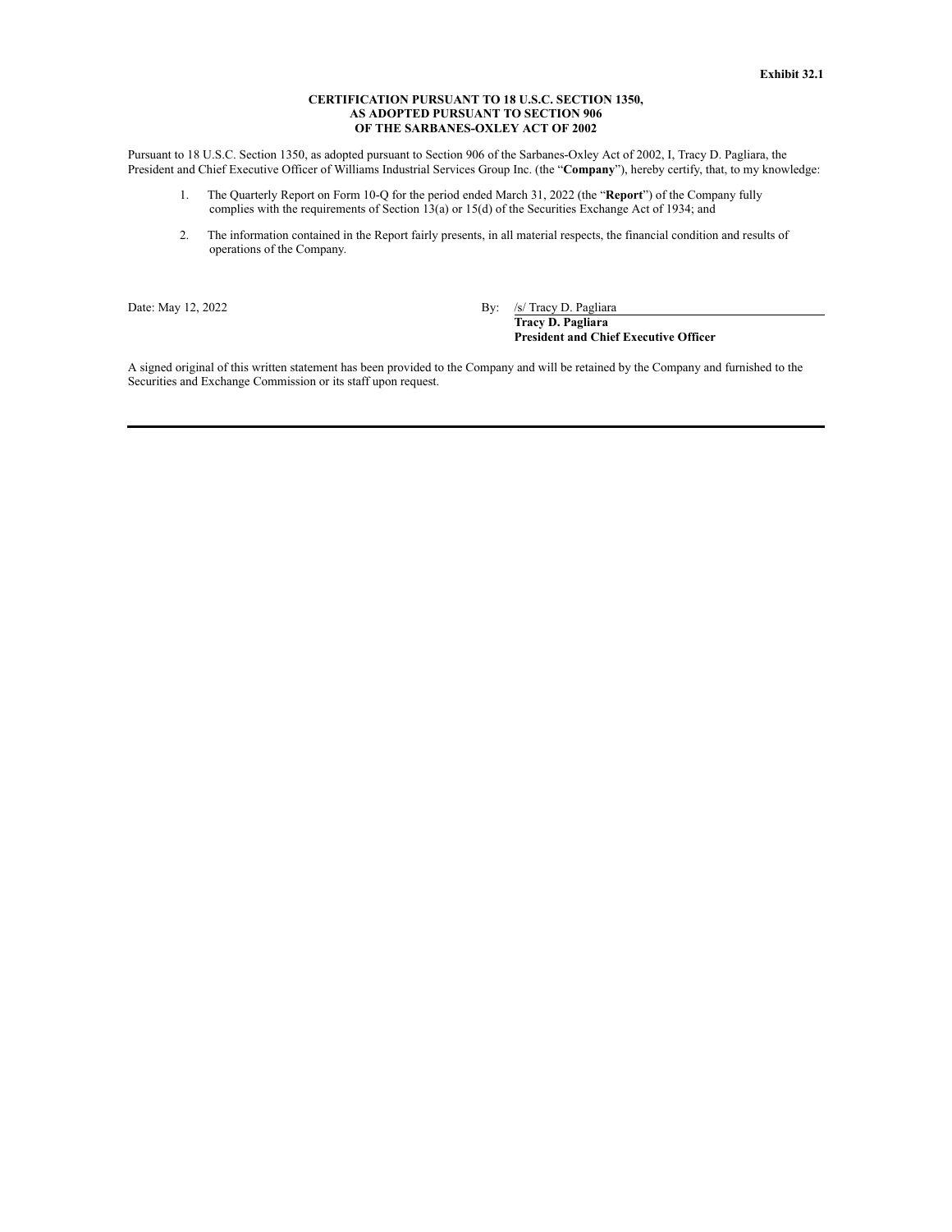#### **CERTIFICATION PURSUANT TO 18 U.S.C. SECTION 1350, AS ADOPTED PURSUANT TO SECTION 906 OF THE SARBANES-OXLEY ACT OF 2002**

Pursuant to 18 U.S.C. Section 1350, as adopted pursuant to Section 906 of the Sarbanes-Oxley Act of 2002, I, Tracy D. Pagliara, the President and Chief Executive Officer of Williams Industrial Services Group Inc. (the "**Company**"), hereby certify, that, to my knowledge:

- 1. The Quarterly Report on Form 10-Q for the period ended March 31, 2022 (the "**Report**") of the Company fully complies with the requirements of Section 13(a) or 15(d) of the Securities Exchange Act of 1934; and
- 2. The information contained in the Report fairly presents, in all material respects, the financial condition and results of operations of the Company.

Date: May 12, 2022 By: /s/ Tracy D. Pagliara **Tracy D. Pagliara President and Chief Executive Officer**

A signed original of this written statement has been provided to the Company and will be retained by the Company and furnished to the Securities and Exchange Commission or its staff upon request.